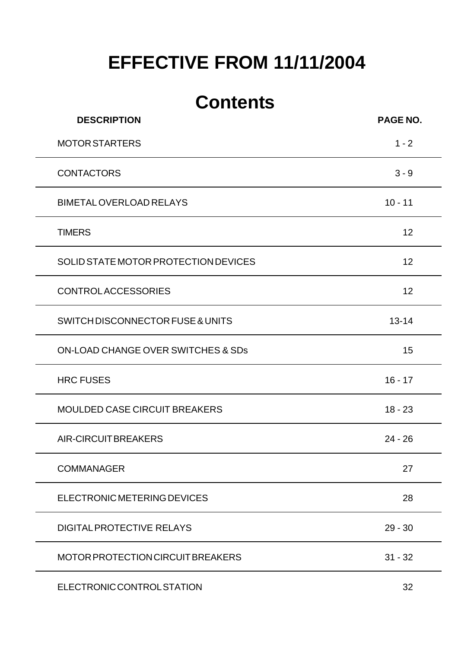# **EFFECTIVE FROM 11/11/2004**

# **Contents**

| <b>DESCRIPTION</b>                   | PAGE NO.  |
|--------------------------------------|-----------|
| <b>MOTOR STARTERS</b>                | $1 - 2$   |
| <b>CONTACTORS</b>                    | $3 - 9$   |
| <b>BIMETAL OVERLOAD RELAYS</b>       | $10 - 11$ |
| <b>TIMERS</b>                        | 12        |
| SOLID STATE MOTOR PROTECTION DEVICES | 12        |
| <b>CONTROLACCESSORIES</b>            | 12        |
| SWITCH DISCONNECTOR FUSE & UNITS     | $13 - 14$ |
| ON-LOAD CHANGE OVER SWITCHES & SDs   | 15        |
| <b>HRC FUSES</b>                     | $16 - 17$ |
| <b>MOULDED CASE CIRCUIT BREAKERS</b> | $18 - 23$ |
| <b>AIR-CIRCUIT BREAKERS</b>          | $24 - 26$ |
| <b>COMMANAGER</b>                    | 27        |
| ELECTRONIC METERING DEVICES          | 28        |
| <b>DIGITAL PROTECTIVE RELAYS</b>     | $29 - 30$ |
| MOTOR PROTECTION CIRCUIT BREAKERS    | $31 - 32$ |
| ELECTRONIC CONTROL STATION           | 32        |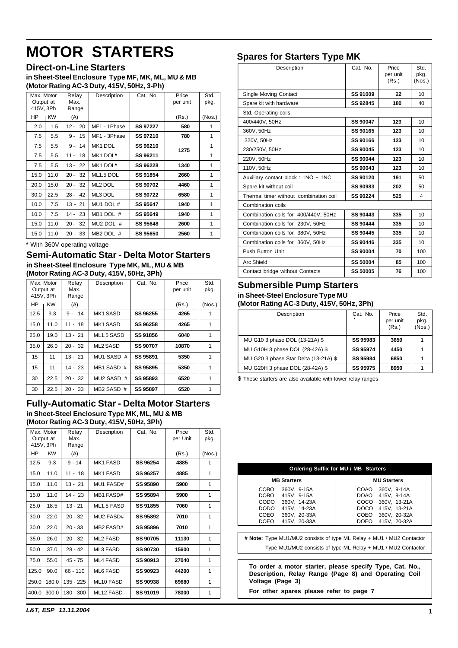# <span id="page-1-0"></span>**MOTOR STARTERS**

**Direct-on-Line Starters**

**in Sheet-Steel Enclosure Type MF, MK, ML, MU & MB (Motor Rating AC-3 Duty, 415V, 50Hz, 3-Ph)**

| Max. Motor |           | Relay          | Description  | Cat. No.        | Price    | Std.   |
|------------|-----------|----------------|--------------|-----------------|----------|--------|
| Output at  |           | Max.           |              |                 | per unit | pkg.   |
| 415V, 3Ph  |           | Range          |              |                 |          |        |
| ΗP         | <b>KW</b> | (A)            |              |                 | (Rs.)    | (Nos.) |
| 2.0        | 1.5       | - 20<br>$12 -$ | MF1 - 1Phase | <b>SS 97227</b> | 580      | 1      |
| 7.5        | 5.5       | 15<br>$9 -$    | MF1 - 3Phase | SS 97210        | 780      | 1      |
| 7.5        | 5.5       | $9 -$<br>14    | MK1 DOL      | SS 96210        | 1275     | 1      |
| 7.5        | 5.5       | $11 -$<br>18   | MK1 DOL*     | SS 96211        |          | 1      |
| 7.5        | 5.5       | $13 -$<br>22   | MK1 DOL*     | SS 96228        | 1340     | 1      |
| 15.0       | 11.0      | $20 -$<br>32   | ML1.5 DOL    | SS 91854        | 2660     | 1      |
| 20.0       | 15.0      | $20 -$<br>32   | ML2 DOL      | <b>SS 90702</b> | 4460     | 1      |
| 30.0       | 22.5      | $28 - 42$      | ML3 DOL      | <b>SS 90722</b> | 6580     | 1      |
| 10.0       | 7.5       | $13 - 21$      | MU1 DOL #    | SS 95647        | 1940     | 1      |
| 10.0       | 7.5       | $14 - 23$      | MB1 DOL #    | SS 95649        | 1940     | 1      |
| 15.0       | 11.0      | $20 - 32$      | MU2 DOL #    | SS 95648        | 2600     | 1      |
| 15.0       | 11.0      | $20 - 33$      | MB2 DOL #    | <b>SS 95650</b> | 2560     | 1      |

\* With 360V operating voltage

#### **Semi-Automatic Star - Delta Motor Starters in Sheet-Steel Enclosure Type MK, ML, MU & MB (Motor Rating AC-3 Duty, 415V, 50Hz, 3Ph)**

| Max. Motor |           | Relay       | Description            | Cat. No.        | Price    | Std.   |
|------------|-----------|-------------|------------------------|-----------------|----------|--------|
|            | Output at | Max.        |                        |                 | per unit | pkg.   |
| 415V, 3Ph  |           | Range       |                        |                 |          |        |
| НP         | <b>KW</b> | (A)         |                        |                 | (Rs.)    | (Nos.) |
| 12.5       | 9.3       | $9 -$<br>14 | <b>MK1 SASD</b>        | SS 96255        | 4265     |        |
| 15.0       | 11.0      | $11 - 18$   | <b>MK1 SASD</b>        | SS 96258        | 4265     | 1      |
| 25.0       | 19.0      | $13 - 21$   | ML <sub>1.5</sub> SASD | SS 91856        | 6040     | 1      |
| 35.0       | 26.0      | $20 - 32$   | <b>ML2 SASD</b>        | <b>SS 90707</b> | 10870    | 1      |
| 15         | 11        | $13 - 21$   | MU1 SASD #             | SS 95891        | 5350     | 1      |
| 15         | 11        | $14 - 23$   | MB1 SASD #             | SS 95895        | 5350     | 1      |
| 30         | 22.5      | $20 - 32$   | MU2 SASD #             | <b>SS 95893</b> | 6520     | 1      |
| 30         | 22.5      | $20 - 33$   | MB2 SASD #             | <b>SS 95897</b> | 6520     | 1      |

#### **Fully-Automatic Star - Delta Motor Starters in Sheet-Steel Enclosure Type MK, ML, MU & MB (Motor Rating AC-3 Duty, 415V, 50Hz, 3Ph)**

| Max. Motor<br>Output at<br>415V, 3Ph |           | Relay<br>Max.<br>Range | Description            | Cat. No.        | Price<br>per Unit | Std.<br>pkg. |
|--------------------------------------|-----------|------------------------|------------------------|-----------------|-------------------|--------------|
| HP                                   | <b>KW</b> | (A)                    |                        |                 | (Rs.)             | (Nos.)       |
| 12.5                                 | 9.3       | $9 - 14$               | <b>MK1 FASD</b>        | SS 96254        | 4885              | 1            |
| 15.0                                 | 11.0      | $11 - 18$              | <b>MK1 FASD</b>        | SS 96257        | 4885              | 1            |
| 15.0                                 | 11.0      | $13 - 21$              | MU1 FASD#              | <b>SS 95890</b> | 5900              | 1            |
| 15.0                                 | 11.0      | $14 - 23$              | MB1 FASD#              | SS 95894        | 5900              | 1            |
| 25.0                                 | 18.5      | $13 - 21$              | ML <sub>1.5</sub> FASD | <b>SS 91855</b> | 7060              | 1            |
| 30.0                                 | 22.0      | $20 - 32$              | MU2 FASD#              | SS 95892        | 7010              | 1            |
| 30.0                                 | 22.0      | $20 - 33$              | MB2 FASD#              | SS 95896        | 7010              | 1            |
| 35.0                                 | 26.0      | $20 - 32$              | <b>ML2 FASD</b>        | <b>SS 90705</b> | 11130             | 1            |
| 50.0                                 | 37.0      | $28 - 42$              | ML3 FASD               | <b>SS 90730</b> | 15600             | 1            |
| 75.0                                 | 55.0      | $45 - 75$              | <b>ML4 FASD</b>        | SS 90913        | 27040             | 1            |
| 125.0                                | 90.0      | $66 - 110$             | ML6 FASD               | <b>SS 90923</b> | 44200             | 1            |
| 250.0                                | 180.0     | 135 - 225              | ML10 FASD              | <b>SS 90938</b> | 69680             | 1            |
| 400.0                                | 300.0     | $180 - 300$            | ML12 FASD              | SS 91019        | 78000             | 1            |

# **Spares for Starters Type MK**

| יו נ                                   |                 |                            |                        |
|----------------------------------------|-----------------|----------------------------|------------------------|
| Description                            | Cat. No.        | Price<br>per unit<br>(Rs.) | Std.<br>pkg.<br>(Nos.) |
| Single Moving Contact                  | SS 91009        | 22                         | 10                     |
| Spare kit with hardware                | SS 92845        | 180                        | 40                     |
| Std. Operating coils                   |                 |                            |                        |
| 400/440V, 50Hz                         | <b>SS 90047</b> | 123                        | 10                     |
| 360V, 50Hz                             | SS 90165        | 123                        | 10                     |
| 320V, 50Hz                             | SS 90166        | 123                        | 10                     |
| 230/250V, 50Hz                         | <b>SS 90045</b> | 123                        | 10                     |
| 220V, 50Hz                             | <b>SS 90044</b> | 123                        | 10                     |
| 110V, 50Hz                             | SS 90043        | 123                        | 10                     |
| Auxiliary contact block: 1NO + 1NC     | SS 90120        | 191                        | 50                     |
| Spare kit without coil                 | <b>SS 90983</b> | 202                        | 50                     |
| Thermal timer without combination coil | SS 90224        | 525                        | 4                      |
| Combination coils                      |                 |                            |                        |
| Combination coils for 400/440V, 50Hz   | SS 90443        | 335                        | 10                     |
| Combination coils for 230V, 50Hz       | SS 90444        | 335                        | 10                     |
| Combination coils for 380V, 50Hz       | SS 90445        | 335                        | 10                     |
| Combination coils for 360V, 50Hz       | SS 90446        | 335                        | 10                     |
| Push Button Unit                       | <b>SS 90004</b> | 70                         | 100                    |
| Arc Shield                             | <b>SS 50004</b> | 85                         | 100                    |
| Contact bridge without Contacts        | <b>SS 50005</b> | 76                         | 100                    |

#### **Submersible Pump Starters in Sheet-Steel Enclosure Type MU (Motor Rating AC-3 Duty, 415V, 50Hz, 3Ph)**

| Description                           | Cat. No.        | Price<br>per unit<br>(Rs.) | Std.<br>pkg.<br>(Nos.) |
|---------------------------------------|-----------------|----------------------------|------------------------|
| MU G10 3 phase DOL (13-21A) \$        | SS 95983        | 3650                       |                        |
| MU G10H 3 phase DOL (28-42A) \$       | <b>SS 95974</b> | 4450                       |                        |
| MU G20 3 phase Star Delta (13-21A) \$ | SS 95984        | 6850                       |                        |
| MU G20H 3 phase DOL (28-42A) \$       | SS 95975        | 8950                       |                        |

\$ These starters are also available with lower relay ranges

| Ordering Suffix for MU / MB Starters                                 |                                                              |  |  |  |  |  |  |  |
|----------------------------------------------------------------------|--------------------------------------------------------------|--|--|--|--|--|--|--|
| <b>MB Starters</b>                                                   | <b>MU Starters</b>                                           |  |  |  |  |  |  |  |
| COBO<br>360V. 9-15A                                                  | 360V. 9-14A<br>COAO                                          |  |  |  |  |  |  |  |
| <b>DOBO</b><br>415V. 9-15A                                           | DOAO 415V, 9-14A                                             |  |  |  |  |  |  |  |
| CODO<br>360V, 14-23A                                                 | COCO<br>360V, 13-21A                                         |  |  |  |  |  |  |  |
| DODO<br>415V, 14-23A                                                 | DOCO 415V, 13-21A                                            |  |  |  |  |  |  |  |
| COEO<br>360V, 20-33A                                                 | COEO 360V, 20-32A                                            |  |  |  |  |  |  |  |
| <b>DOEO</b><br>415V, 20-33A                                          | DOEO<br>415V, 20-32A                                         |  |  |  |  |  |  |  |
|                                                                      |                                                              |  |  |  |  |  |  |  |
| # Note: Type MU1/MU2 consists of type ML Relay + MU1 / MU2 Contactor |                                                              |  |  |  |  |  |  |  |
|                                                                      | Type MU1/MU2 consists of type ML Relay + MU1 / MU2 Contactor |  |  |  |  |  |  |  |

**To order a motor starter, please specify Type, Cat. No., Description, Relay Range (Page 8) and Operating Coil Voltage (Page 3)**

**For other spares please refer to page 7**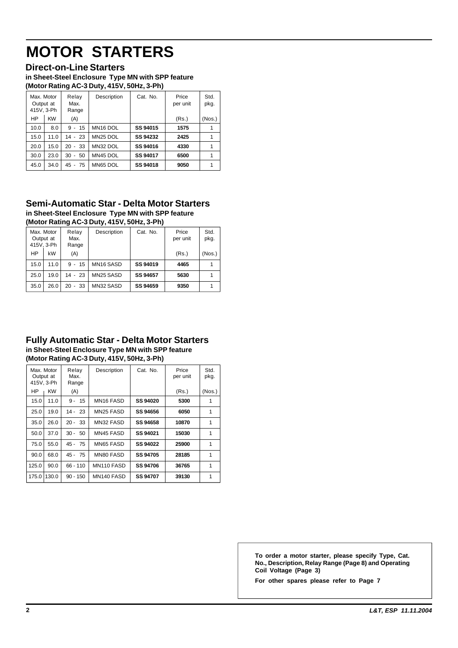# **MOTOR STARTERS**

#### **Direct-on-Line Starters**

**in Sheet-Steel Enclosure Type MN with SPP feature (Motor Rating AC-3 Duty, 415V, 50Hz, 3-Ph)**

|                                       |           |                            | . .                  |                 |                   |              |
|---------------------------------------|-----------|----------------------------|----------------------|-----------------|-------------------|--------------|
| Max. Motor<br>Output at<br>415V, 3-Ph |           | Relay<br>Max.<br>Range     | Description          | Cat. No.        | Price<br>per unit | Std.<br>pkg. |
| <b>HP</b>                             | <b>KW</b> | (A)                        |                      |                 | (Rs.)             | (Nos.)       |
| 10.0                                  | 8.0       | $9 - 15$                   | MN <sub>16</sub> DOL | SS 94015        | 1575              |              |
| 15.0                                  | 11.0      | $14 - 23$                  | MN <sub>25</sub> DOL | SS 94232        | 2425              |              |
| 20.0                                  | 15.0      | $20 - 33$                  | MN32 DOL             | SS 94016        | 4330              |              |
| 30.0                                  | 23.0      | 50<br>30<br>$\blacksquare$ | MN45 DOL             | <b>SS 94017</b> | 6500              |              |
| 45.0                                  | 34.0      | 75<br>45<br>$\blacksquare$ | MN65 DOL             | SS 94018        | 9050              |              |
|                                       |           |                            |                      |                 |                   |              |

#### **Semi-Automatic Star - Delta Motor Starters in Sheet-Steel Enclosure Type MN with SPP feature (Motor Rating AC-3 Duty, 415V, 50Hz, 3-Ph)**

| Max. Motor<br>Output at<br>415V. 3-Ph |      | Relay<br>Max.<br>Range | Description | Cat. No. | Price<br>per unit | Std.<br>pkg. |
|---------------------------------------|------|------------------------|-------------|----------|-------------------|--------------|
| <b>HP</b>                             | kW   | (A)                    |             |          | (Rs.)             | (Nos.)       |
| 15.0                                  | 11.0 | 15<br>$9 -$            | MN16 SASD   | SS 94019 | 4465              |              |
| 25.0                                  | 19.0 | $14 - 23$              | MN25 SASD   | SS 94657 | 5630              |              |
| 35.0                                  | 26.0 | 33<br>20<br>٠          | MN32 SASD   | SS 94659 | 9350              |              |

#### **Fully Automatic Star - Delta Motor Starters in Sheet-Steel Enclosure Type MN with SPP feature (Motor Rating AC-3 Duty, 415V, 50Hz, 3-Ph)**

| Max. Motor<br>Output at<br>415V, 3-Ph |       | Relay<br>Max.<br>Range | Description | Cat. No.        | Price<br>per unit | Std.<br>pkg. |
|---------------------------------------|-------|------------------------|-------------|-----------------|-------------------|--------------|
| HP                                    | KW    | (A)                    |             |                 | (Rs.)             | (Nos.)       |
| 15.0                                  | 11.0  | 15<br>$9 -$            | MN16 FASD   | <b>SS 94020</b> | 5300              |              |
| 25.0                                  | 19.0  | 14 - 23                | MN25 FASD   | SS 94656        | 6050              | 1            |
| 35.0                                  | 26.0  | $20 - 33$              | MN32 FASD   | SS 94658        | 10870             | 1            |
| 50.0                                  | 37.0  | $30 - 50$              | MN45 FASD   | SS 94021        | 15030             | 1            |
| 75.0                                  | 55.0  | $45 - 75$              | MN65 FASD   | SS 94022        | 25900             | 1            |
| 90.0                                  | 68.0  | $45 - 75$              | MN80 FASD   | SS 94705        | 28185             | 1            |
| 125.0                                 | 90.0  | $66 - 110$             | MN110 FASD  | SS 94706        | 36765             | 1            |
| 175.0                                 | 130.0 | $90 - 150$             | MN140 FASD  | <b>SS 94707</b> | 39130             | 1            |

**To order a motor starter, please specify Type, Cat. No., Description, Relay Range (Page 8) and Operating Coil Voltage (Page 3)**

**For other spares please refer to Page 7**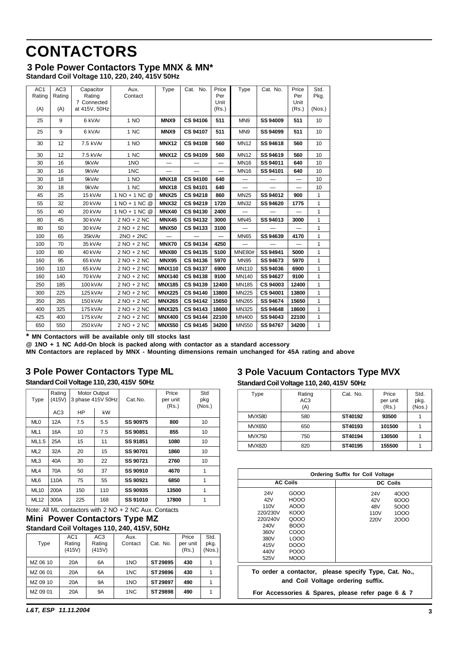# <span id="page-3-0"></span>**CONTACTORS**

#### **3 Pole Power Contactors Type MNX & MN\* Standard Coil Voltage 110, 220, 240, 415V 50Hz**

| AC <sub>1</sub><br>Rating | AC <sub>3</sub><br>Rating | Capacitor<br>Rating<br>? Connected | Aux.<br>Contact | Type          | Cat. No.        | Price<br>Per<br>Unit     | Type                     | Cat. No.        | Price<br>Per<br>Unit | Std.<br>Pkg. |
|---------------------------|---------------------------|------------------------------------|-----------------|---------------|-----------------|--------------------------|--------------------------|-----------------|----------------------|--------------|
| (A)                       | (A)                       | at 415V, 50Hz                      |                 |               |                 | (Rs.)                    |                          |                 | (Rs.)                | (Nos.)       |
| 25                        | 9                         | 6 kVAr                             | 1 NO            | MNX9          | CS 94106        | 511                      | MN <sub>9</sub>          | SS 94009        | 511                  | 10           |
| 25                        | 9                         | 6 kVAr                             | 1 NC            | MNX9          | <b>CS 94107</b> | 511                      | MN9                      | SS 94099        | 511                  | 10           |
| 30                        | $12 \overline{ }$         | 7.5 kVAr                           | 1 NO            | <b>MNX12</b>  | <b>CS 94108</b> | 560                      | <b>MN12</b>              | SS 94618        | 560                  | 10           |
| 30                        | 12                        | 7.5 kVAr                           | 1 NC            | <b>MNX12</b>  | <b>CS 94109</b> | 560                      | <b>MN12</b>              | SS 94619        | 560                  | 10           |
| 30                        | 16                        | 9kVAr                              | 1NO             |               |                 | —                        | <b>MN16</b>              | SS 94011        | 640                  | 10           |
| 30                        | 16                        | 9kVAr                              | 1NC             |               |                 | $\overline{\phantom{0}}$ | <b>MN16</b>              | SS 94101        | 640                  | 10           |
| 30                        | 18                        | 9kVAr                              | 1 NO            | <b>MNX18</b>  | <b>CS 94100</b> | 640                      |                          |                 |                      | 10           |
| 30                        | 18                        | 9kVAr                              | 1 NC            | <b>MNX18</b>  | CS 94101        | 640                      | $\overline{\phantom{0}}$ |                 |                      | 10           |
| 45                        | 25                        | 15 kVAr                            | 1 NO + 1 NC @   | <b>MNX25</b>  | <b>CS 94218</b> | 860                      | <b>MN25</b>              | SS 94012        | 900                  | 1            |
| 55                        | 32                        | 20 kVAr                            | 1 NO + 1 NC @   | <b>MNX32</b>  | CS 94219        | 1720                     | <b>MN32</b>              | SS 94620        | 1775                 | 1            |
| 55                        | 40                        | 20 kVAr                            | 1 NO + 1 NC @   | <b>MNX40</b>  | CS 94130        | 2400                     |                          |                 |                      | 1            |
| 80                        | 45                        | 30 kVAr                            | $2 NO + 2 NC$   | <b>MNX45</b>  | <b>CS 94132</b> | 3000                     | <b>MN45</b>              | SS 94013        | 3000                 | 1            |
| 80                        | 50                        | 30 kVAr                            | 2 NO + 2 NC     | <b>MNX50</b>  | CS 94133        | 3100                     |                          |                 |                      | 1            |
| 100                       | 65                        | 35kVAr                             | $2NO + 2NC$     |               |                 |                          | <b>MN65</b>              | SS 94639        | 4170                 | $\mathbf{1}$ |
| 100                       | 70                        | 35 kVAr                            | 2 NO + 2 NC     | <b>MNX70</b>  | CS 94134        | 4250                     |                          |                 |                      | 1            |
| 100                       | 80                        | 40 kVAr                            | 2 NO + 2 NC     | <b>MNX80</b>  | CS 94135        | 5100                     | <b>MNE80#</b>            | SS 94941        | 5000                 | 1            |
| 160                       | 95                        | 65 kVAr                            | $2 NO + 2 NC$   | <b>MNX95</b>  | <b>CS 94136</b> | 5970                     | <b>MN95</b>              | SS 94673        | 5970                 | 1            |
| 160                       | 110                       | 65 kVAr                            | 2 NO + 2 NC     | <b>MNX110</b> | <b>CS 94137</b> | 6900                     | MN110                    | SS 94036        | 6900                 | 1            |
| 160                       | 140                       | 70 kVAr                            | 2 NO + 2 NC     | <b>MNX140</b> | <b>CS 94138</b> | 9100                     | <b>MN140</b>             | SS 94627        | 9100                 | 1            |
| 250                       | 185                       | 100 kVAr                           | 2 NO + 2 NC     | <b>MNX185</b> | CS 94139        | 12400                    | MN185                    | <b>CS 94003</b> | 12400                | 1            |
| 300                       | 225                       | 125 kVAr                           | 2 NO + 2 NC     | <b>MNX225</b> | <b>CS 94140</b> | 13800                    | <b>MN225</b>             | <b>CS 94001</b> | 13800                | 1            |
| 350                       | 265                       | 150 kVAr                           | 2 NO + 2 NC     | <b>MNX265</b> | <b>CS 94142</b> | 15650                    | MN265                    | SS 94674        | 15650                | 1            |
| 400                       | 325                       | 175 kVAr                           | 2 NO + 2 NC     | <b>MNX325</b> | <b>CS 94143</b> | 18600                    | MN325                    | SS 94648        | 18600                | $\mathbf{1}$ |
| 425                       | 400                       | 175 kVAr                           | 2 NO + 2 NC     | <b>MNX400</b> | <b>CS 94144</b> | 22100                    | MN400                    | SS 94043        | 22100                | 1            |
| 650                       | 550                       | 250 kVAr                           | 2 NO + 2 NC     | <b>MNX550</b> | <b>CS 94145</b> | 34200                    | <b>MN550</b>             | SS 94767        | 34200                | $\mathbf{1}$ |

**\* MN Contactors will be available only till stocks last**

**@ 1NO + 1 NC Add-On block is packed along with contactor as a standard accessory**

**MN Contactors are replaced by MNX - Mounting dimensions remain unchanged for 45A rating and above**

# **3 Pole Power Contactors Type ML**

**Standard Coil Voltage 110, 230, 415V 50Hz**

| Type            | Rating<br>(415V) | Motor Output<br>3 phase 415V 50Hz |     | Cat.No.  | Price<br>per unit<br>(Rs.) | Std<br>pkg<br>(Nos.) |
|-----------------|------------------|-----------------------------------|-----|----------|----------------------------|----------------------|
|                 | AC <sub>3</sub>  | <b>HP</b>                         | kW  |          |                            |                      |
| ML <sub>0</sub> | 12A              | 7.5                               | 5.5 | SS 90975 | 800                        | 10                   |
| ML <sub>1</sub> | 16A              | 10                                | 7.5 | SS 90851 | 855                        | 10                   |
| ML1.5           | 25A              | 15                                | 11  | SS 91851 | 1080                       | 10                   |
| ML2             | 32A              | 20                                | 15  | SS 90701 | 1860                       | 10                   |
| ML3             | 40A              | 30                                | 22  | SS 90721 | 2760                       | 10                   |
| ML <sub>4</sub> | 70A              | 50                                | 37  | SS 90910 | 4670                       | 1                    |
| ML <sub>6</sub> | 110A             | 75                                | 55  | SS 90921 | 6850                       | 1                    |
| <b>ML10</b>     | 200A             | 150                               | 110 | SS 90935 | 13500                      | 1                    |
| <b>ML12</b>     | 300A             | 225                               | 168 | SS 91010 | 17800                      | 1                    |

Note: All ML contactors with 2 NO + 2 NC Aux. Contacts

#### **Mini Power Contactors Type MZ Standard Coil Voltages 110, 240, 415V, 50Hz**

| Type     | AC <sub>1</sub><br>Rating<br>(415V) | AC <sub>3</sub><br>Rating<br>(415V) | Aux.<br>Contact | Cat. No. | Price<br>per unit<br>(Rs.) | Std.<br>pkg.<br>(Nos.) |
|----------|-------------------------------------|-------------------------------------|-----------------|----------|----------------------------|------------------------|
| MZ 06 10 | 20A                                 | 6A                                  | 1NO             | ST 29895 | 430                        |                        |
| MZ 06 01 | 20A                                 | 6A                                  | 1NC             | ST 29896 | 430                        |                        |
| MZ 09 10 | 20A                                 | <b>9A</b>                           | 1NO             | ST 29897 | 490                        |                        |
| MZ 09 01 | 20A                                 | <b>9A</b>                           | 1NC             | ST 29898 | 490                        |                        |

### **3 Pole Vacuum Contactors Type MVX Standard Coil Voltage 110, 240, 415V 50Hz**

| Type          | Rating<br>AC <sub>3</sub><br>(A) | Cat. No. | Price<br>per unit<br>(Rs.) | Std.<br>pkg.<br>(Nos.) |
|---------------|----------------------------------|----------|----------------------------|------------------------|
| <b>MVX580</b> | 580                              | ST40192  | 93500                      |                        |
| <b>MVX650</b> | 650                              | ST40193  | 101500                     |                        |
| <b>MVX750</b> | 750                              | ST40194  | 130500                     |                        |
| <b>MVX820</b> | 820                              | ST40195  | 155500                     |                        |

| <b>Ordering Suffix for Coil Voltage</b>                                                   |                 |  |      |                 |  |
|-------------------------------------------------------------------------------------------|-----------------|--|------|-----------------|--|
|                                                                                           | <b>AC Coils</b> |  |      | <b>DC Coils</b> |  |
| <b>24V</b>                                                                                | GOOO            |  | 24V  | 4000            |  |
| 42V                                                                                       | <b>HOOO</b>     |  | 42V  | 6000            |  |
| 110V                                                                                      | AOOO            |  | 48V  | 5000            |  |
| 220/230V                                                                                  | KOOO            |  | 110V | 1000            |  |
| 220/240V                                                                                  | 0000            |  | 220V | 2000            |  |
| 240V                                                                                      | <b>BOOO</b>     |  |      |                 |  |
| 360V                                                                                      | COOO            |  |      |                 |  |
| 380V                                                                                      | LOOO            |  |      |                 |  |
| 415V                                                                                      | DOOO            |  |      |                 |  |
| 440V                                                                                      | POOO            |  |      |                 |  |
| 525V                                                                                      | <b>MOOO</b>     |  |      |                 |  |
| To order a contactor, please specify Type, Cat. No.,<br>and Coil Voltage ordering suffix. |                 |  |      |                 |  |
| For Accessories & Spares, please refer page 6 & 7                                         |                 |  |      |                 |  |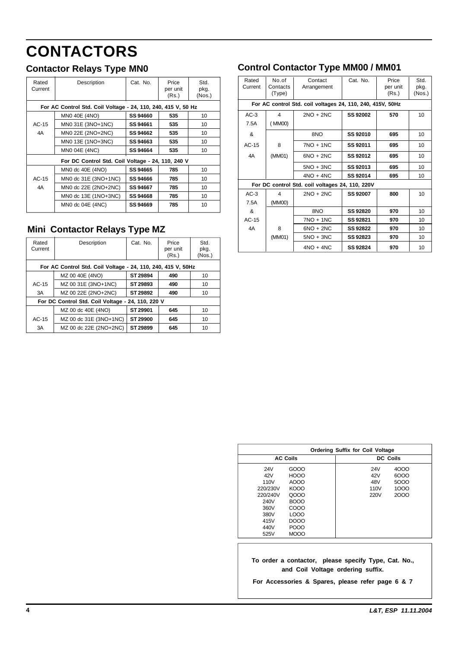# **CONTACTORS**

| Rated<br>Current | Description                                                   | Cat. No. | Price<br>per unit<br>(Rs.) | Std.<br>pkg.<br>(Nos.) |
|------------------|---------------------------------------------------------------|----------|----------------------------|------------------------|
|                  | For AC Control Std. Coil Voltage - 24, 110, 240, 415 V, 50 Hz |          |                            |                        |
|                  | MN0 40E (4NO)                                                 | SS 94660 | 535                        | 10                     |
| $AC-15$          | MN0 31E (3NO+1NC)                                             | SS 94661 | 535                        | 10                     |
| 4A               | MN0 22E (2NO+2NC)                                             | SS 94662 | 535                        | 10                     |
|                  | MN0 13E (1NO+3NC)                                             | SS 94663 | 535                        | 10                     |
|                  | MN0 04E (4NC)                                                 | SS 94664 | 535                        | 10                     |
|                  | For DC Control Std. Coil Voltage - 24, 110, 240 V             |          |                            |                        |
|                  | MN0 dc 40E (4NO)                                              | SS 94665 | 785                        | 10                     |
| $AC-15$          | MN0 dc 31E (3NO+1NC)                                          | SS 94666 | 785                        | 10                     |
| 4A               | MN0 dc 22E (2NO+2NC)                                          | SS 94667 | 785                        | 10                     |
|                  | MN0 dc 13E (1NO+3NC)                                          | SS 94668 | 785                        | 10                     |
|                  | $MNO$ dc $04E$ (4NC)                                          | SS 94669 | 785                        | 10                     |

# **Mini Contactor Relays Type MZ**

| Rated<br>Current | Description                                                  | Cat. No. | Price<br>per unit<br>(Rs.) | Std.<br>pkg.<br>(Nos.) |  |  |  |  |  |
|------------------|--------------------------------------------------------------|----------|----------------------------|------------------------|--|--|--|--|--|
|                  | For AC Control Std. Coil Voltage - 24, 110, 240, 415 V, 50Hz |          |                            |                        |  |  |  |  |  |
|                  | MZ 00 40E (4NO)                                              | ST 29894 | 490                        | 10                     |  |  |  |  |  |
| $AC-15$          | MZ 00 31E (3NO+1NC)                                          | ST 29893 | 490                        | 10                     |  |  |  |  |  |
| 3A               | MZ 00 22E (2NO+2NC)                                          | ST 29892 | 490                        | 10                     |  |  |  |  |  |
|                  | For DC Control Std. Coil Voltage - 24, 110, 220 V            |          |                            |                        |  |  |  |  |  |
|                  | MZ 00 dc 40E (4NO)                                           | ST 29901 | 645                        | 10                     |  |  |  |  |  |
| $AC-15$          | MZ 00 dc 31E (3NO+1NC)                                       | ST 29900 | 645                        | 10                     |  |  |  |  |  |
| 3A               | MZ 00 dc 22E (2NO+2NC)                                       | ST 29899 | 645                        | 10                     |  |  |  |  |  |

# **Contactor Relays Type MN0 Control Contactor Type MM00 / MM01**

| Rated<br>Current | No.of<br>Contacts<br>(Type) | Contact<br>Arrangement                                     | Cat. No.        | Price<br>per unit<br>(Rs.) | Std.<br>pkg.<br>(Nos.) |
|------------------|-----------------------------|------------------------------------------------------------|-----------------|----------------------------|------------------------|
|                  |                             | For AC control Std. coil voltages 24, 110, 240, 415V, 50Hz |                 |                            |                        |
| $AC-3$           | 4                           | $2NO + 2NC$                                                | <b>SS 92002</b> | 570                        | 10                     |
| 7.5A             | (MM00)                      |                                                            |                 |                            |                        |
| &                |                             | 8NO                                                        | SS 92010        | 695                        | 10                     |
| $AC-15$          | 8                           | $7NO + 1NC$                                                | SS 92011        | 695                        | 10                     |
| 4A               | (MM01)                      | $6NO + 2NC$                                                | SS 92012        | 695                        | 10                     |
|                  |                             | $5NO + 3NC$                                                | SS 92013        | 695                        | 10                     |
|                  |                             | $4NO + 4NC$                                                | SS 92014        | 695                        | 10                     |
|                  |                             | For DC control Std. coil voltages 24, 110, 220V            |                 |                            |                        |
| $AC-3$           | 4                           | $2NO + 2NC$                                                | SS 92007        | 800                        | 10                     |
| 7.5A             | (MM00)                      |                                                            |                 |                            |                        |
| &                |                             | 8NO                                                        | SS 92820        | 970                        | 10                     |
| $AC-15$          |                             | $7NO + 1NC$                                                | SS 92821        | 970                        | 10                     |
| 4A               | 8                           | $6NO + 2NC$                                                | SS 92822        | 970                        | 10                     |
|                  | (MM01)                      | $5NO + 3NC$                                                | SS 92823        | 970                        | 10                     |
|                  |                             | $4NO + 4NC$                                                | SS 92824        | 970                        | 10                     |

|          | <b>Ordering Suffix for Coil Voltage</b> |  |  |                  |      |  |  |
|----------|-----------------------------------------|--|--|------------------|------|--|--|
|          | <b>AC Coils</b>                         |  |  | <b>DC Coils</b>  |      |  |  |
| 24V      | GOOO                                    |  |  | 24V              | 4000 |  |  |
| 42V      | <b>HOOO</b>                             |  |  | 42V              | 6000 |  |  |
| 110V     | AOOO                                    |  |  | 48V              | 5000 |  |  |
| 220/230V | KOOO                                    |  |  | 110 <sub>V</sub> | 1000 |  |  |
| 220/240V | Q000                                    |  |  | 220V             | 2000 |  |  |
| 240V     | BOOO                                    |  |  |                  |      |  |  |
| 360V     | COOO                                    |  |  |                  |      |  |  |
| 380V     | LOOO                                    |  |  |                  |      |  |  |
| 415V     | DOOO                                    |  |  |                  |      |  |  |
| 440V     | POOO                                    |  |  |                  |      |  |  |
| 525V     | <b>MOOO</b>                             |  |  |                  |      |  |  |

**To order a contactor, please specify Type, Cat. No., and Coil Voltage ordering suffix.**

**For Accessories & Spares, please refer page 6 & 7**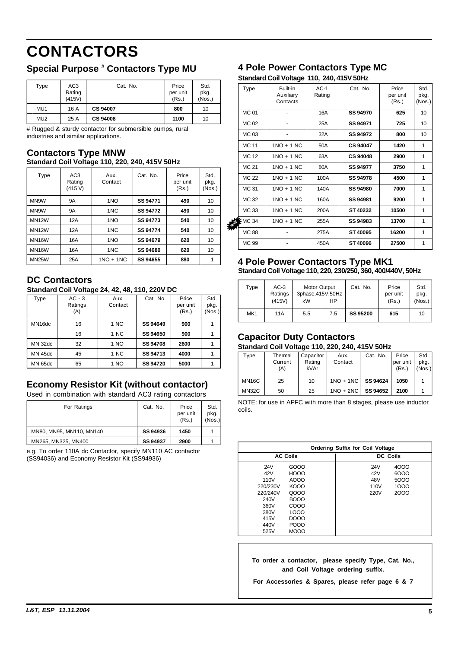# **CONTACTORS**

# **Special Purpose # Contactors Type MU**

| Type            | AC <sub>3</sub><br>Rating<br>(415V) | Cat. No.        | Price<br>per unit<br>(Rs.) | Std.<br>pkg.<br>(Nos.) |
|-----------------|-------------------------------------|-----------------|----------------------------|------------------------|
| MU1             | 16 A                                | <b>CS 94007</b> | 800                        | 10                     |
| MU <sub>2</sub> | 25 A                                | <b>CS 94008</b> | 1100                       | 10                     |

# Rugged & sturdy contactor for submersible pumps, rural industries and similar applications.

#### **Standard Coil Voltage 110, 220, 240, 415V 50Hz Contactors Type MNW**

| Type               | AC <sub>3</sub><br>Rating<br>(415 V) | Aux.<br>Contact | Cat. No. | Price<br>per unit<br>(Rs.) | Std.<br>pkg.<br>(Nos.) |
|--------------------|--------------------------------------|-----------------|----------|----------------------------|------------------------|
| MN9W               | <b>9A</b>                            | 1 <sub>NO</sub> | SS 94771 | 490                        | 10                     |
| MN9W               | <b>9A</b>                            | 1NC             | SS 94772 | 490                        | 10                     |
| <b>MN12W</b>       | 12A                                  | 1NO             | SS 94773 | 540                        | 10                     |
| <b>MN12W</b>       | 12A                                  | 1NC             | SS 94774 | 540                        | 10                     |
| MN <sub>16</sub> W | 16A                                  | 1 <sub>NO</sub> | SS 94679 | 620                        | 10                     |
| MN16W              | 16A                                  | 1NC             | SS 94680 | 620                        | 10                     |
| <b>MN25W</b>       | 25A                                  | $1NO + 1NC$     | SS 94655 | 880                        | 1                      |

# **DC Contactors**

**Standard Coil Voltage 24, 42, 48, 110, 220V DC**

| Type               | $AC - 3$<br>Ratings<br>(A) | Aux.<br>Contact | Cat. No.        | Price<br>per unit<br>(Rs.) | Std.<br>pkg.<br>(Nos.) |
|--------------------|----------------------------|-----------------|-----------------|----------------------------|------------------------|
| MN <sub>16dc</sub> | 16                         | 1 NO            | SS 94649        | 900                        |                        |
|                    | 16                         | 1 NC            | <b>SS 94650</b> | 900                        |                        |
| <b>MN 32dc</b>     | 32                         | 1 NO            | <b>SS 94708</b> | 2600                       |                        |
| <b>MN 45dc</b>     | 45                         | 1 NC            | SS 94713        | 4000                       |                        |
| MN 65dc            | 65                         | 1 NO            | <b>SS 94720</b> | 5000                       |                        |

# **Economy Resistor Kit (without contactor)**

Used in combination with standard AC3 rating contactors

| For Ratings              | Cat. No.        | Price<br>per unit<br>(Rs.) | Std.<br>pkg.<br>(Nos.) |
|--------------------------|-----------------|----------------------------|------------------------|
| MN80, MN95, MN110, MN140 | SS 94936        | 1450                       |                        |
| MN265, MN325, MN400      | <b>SS 94937</b> | 2900                       |                        |

e.g. To order 110A dc Contactor, specify MN110 AC contactor (SS94036) and Economy Resistor Kit (SS94936)

# **Contactors Type MU 4 Pole Power Contactors Type MC**

**Standard Coil Voltage 110, 240, 415V 50Hz**

| Type           | Built-in<br>Auxiliary<br>Contacts | $AC-1$<br>Rating | Cat. No.        | Price<br>per unit<br>(Rs.) | Std.<br>pkg.<br>(Nos.) |
|----------------|-----------------------------------|------------------|-----------------|----------------------------|------------------------|
| <b>MC01</b>    |                                   | 16A              | SS 94970        | 625                        | 10                     |
| MC 02          |                                   | 25A              | SS 94971        | 725                        | 10                     |
| MC 03          |                                   | 32A              | SS 94972        | 800                        | 10                     |
| <b>MC 11</b>   | $1NO + 1 NC$                      | 50A              | <b>CS 94047</b> | 1420                       | 1                      |
| <b>MC 12</b>   | 1NO + 1 NC                        | 63A              | <b>CS 94048</b> | 2900                       | 1                      |
| <b>MC 21</b>   | $1NO + 1 NC$                      | 80A              | SS 94977        | 3750                       | 1                      |
| <b>MC 22</b>   | $1NO + 1 NC$                      | 100A             | SS 94978        | 4500                       | 1                      |
| <b>MC 31</b>   | $1NO + 1 NC$                      | 140A             | <b>SS 94980</b> | 7000                       | 1                      |
| MC 32          | $1NO + 1 NC$                      | 160A             | SS 94981        | 9200                       | 1                      |
| MC 33          | $1NO + 1 NC$                      | 200A             | ST 40232        | 10500                      | 1                      |
| \$<br>$5MC$ 34 | $1NO + 1 NC$                      | 255A             | SS 94983        | 13700                      | 1                      |
| <b>MC 88</b>   |                                   | 275A             | ST40095         | 16200                      | 1                      |
| MC 99          |                                   | 450A             | ST40096         | 27500                      | 1                      |
|                |                                   |                  |                 |                            |                        |

#### **Standard Coil Voltage 110, 220, 230/250, 360, 400/440V, 50Hz 4 Pole Power Contactors Type MK1**

| Type            | $AC-3$<br>Ratings<br>(415V) | Motor Output<br>kW | 3phase, 415V, 50Hz<br>НP | Cat. No. | Price<br>per unit<br>(Rs.) | Std.<br>pkg.<br>(Nos.) |
|-----------------|-----------------------------|--------------------|--------------------------|----------|----------------------------|------------------------|
| MK <sub>1</sub> | 11A                         | 5.5                | 7.5                      | SS 95200 | 615                        | 10                     |

### **Capacitor Duty Contactors**

#### **Standard Coil Voltage 110, 220, 240, 415V 50Hz**

| Type               | Thermal<br>Current<br>(A) | Capacitor<br>Rating<br>kVAr | Aux.<br>Contact | Cat. No. | Price<br>per unit<br>(Rs.) | Std.<br>pkg.<br>(Nos.) |
|--------------------|---------------------------|-----------------------------|-----------------|----------|----------------------------|------------------------|
| MN <sub>16</sub> C | 25                        | 10                          | $1NO + 1NC$     | SS 94624 | 1050                       |                        |
| <b>MN32C</b>       | 50                        | 25                          | $1NO + 2NC$     | SS 94652 | 2100                       |                        |

NOTE: for use in APFC with more than 8 stages, please use inductor coils.

|                                                                                                        | <b>Ordering Suffix for Coil Voltage</b>                                                                   |  |                                   |                                      |  |  |
|--------------------------------------------------------------------------------------------------------|-----------------------------------------------------------------------------------------------------------|--|-----------------------------------|--------------------------------------|--|--|
|                                                                                                        | <b>AC Coils</b>                                                                                           |  | <b>DC Coils</b>                   |                                      |  |  |
| 24V<br>42V<br>110 <sub>V</sub><br>220/230V<br>220/240V<br>240V<br>360V<br>380V<br>415V<br>440V<br>525V | GOOO<br><b>HOOO</b><br>AOOO<br>KOOO<br>Q000<br><b>BOOO</b><br>COOO<br>LOOO<br>DOOO<br>POOO<br><b>MOOO</b> |  | 24V<br>42V<br>48V<br>110V<br>220V | 4000<br>6000<br>5000<br>1000<br>2000 |  |  |

**To order a contactor, please specify Type, Cat. No., and Coil Voltage ordering suffix.**

**For Accessories & Spares, please refer page 6 & 7**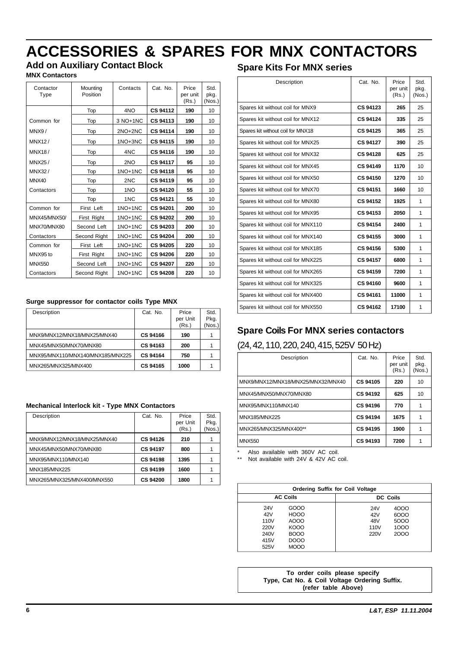# **ACCESSORIES & SPARES FOR MNX CONTACTORS**

# **Add on Auxiliary Contact Block**

**MNX Contactors**

| Contactor<br>Type | Mounting<br>Position | Contacts  | Cat. No.        | Price<br>per unit | Std.<br>pkg. |
|-------------------|----------------------|-----------|-----------------|-------------------|--------------|
|                   |                      |           | <b>CS 94112</b> | (Rs.)<br>190      | (Nos.)       |
|                   | Top                  | 4NO       |                 |                   | 10           |
| Common for        | Top                  | 3 NO+1NC  | <b>CS 94113</b> | 190               | 10           |
| MN8/              | Top                  | 2NO+2NC   | CS 94114        | 190               | 10           |
| MNX12/            | Top                  | 1NO+3NC   | CS 94115        | 190               | 10           |
| <b>MNX18/</b>     | Top                  | 4NC       | CS 94116        | 190               | 10           |
| MNX25/            | Top                  | 2NO       | <b>CS 94117</b> | 95                | 10           |
| MNX32/            | Top                  | $1NO+1NC$ | <b>CS 94118</b> | 95                | 10           |
| MNX40             | Top                  | 2NC       | CS 94119        | 95                | 10           |
| Contactors        | Top                  | 1NO       | <b>CS 94120</b> | 55                | 10           |
|                   | Top                  | 1NC       | <b>CS 94121</b> | 55                | 10           |
| Common for        | First Left           | $1NO+1NC$ | <b>CS 94201</b> | 200               | 10           |
| MNX45/MNX50/      | First Right          | $1NO+1NC$ | <b>CS 94202</b> | 200               | 10           |
| MNX70/MNX80       | Second Left          | 1NO+1NC   | CS 94203        | 200               | 10           |
| Contactors        | Second Right         | $1NO+1NC$ | <b>CS 94204</b> | 200               | 10           |
| Common for        | First Left           | $1NO+1NC$ | <b>CS 94205</b> | 220               | 10           |
| MNX95 to          | First Right          | $1NO+1NC$ | <b>CS 94206</b> | 220               | 10           |
| <b>MNX550</b>     | Second Left          | 1NO+1NC   | <b>CS 94207</b> | 220               | 10           |
| Contactors        | Second Right         | $1NO+1NC$ | <b>CS 94208</b> | 220               | 10           |

#### **Surge suppressor for contactor coils Type MNX**

| Description                       | Cat. No.        | Price<br>per Unit<br>(Rs.) | Std.<br>Pkg.<br>(Nos.) |
|-----------------------------------|-----------------|----------------------------|------------------------|
| MNX9/MNX12/MNX18/MNX25/MNX40      | <b>CS 94166</b> | 190                        |                        |
| MNX45/MNX50/MNX70/MNX80           | CS 94163        | 200                        |                        |
| MNX95/MNX110/MNX140/MNX185/MNX225 | CS 94164        | 750                        |                        |
| MNX265/MNX325/MNX400              | <b>CS 94165</b> | 1000                       |                        |

#### **Mechanical Interlock kit - Type MNX Contactors**

| Description                  | Cat. No.        | Price<br>per Unit<br>(Rs.) | Std.<br>Pkg.<br>(Nos.) |
|------------------------------|-----------------|----------------------------|------------------------|
| MNX9/MNX12/MNX18/MNX25/MNX40 | <b>CS 94126</b> | 210                        |                        |
| MNX45/MNX50/MNX70/MNX80      | <b>CS 94197</b> | 800                        |                        |
| MNX95/MNX110/MNX140          | <b>CS 94198</b> | 1395                       |                        |
| MNX185/MNX225                | <b>CS 94199</b> | 1600                       |                        |
| MNX265/MNX325/MNX400/MNX550  | <b>CS 94200</b> | 1800                       |                        |

### **Spare Kits For MNX series**

| Description                        | Cat. No.        | Price<br>per unit<br>(Rs.) | Std.<br>pkg.<br>(Nos.) |
|------------------------------------|-----------------|----------------------------|------------------------|
| Spares kit without coil for MNX9   | CS 94123        | 265                        | 25                     |
| Spares kit without coil for MNX12  | CS 94124        | 335                        | 25                     |
| Spares kit without coil for MNX18  | <b>CS 94125</b> | 365                        | 25                     |
| Spares kit without coil for MNX25  | <b>CS 94127</b> | 390                        | 25                     |
| Spares kit without coil for MNX32  | CS 94128        | 625                        | 25                     |
| Spares kit without coil for MNX45  | CS 94149        | 1170                       | 10                     |
| Spares kit without coil for MNX50  | CS 94150        | 1270                       | 10                     |
| Spares kit without coil for MNX70  | CS 94151        | 1660                       | 10                     |
| Spares kit without coil for MNX80  | CS 94152        | 1925                       | 1                      |
| Spares kit without coil for MNX95  | CS 94153        | 2050                       | 1                      |
| Spares kit without coil for MNX110 | <b>CS 94154</b> | 2400                       | 1                      |
| Spares kit without coil for MNX140 | CS 94155        | 3000                       | 1                      |
| Spares kit without coil for MNX185 | <b>CS 94156</b> | 5300                       | 1                      |
| Spares kit without coil for MNX225 | CS 94157        | 6800                       | 1                      |
| Spares kit without coil for MNX265 | CS 94159        | 7200                       | 1                      |
| Spares kit without coil for MNX325 | <b>CS 94160</b> | 9600                       | 1                      |
| Spares kit without coil for MNX400 | CS 94161        | 11000                      | 1                      |
| Spares kit without coil for MNX550 | CS 94162        | 17100                      | 1                      |

### **Spare Coils For MNX series contactors**

#### (24, 42, 110, 220, 240, 415, 525V 50 Hz)

| Description                        | Cat. No.        | Price<br>per unit<br>(Rs.) | Std.<br>pkg.<br>(Nos.) |
|------------------------------------|-----------------|----------------------------|------------------------|
| MNX9/MNX12/MNX18/MNX25/MNX32/MNX40 | CS 94105        | 220                        | 10                     |
| MNX45/MNX50/MNX70/MNX80            | CS 94192        | 625                        | 10                     |
| MNX95/MNX110/MNX140                | CS 94196        | 770                        |                        |
| MNX185/MNX225                      | CS 94194        | 1675                       |                        |
| MNX265/MNX325/MNX400**             | CS 94195        | 1900                       |                        |
| <b>MNX550</b>                      | <b>CS 94193</b> | 7200                       |                        |

Also available with 360V AC coil.

Not available with 24V & 42V AC coil.

| <b>Ordering Suffix for Coil Voltage</b>                                                       |                                                                                       |  |  |  |  |
|-----------------------------------------------------------------------------------------------|---------------------------------------------------------------------------------------|--|--|--|--|
| <b>AC Coils</b>                                                                               | <b>DC Coils</b>                                                                       |  |  |  |  |
| GOOO<br>24V<br><b>HOOO</b><br>42V<br>AOOO<br>110 <sub>V</sub><br>KOOO<br>220V<br>BOOO<br>240V | 24V<br>4000<br>6000<br>42V<br>5000<br>48V<br>1000<br>110 <sub>V</sub><br>2000<br>220V |  |  |  |  |
| DOOO<br>415V<br><b>MOOO</b><br>525V                                                           |                                                                                       |  |  |  |  |

**To order coils please specify Type, Cat No. & Coil Voltage Ordering Suffix. (refer table Above)**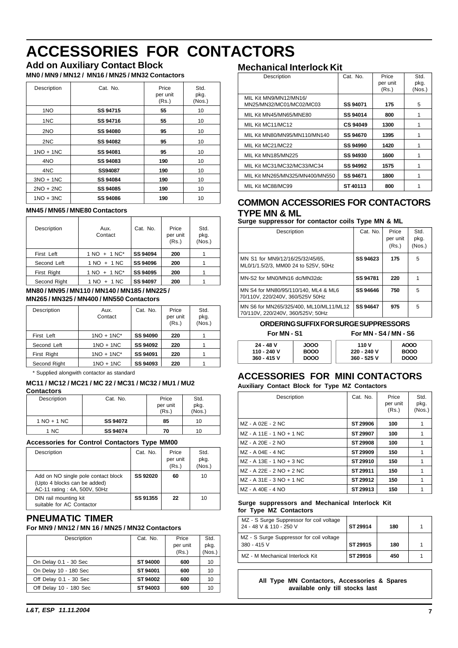# **ACCESSORIES FOR CONTACTORS**

# **Add on Auxiliary Contact Block**

**MN0 / MN9 / MN12 / MN16 / MN25 / MN32 Contactors**

| Description | Cat. No.        | Price<br>per unit<br>(Rs.) | Std.<br>pkg.<br>(Nos.) |
|-------------|-----------------|----------------------------|------------------------|
| 1NO         | SS 94715        | 55                         | 10                     |
| 1NC         | SS 94716        | 55                         | 10                     |
| 2NO         | <b>SS 94080</b> | 95                         | 10                     |
| 2NC         | <b>SS 94082</b> | 95                         | 10                     |
| $1NO + 1NC$ | SS 94081        | 95                         | 10                     |
| 4NO         | SS 94083        | 190                        | 10                     |
| 4NC         | SS94087         | 190                        | 10                     |
| $3NO + 1NC$ | SS 94084        | 190                        | 10                     |
| $2NO + 2NC$ | SS 94085        | 190                        | 10                     |
| $1NO + 3NC$ | SS 94086        | 190                        | 10                     |

#### **MN45 / MN65 / MNE80 Contactors**

| Description  | Aux.<br>Contact  | Cat. No.        | Price<br>per unit<br>(Rs.) | Std.<br>pkg.<br>(Nos.) |
|--------------|------------------|-----------------|----------------------------|------------------------|
| First Left   | $1 NQ + 1 N C^*$ | SS 94094        | 200                        |                        |
| Second Left  | $1 NQ + 1 NC$    | SS 94096        | 200                        |                        |
| First Right  | $1 NQ + 1 N C^*$ | SS 94095        | 200                        |                        |
| Second Right | $1 NQ + 1 NC$    | <b>SS 94097</b> | 200                        |                        |

#### **MN80 / MN95 / MN110 / MN140 / MN185 / MN225 / MN265 / MN325 / MN400 / MN550 Contactors**

| Description  | Aux.<br>Contact | Cat. No. | Price<br>per unit<br>(Rs.) | Std.<br>pkg.<br>(Nos.) |
|--------------|-----------------|----------|----------------------------|------------------------|
| First Left   | $1NO + 1NC^*$   | SS 94090 | 220                        |                        |
| Second Left  | $1NO + 1NC$     | SS 94092 | 220                        |                        |
| First Right  | $1NO + 1NC^*$   | SS 94091 | 220                        |                        |
| Second Right | $1NO + 1NC$     | SS 94093 | 220                        |                        |

\* Supplied alongwith contactor as standard

#### **MC11 / MC12 / MC21 / MC 22 / MC31 / MC32 / MU1 / MU2**

#### **Contactors**

| Description   | Cat. No. | Price             | Std.           |
|---------------|----------|-------------------|----------------|
|               |          | per unit<br>(Rs.) | pkg.<br>(Nos.) |
| $1 NQ + 1 NC$ | SS 94072 | 85                | 10             |
| 1 NC          | SS 94074 | 70                | 10             |

#### **Accessories for Control Contactors Type MM00**

| Description                                                                                         | Cat. No.        | Price<br>per unit<br>(Rs.) | Std.<br>pkg.<br>(Nos.) |
|-----------------------------------------------------------------------------------------------------|-----------------|----------------------------|------------------------|
| Add on NO single pole contact block<br>(Upto 4 blocks can be added)<br>AC-11 rating: 4A, 500V, 50Hz | <b>SS 92020</b> | 60                         | 10                     |
| DIN rail mounting kit<br>suitable for AC Contactor                                                  | SS 91355        | 22                         | 10                     |

#### **PNEUMATIC TIMER For MN9 / MN12 / MN 16 / MN25 / MN32 Contactors**

# Description Cat. No. Price Std. per unit | pkg.

|                        |          | (Rs.) | (Nos.) |
|------------------------|----------|-------|--------|
| On Delay 0.1 - 30 Sec  | ST 94000 | 600   | 10     |
| On Delay 10 - 180 Sec  | ST 94001 | 600   | 10     |
| Off Delay 0.1 - 30 Sec | ST 94002 | 600   | 10     |
| Off Delay 10 - 180 Sec | ST 94003 | 600   | 10     |
|                        |          |       |        |

### *L&T, ESP 11.11.2004* **7**

#### **Mechanical Interlock Kit**

| Description                                        | Cat. No.        | Price<br>per unit<br>(Rs.) | Std.<br>pkg.<br>(Nos.) |
|----------------------------------------------------|-----------------|----------------------------|------------------------|
| MIL Kit MN9/MN12/MN16/<br>MN25/MN32/MC01/MC02/MC03 | SS 94071        | 175                        | 5                      |
| MIL Kit MN45/MN65/MNE80                            | SS 94014        | 800                        |                        |
| MIL Kit MC11/MC12                                  | <b>CS 94049</b> | 1300                       |                        |
| MIL Kit MN80/MN95/MN110/MN140                      | SS 94670        | 1395                       | 1                      |
| MIL Kit MC21/MC22                                  | <b>SS 94990</b> | 1420                       | 1                      |
| MIL Kit MN185/MN225                                | <b>SS 94930</b> | 1600                       | 1                      |
| MIL Kit MC31/MC32/MC33/MC34                        | SS 94992        | 1575                       |                        |
| MIL Kit MN265/MN325/MN400/MN550                    | SS 94671        | 1800                       |                        |
| MIL Kit MC88/MC99                                  | ST 40113        | 800                        |                        |

#### **COMMON ACCESSORIES FOR CONTACTORS TYPE MN & ML**

**Surge suppressor for contactor coils Type MN & ML**

| Description                                                                  | Cat. No.        | Price<br>per unit<br>(Rs.) | Std.<br>pkg.<br>(Nos.) |
|------------------------------------------------------------------------------|-----------------|----------------------------|------------------------|
| MN S1 for MN9/12/16/25/32/45/65,<br>ML0/1/1.5/2/3, MM00 24 to 525V, 50Hz     | <b>SS 94623</b> | 175                        | 5                      |
| MN-S2 for MN0/MN16 dc/MN32dc                                                 | SS 94781        | 220                        |                        |
| MN S4 for MN80/95/110/140, ML4 & ML6<br>70/110V, 220/240V, 360/525V 50Hz     | SS 94646        | 750                        | 5                      |
| MN S6 for MN265/325/400, ML10/ML11/ML12<br>70/110V, 220/240V, 360/525V; 50Hz | SS 94647        | 975                        | 5                      |

#### **ORDERING SUFFIX FOR SURGE SUPPRESSORS**

**For MN - S1 For MN - S4 / MN - S6**

| 24 - 48 V   | JOOO        | 110 V       | <b>AOOO</b> |
|-------------|-------------|-------------|-------------|
| 110 - 240 V | <b>BOOO</b> | 220 - 240 V | <b>BOOO</b> |
| 360 - 415 V | <b>DOOO</b> | 360 - 525 V | <b>DOOO</b> |

# **ACCESSORIES FOR MINI CONTACTORS**

#### **Auxiliary Contact Block for Type MZ Contactors**

| Description                | Cat. No. | Price<br>per unit<br>(Rs.) | Std.<br>pkg.<br>(Nos.) |
|----------------------------|----------|----------------------------|------------------------|
| MZ - A 02E - 2 NC          | ST 29906 | 100                        |                        |
| MZ - A 11E - 1 NO + 1 NC   | ST 29907 | 100                        |                        |
| MZ - A 20E - 2 NO          | ST 29908 | 100                        |                        |
| l MZ - A 04E - 4 NC        | ST 29909 | 150                        |                        |
| MZ - A 13E - 1 NO + 3 NC   | ST 29910 | 150                        |                        |
| l MZ - A 22E - 2 NO + 2 NC | ST 29911 | 150                        |                        |
| MZ - A 31E - 3 NO + 1 NC   | ST 29912 | 150                        |                        |
| MZ - A 40E - 4 NO          | ST 29913 | 150                        |                        |

#### **Surge suppressors and Mechanical Interlock Kit for Type MZ Contactors**

| MZ - S Surge Suppressor for coil voltage<br>24 - 48 V & 110 - 250 V | ST 29914 | 180 |  |
|---------------------------------------------------------------------|----------|-----|--|
| MZ - S Surge Suppressor for coil voltage<br>380 - 415 V             | ST 29915 | 180 |  |
| MZ - M Mechanical Interlock Kit                                     | ST 29916 | 450 |  |

**All Type MN Contactors, Accessories & Spares available only till stocks last**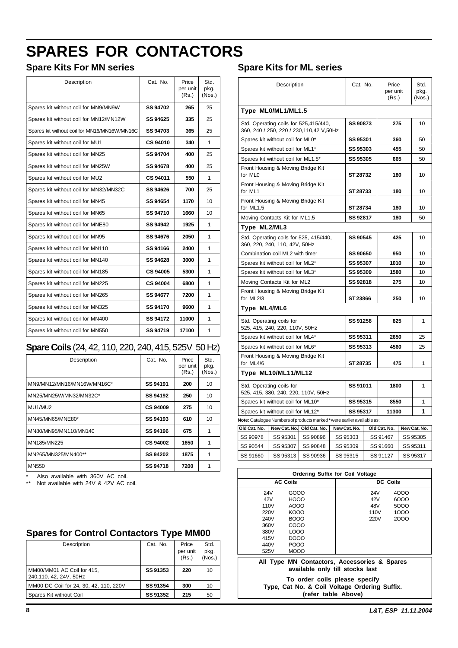# **SPARES FOR CONTACTORS**

# **Spare Kits For MN series**

| Description                                  | Cat. No.        | Price<br>per unit<br>(Rs.) | Std.<br>pkg.<br>(Nos.) |
|----------------------------------------------|-----------------|----------------------------|------------------------|
| Spares kit without coil for MN9/MN9W         | SS 94702        | 265                        | 25                     |
| Spares kit without coil for MN12/MN12W       | SS 94625        | 335                        | 25                     |
| Spares kit without coil for MN16/MN16W/MN16C | SS 94703        | 365                        | 25                     |
| Spares kit without coil for MU1              | <b>CS 94010</b> | 340                        | 1                      |
| Spares kit without coil for MN25             | SS 94704        | 400                        | 25                     |
| Spares kit without coil for MN25W            | SS 94678        | 400                        | 25                     |
| Spares kit without coil for MU2              | CS 94011        | 550                        | 1                      |
| Spares kit without coil for MN32/MN32C       | SS 94626        | 700                        | 25                     |
| Spares kit without coil for MN45             | SS 94654        | 1170                       | 10                     |
| Spares kit without coil for MN65             | SS 94710        | 1660                       | 10                     |
| Spares kit without coil for MNE80            | SS 94942        | 1925                       | 1                      |
| Spares kit without coil for MN95             | SS 94676        | 2050                       | 1                      |
| Spares kit without coil for MN110            | SS 94166        | 2400                       | 1                      |
| Spares kit without coil for MN140            | SS 94628        | 3000                       | 1                      |
| Spares kit without coil for MN185            | <b>CS 94005</b> | 5300                       | 1                      |
| Spares kit without coil for MN225            | <b>CS 94004</b> | 6800                       | 1                      |
| Spares kit without coil for MN265            | SS 94677        | 7200                       | 1                      |
| Spares kit without coil for MN325            | SS 94170        | 9600                       | 1                      |
| Spares kit without coil for MN400            | SS 94172        | 11000                      | 1                      |
| Spares kit without coil for MN550            | SS 94719        | 17100                      | 1                      |

# **Spare Coils** (24, 42, 110, 220, 240, 415, 525V 50 Hz)

| Description                | Cat. No.        | Price<br>per unit<br>(Rs.) | Std.<br>pkg.<br>(Nos.) |
|----------------------------|-----------------|----------------------------|------------------------|
| MN9/MN12/MN16/MN16W/MN16C* | SS 94191        | 200                        | 10                     |
| MN25/MN25W/MN32/MN32C*     | SS 94192        | 250                        | 10                     |
| MU1/MU2                    | <b>CS 94009</b> | 275                        | 10                     |
| MN45/MN65/MNE80*           | <b>SS 94193</b> | 610                        | 10                     |
| MN80/MN95/MN110/MN140      | SS 94196        | 675                        |                        |
| MN185/MN225                | <b>CS 94002</b> | 1650                       |                        |
| MN265/MN325/MN400**        | SS 94202        | 1875                       | 1                      |
| <b>MN550</b>               | <b>SS 94718</b> | 7200                       |                        |

\* Also available with 360V AC coil.

Not available with 24V & 42V AC coil.

# **Spares for Control Contactors Type MM00**

| Description                                          | Cat. No. | Price<br>per unit<br>(Rs.) | Std.<br>pkg.<br>(Nos.) |
|------------------------------------------------------|----------|----------------------------|------------------------|
| MM00/MM01 AC Coil for 415,<br>240,110, 42, 24V, 50Hz | SS 91353 | 220                        | 10                     |
| MM00 DC Coil for 24, 30, 42, 110, 220V               | SS 91354 | 300                        | 10                     |
| Spares Kit without Coil                              | SS 91352 | 215                        | 50                     |

# **Spare Kits for ML series**

| Type ML0/ML1/ML1.5<br>Std. Operating coils for 525,415/440,<br>SS 90873<br>275<br>10<br>360, 240 / 250, 220 / 230,110,42 V,50Hz<br>Spares kit without coil for ML0*<br>SS 95301<br>360<br>50<br>SS 95303<br>Spares kit without coil for ML1*<br>455<br>50<br>SS 95305<br>Spares kit without coil for ML1.5*<br>665<br>50<br>Front Housing & Moving Bridge Kit<br>for ML0<br>ST 28732<br>180<br>10<br>Front Housing & Moving Bridge Kit<br>ST 28733<br>for ML1<br>180<br>10<br>Front Housing & Moving Bridge Kit<br>for ML1.5<br>ST 28734<br>180<br>10<br>SS 92817<br>Moving Contacts Kit for ML1.5<br>180<br>50<br>Type ML2/ML3<br>Std. Operating coils for 525, 415/440,<br>SS 90545<br>425<br>10<br>360, 220, 240, 110, 42V, 50Hz<br>Combination coil ML2 with timer<br>SS 90650<br>950<br>10<br>SS 95307<br>Spares kit without coil for ML2*<br>1010<br>10<br>Spares kit without coil for ML3*<br>SS 95309<br>1580<br>10<br>Moving Contacts Kit for ML2<br>SS 92818<br>275<br>10<br>Front Housing & Moving Bridge Kit<br>for ML2/3<br>ST 23866<br>250<br>10<br>Type ML4/ML6<br>Std. Operating coils for<br>SS 91258<br>825<br>1<br>525, 415, 240, 220, 110V, 50Hz<br>Spares kit without coil for ML4*<br>SS 95311<br>2650<br>25<br>SS 95313<br>Spares kit without coil for ML6*<br>4560<br>25<br>Front Housing & Moving Bridge Kit<br>ST 28735<br>for ML4/6<br>475<br>1<br>Type ML10/ML11/ML12<br>Std. Operating coils for<br>SS 91011<br>1<br>1800<br>525, 415, 380, 240, 220, 110V, 50Hz<br>Spares kit without coil for ML10*<br>SS 95315<br>8550<br>1<br>1 | Description                       | Cat. No. | Price<br>per unit<br>(Rs.) | Std.<br>pkg.<br>(Nos.) |
|------------------------------------------------------------------------------------------------------------------------------------------------------------------------------------------------------------------------------------------------------------------------------------------------------------------------------------------------------------------------------------------------------------------------------------------------------------------------------------------------------------------------------------------------------------------------------------------------------------------------------------------------------------------------------------------------------------------------------------------------------------------------------------------------------------------------------------------------------------------------------------------------------------------------------------------------------------------------------------------------------------------------------------------------------------------------------------------------------------------------------------------------------------------------------------------------------------------------------------------------------------------------------------------------------------------------------------------------------------------------------------------------------------------------------------------------------------------------------------------------------------------------------------------------------------------|-----------------------------------|----------|----------------------------|------------------------|
|                                                                                                                                                                                                                                                                                                                                                                                                                                                                                                                                                                                                                                                                                                                                                                                                                                                                                                                                                                                                                                                                                                                                                                                                                                                                                                                                                                                                                                                                                                                                                                  |                                   |          |                            |                        |
|                                                                                                                                                                                                                                                                                                                                                                                                                                                                                                                                                                                                                                                                                                                                                                                                                                                                                                                                                                                                                                                                                                                                                                                                                                                                                                                                                                                                                                                                                                                                                                  |                                   |          |                            |                        |
|                                                                                                                                                                                                                                                                                                                                                                                                                                                                                                                                                                                                                                                                                                                                                                                                                                                                                                                                                                                                                                                                                                                                                                                                                                                                                                                                                                                                                                                                                                                                                                  |                                   |          |                            |                        |
|                                                                                                                                                                                                                                                                                                                                                                                                                                                                                                                                                                                                                                                                                                                                                                                                                                                                                                                                                                                                                                                                                                                                                                                                                                                                                                                                                                                                                                                                                                                                                                  |                                   |          |                            |                        |
|                                                                                                                                                                                                                                                                                                                                                                                                                                                                                                                                                                                                                                                                                                                                                                                                                                                                                                                                                                                                                                                                                                                                                                                                                                                                                                                                                                                                                                                                                                                                                                  |                                   |          |                            |                        |
|                                                                                                                                                                                                                                                                                                                                                                                                                                                                                                                                                                                                                                                                                                                                                                                                                                                                                                                                                                                                                                                                                                                                                                                                                                                                                                                                                                                                                                                                                                                                                                  |                                   |          |                            |                        |
|                                                                                                                                                                                                                                                                                                                                                                                                                                                                                                                                                                                                                                                                                                                                                                                                                                                                                                                                                                                                                                                                                                                                                                                                                                                                                                                                                                                                                                                                                                                                                                  |                                   |          |                            |                        |
|                                                                                                                                                                                                                                                                                                                                                                                                                                                                                                                                                                                                                                                                                                                                                                                                                                                                                                                                                                                                                                                                                                                                                                                                                                                                                                                                                                                                                                                                                                                                                                  |                                   |          |                            |                        |
|                                                                                                                                                                                                                                                                                                                                                                                                                                                                                                                                                                                                                                                                                                                                                                                                                                                                                                                                                                                                                                                                                                                                                                                                                                                                                                                                                                                                                                                                                                                                                                  |                                   |          |                            |                        |
|                                                                                                                                                                                                                                                                                                                                                                                                                                                                                                                                                                                                                                                                                                                                                                                                                                                                                                                                                                                                                                                                                                                                                                                                                                                                                                                                                                                                                                                                                                                                                                  |                                   |          |                            |                        |
|                                                                                                                                                                                                                                                                                                                                                                                                                                                                                                                                                                                                                                                                                                                                                                                                                                                                                                                                                                                                                                                                                                                                                                                                                                                                                                                                                                                                                                                                                                                                                                  |                                   |          |                            |                        |
|                                                                                                                                                                                                                                                                                                                                                                                                                                                                                                                                                                                                                                                                                                                                                                                                                                                                                                                                                                                                                                                                                                                                                                                                                                                                                                                                                                                                                                                                                                                                                                  |                                   |          |                            |                        |
|                                                                                                                                                                                                                                                                                                                                                                                                                                                                                                                                                                                                                                                                                                                                                                                                                                                                                                                                                                                                                                                                                                                                                                                                                                                                                                                                                                                                                                                                                                                                                                  |                                   |          |                            |                        |
|                                                                                                                                                                                                                                                                                                                                                                                                                                                                                                                                                                                                                                                                                                                                                                                                                                                                                                                                                                                                                                                                                                                                                                                                                                                                                                                                                                                                                                                                                                                                                                  |                                   |          |                            |                        |
|                                                                                                                                                                                                                                                                                                                                                                                                                                                                                                                                                                                                                                                                                                                                                                                                                                                                                                                                                                                                                                                                                                                                                                                                                                                                                                                                                                                                                                                                                                                                                                  |                                   |          |                            |                        |
|                                                                                                                                                                                                                                                                                                                                                                                                                                                                                                                                                                                                                                                                                                                                                                                                                                                                                                                                                                                                                                                                                                                                                                                                                                                                                                                                                                                                                                                                                                                                                                  |                                   |          |                            |                        |
|                                                                                                                                                                                                                                                                                                                                                                                                                                                                                                                                                                                                                                                                                                                                                                                                                                                                                                                                                                                                                                                                                                                                                                                                                                                                                                                                                                                                                                                                                                                                                                  |                                   |          |                            |                        |
|                                                                                                                                                                                                                                                                                                                                                                                                                                                                                                                                                                                                                                                                                                                                                                                                                                                                                                                                                                                                                                                                                                                                                                                                                                                                                                                                                                                                                                                                                                                                                                  |                                   |          |                            |                        |
|                                                                                                                                                                                                                                                                                                                                                                                                                                                                                                                                                                                                                                                                                                                                                                                                                                                                                                                                                                                                                                                                                                                                                                                                                                                                                                                                                                                                                                                                                                                                                                  |                                   |          |                            |                        |
|                                                                                                                                                                                                                                                                                                                                                                                                                                                                                                                                                                                                                                                                                                                                                                                                                                                                                                                                                                                                                                                                                                                                                                                                                                                                                                                                                                                                                                                                                                                                                                  |                                   |          |                            |                        |
|                                                                                                                                                                                                                                                                                                                                                                                                                                                                                                                                                                                                                                                                                                                                                                                                                                                                                                                                                                                                                                                                                                                                                                                                                                                                                                                                                                                                                                                                                                                                                                  |                                   |          |                            |                        |
|                                                                                                                                                                                                                                                                                                                                                                                                                                                                                                                                                                                                                                                                                                                                                                                                                                                                                                                                                                                                                                                                                                                                                                                                                                                                                                                                                                                                                                                                                                                                                                  |                                   |          |                            |                        |
|                                                                                                                                                                                                                                                                                                                                                                                                                                                                                                                                                                                                                                                                                                                                                                                                                                                                                                                                                                                                                                                                                                                                                                                                                                                                                                                                                                                                                                                                                                                                                                  |                                   |          |                            |                        |
|                                                                                                                                                                                                                                                                                                                                                                                                                                                                                                                                                                                                                                                                                                                                                                                                                                                                                                                                                                                                                                                                                                                                                                                                                                                                                                                                                                                                                                                                                                                                                                  |                                   |          |                            |                        |
|                                                                                                                                                                                                                                                                                                                                                                                                                                                                                                                                                                                                                                                                                                                                                                                                                                                                                                                                                                                                                                                                                                                                                                                                                                                                                                                                                                                                                                                                                                                                                                  | Spares kit without coil for ML12* | SS 95317 | 11300                      |                        |

**Old Cat. No. New Cat. No. Old Cat. No. New Cat. No. Old Cat. No. New Cat. No.** SS 90978 SS 95301 SS 90896 SS 95303 SS 91467 SS 95305 SS 90544 SS 95307 SS 90848 SS 95309 SS 91660 SS 95311 SS 91660 SS 95313 SS 90936 SS 95315 SS 91127 SS 95317

| <b>Ordering Suffix for Coil Voltage</b>                                                                          |                                                                                                   |                                   |                                      |
|------------------------------------------------------------------------------------------------------------------|---------------------------------------------------------------------------------------------------|-----------------------------------|--------------------------------------|
|                                                                                                                  | <b>AC Coils</b>                                                                                   |                                   | <b>DC Coils</b>                      |
| 24V<br>42V<br>110V<br>220V<br>240V<br>360V<br>380V<br>415V<br>440V<br>525V                                       | GOOO<br><b>HOOO</b><br>AOOO<br>KOOO<br>BOOO<br>COOO<br><b>LOOO</b><br>DOOO<br>POOO<br><b>MOOO</b> | 24V<br>42V<br>48V<br>110V<br>220V | 4000<br>6000<br>5000<br>1000<br>2000 |
| All Type MN Contactors, Accessories & Spares<br>available only till stocks last<br>To order coils please specify |                                                                                                   |                                   |                                      |

**Type, Cat No. & Coil Voltage Ordering Suffix. (refer table Above)**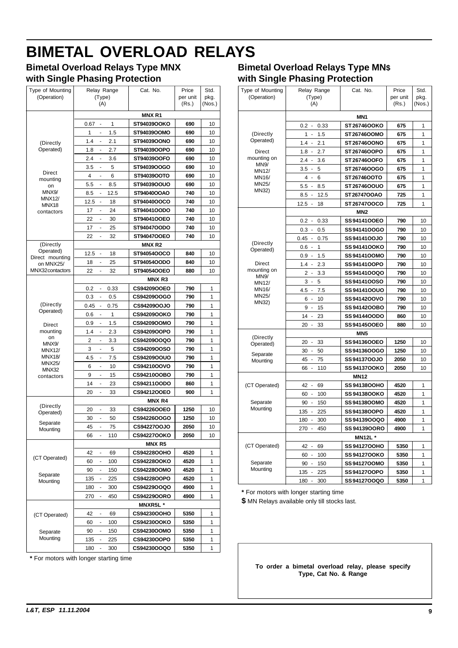# <span id="page-9-0"></span>**BIMETAL OVERLOAD RELAYS**

### **Bimetal Overload Relays Type MNX with Single Phasing Protection**

| (Operation)<br>(Type)<br>per unit<br>pkg.<br>(A)<br>(Rs.)<br>(Nos.)<br><b>MNXR1</b><br>1<br>ST94039OOKO<br>690<br>0.67<br>10<br>1<br>1.5<br>ST94039OOMO<br>690<br>10<br>2.1<br>ST94039OONO<br>690<br>1.4<br>10<br>(Directly<br>Operated)<br>2.7<br>ST94039OOPO<br>690<br>10<br>1.8<br>$\frac{1}{2}$<br>3.6<br>ST94039OOFO<br>690<br>2.4<br>10<br>÷<br>3.5<br>5<br>ST94039OOGO<br>690<br>10<br>Direct<br>4<br>6<br>ST94039OOTO<br>690<br>10<br>mounting<br>5.5<br>8.5<br>ST94039OOUO<br>690<br>10<br>on<br>MNX9/<br>12.5<br>ST94040OOAO<br>740<br>8.5<br>10<br><b>MNX12/</b><br>12.5<br>18<br>ST94040OOCO<br>740<br>10<br>MNX18<br>24<br>ST94041OODO<br>740<br>17<br>10<br>contactors<br>22<br>ST94041OOEO<br>740<br>10<br>$\overline{a}$<br>30<br>25<br>ST94047OODO<br>740<br>17<br>10<br>÷<br>22<br>32<br><b>ST94047OOEO</b><br>740<br>10<br>-<br>(Directly<br><b>MNXR2</b><br>Operated)<br>12.5<br>ST94054OOCO<br>840<br>18<br>10<br>٠<br>Direct mounting<br>18<br>25<br>ST94054OODO<br>840<br>10<br>on MNX25/<br>MNX32 contactors<br>32<br>22<br>ST94054OOEO<br>880<br>10<br><b>MNXR3</b><br>CS94209OOEO<br>0.33<br>790<br>1<br>0.2<br>0.3<br>0.5<br>CS94209OOGO<br>790<br>1<br>۰<br>(Directly<br>1<br>0.45<br>0.75<br>CS94209OOJO<br>790<br>Operated)<br>1<br>790<br>1<br>0.6<br><b>CS94209OOKO</b><br>1.5<br>CS94209OOMO<br>790<br>1<br>0.9<br>Direct<br>mounting<br>1.4<br>2.3<br>CS94209OOPO<br>790<br>1<br>on<br>1<br>2<br>3.3<br>CS94209OOQO<br>790<br>MNX9/<br>3<br>5<br>CS94209OOSO<br>790<br>1<br><b>MNX12/</b><br><b>MNX18/</b><br>4.5<br>7.5<br>CS94209OOUO<br>790<br>1<br>$\frac{1}{2}$<br><b>MNX25/</b><br>10<br>CS94210OOVO<br>790<br>6<br>1<br>۰<br>MNX32<br>15<br>CS94210OOBO<br>790<br>1<br>9<br>-<br>contactors<br>14<br>CS94211OODO<br>1<br>23<br>860<br>20<br>33<br>CS94212OOEO<br>900<br>1<br><b>MNXR4</b><br>(Directly<br>CS94226OOEO<br>1250<br>20<br>33<br>10<br>Operated)<br>30<br>CS94226OOGO<br>1250<br>50<br>10<br>Separate<br>45<br>CS9422700JO<br>2050<br>10 <sup>1</sup><br>75<br>Mounting<br><b>CS94227OOKO</b><br>2050<br>10<br>110<br>66<br>$\frac{1}{2}$<br><b>MNX R5</b><br>69<br>CS94228OOHO<br>4520<br>1<br>42<br>-<br>(CT Operated)<br>100<br><b>CS94228OOKO</b><br>4520<br>1<br>60<br>150<br>CS94228OOMO<br>4520<br>1<br>90<br>Separate<br>CS94228OOPO<br>4520<br>1<br>135<br>225<br>Mounting<br>300<br>CS94229OOQO<br>4900<br>1<br>180<br>450<br><b>CS94229OORO</b><br>4900<br>1<br>270<br>$\frac{1}{2}$<br>MNXR5L*<br>CS94230OOHO<br>5350<br>42<br>69<br>1<br>-<br>(CT Operated)<br><b>CS94230OOKO</b><br>1<br>60<br>-<br>100<br>5350<br>150<br>CS94230OOMO<br>5350<br>90<br>1<br>Separate<br>Mounting<br>225<br>CS94230OOPO<br>5350<br>135<br>1<br>1<br><b>CS94230OOQO</b><br>180<br>300<br>5350 | Type of Mounting | Relay Range | Cat. No. | Price | Std. |
|------------------------------------------------------------------------------------------------------------------------------------------------------------------------------------------------------------------------------------------------------------------------------------------------------------------------------------------------------------------------------------------------------------------------------------------------------------------------------------------------------------------------------------------------------------------------------------------------------------------------------------------------------------------------------------------------------------------------------------------------------------------------------------------------------------------------------------------------------------------------------------------------------------------------------------------------------------------------------------------------------------------------------------------------------------------------------------------------------------------------------------------------------------------------------------------------------------------------------------------------------------------------------------------------------------------------------------------------------------------------------------------------------------------------------------------------------------------------------------------------------------------------------------------------------------------------------------------------------------------------------------------------------------------------------------------------------------------------------------------------------------------------------------------------------------------------------------------------------------------------------------------------------------------------------------------------------------------------------------------------------------------------------------------------------------------------------------------------------------------------------------------------------------------------------------------------------------------------------------------------------------------------------------------------------------------------------------------------------------------------------------------------------------------------------------------------------------------------------------------------------------------------------------------------------------------------------------------------------------------------------------------------------------------------------------------------------------------------------------------------|------------------|-------------|----------|-------|------|
|                                                                                                                                                                                                                                                                                                                                                                                                                                                                                                                                                                                                                                                                                                                                                                                                                                                                                                                                                                                                                                                                                                                                                                                                                                                                                                                                                                                                                                                                                                                                                                                                                                                                                                                                                                                                                                                                                                                                                                                                                                                                                                                                                                                                                                                                                                                                                                                                                                                                                                                                                                                                                                                                                                                                                |                  |             |          |       |      |
|                                                                                                                                                                                                                                                                                                                                                                                                                                                                                                                                                                                                                                                                                                                                                                                                                                                                                                                                                                                                                                                                                                                                                                                                                                                                                                                                                                                                                                                                                                                                                                                                                                                                                                                                                                                                                                                                                                                                                                                                                                                                                                                                                                                                                                                                                                                                                                                                                                                                                                                                                                                                                                                                                                                                                |                  |             |          |       |      |
|                                                                                                                                                                                                                                                                                                                                                                                                                                                                                                                                                                                                                                                                                                                                                                                                                                                                                                                                                                                                                                                                                                                                                                                                                                                                                                                                                                                                                                                                                                                                                                                                                                                                                                                                                                                                                                                                                                                                                                                                                                                                                                                                                                                                                                                                                                                                                                                                                                                                                                                                                                                                                                                                                                                                                |                  |             |          |       |      |
|                                                                                                                                                                                                                                                                                                                                                                                                                                                                                                                                                                                                                                                                                                                                                                                                                                                                                                                                                                                                                                                                                                                                                                                                                                                                                                                                                                                                                                                                                                                                                                                                                                                                                                                                                                                                                                                                                                                                                                                                                                                                                                                                                                                                                                                                                                                                                                                                                                                                                                                                                                                                                                                                                                                                                |                  |             |          |       |      |
|                                                                                                                                                                                                                                                                                                                                                                                                                                                                                                                                                                                                                                                                                                                                                                                                                                                                                                                                                                                                                                                                                                                                                                                                                                                                                                                                                                                                                                                                                                                                                                                                                                                                                                                                                                                                                                                                                                                                                                                                                                                                                                                                                                                                                                                                                                                                                                                                                                                                                                                                                                                                                                                                                                                                                |                  |             |          |       |      |
|                                                                                                                                                                                                                                                                                                                                                                                                                                                                                                                                                                                                                                                                                                                                                                                                                                                                                                                                                                                                                                                                                                                                                                                                                                                                                                                                                                                                                                                                                                                                                                                                                                                                                                                                                                                                                                                                                                                                                                                                                                                                                                                                                                                                                                                                                                                                                                                                                                                                                                                                                                                                                                                                                                                                                |                  |             |          |       |      |
|                                                                                                                                                                                                                                                                                                                                                                                                                                                                                                                                                                                                                                                                                                                                                                                                                                                                                                                                                                                                                                                                                                                                                                                                                                                                                                                                                                                                                                                                                                                                                                                                                                                                                                                                                                                                                                                                                                                                                                                                                                                                                                                                                                                                                                                                                                                                                                                                                                                                                                                                                                                                                                                                                                                                                |                  |             |          |       |      |
|                                                                                                                                                                                                                                                                                                                                                                                                                                                                                                                                                                                                                                                                                                                                                                                                                                                                                                                                                                                                                                                                                                                                                                                                                                                                                                                                                                                                                                                                                                                                                                                                                                                                                                                                                                                                                                                                                                                                                                                                                                                                                                                                                                                                                                                                                                                                                                                                                                                                                                                                                                                                                                                                                                                                                |                  |             |          |       |      |
|                                                                                                                                                                                                                                                                                                                                                                                                                                                                                                                                                                                                                                                                                                                                                                                                                                                                                                                                                                                                                                                                                                                                                                                                                                                                                                                                                                                                                                                                                                                                                                                                                                                                                                                                                                                                                                                                                                                                                                                                                                                                                                                                                                                                                                                                                                                                                                                                                                                                                                                                                                                                                                                                                                                                                |                  |             |          |       |      |
|                                                                                                                                                                                                                                                                                                                                                                                                                                                                                                                                                                                                                                                                                                                                                                                                                                                                                                                                                                                                                                                                                                                                                                                                                                                                                                                                                                                                                                                                                                                                                                                                                                                                                                                                                                                                                                                                                                                                                                                                                                                                                                                                                                                                                                                                                                                                                                                                                                                                                                                                                                                                                                                                                                                                                |                  |             |          |       |      |
|                                                                                                                                                                                                                                                                                                                                                                                                                                                                                                                                                                                                                                                                                                                                                                                                                                                                                                                                                                                                                                                                                                                                                                                                                                                                                                                                                                                                                                                                                                                                                                                                                                                                                                                                                                                                                                                                                                                                                                                                                                                                                                                                                                                                                                                                                                                                                                                                                                                                                                                                                                                                                                                                                                                                                |                  |             |          |       |      |
|                                                                                                                                                                                                                                                                                                                                                                                                                                                                                                                                                                                                                                                                                                                                                                                                                                                                                                                                                                                                                                                                                                                                                                                                                                                                                                                                                                                                                                                                                                                                                                                                                                                                                                                                                                                                                                                                                                                                                                                                                                                                                                                                                                                                                                                                                                                                                                                                                                                                                                                                                                                                                                                                                                                                                |                  |             |          |       |      |
|                                                                                                                                                                                                                                                                                                                                                                                                                                                                                                                                                                                                                                                                                                                                                                                                                                                                                                                                                                                                                                                                                                                                                                                                                                                                                                                                                                                                                                                                                                                                                                                                                                                                                                                                                                                                                                                                                                                                                                                                                                                                                                                                                                                                                                                                                                                                                                                                                                                                                                                                                                                                                                                                                                                                                |                  |             |          |       |      |
|                                                                                                                                                                                                                                                                                                                                                                                                                                                                                                                                                                                                                                                                                                                                                                                                                                                                                                                                                                                                                                                                                                                                                                                                                                                                                                                                                                                                                                                                                                                                                                                                                                                                                                                                                                                                                                                                                                                                                                                                                                                                                                                                                                                                                                                                                                                                                                                                                                                                                                                                                                                                                                                                                                                                                |                  |             |          |       |      |
|                                                                                                                                                                                                                                                                                                                                                                                                                                                                                                                                                                                                                                                                                                                                                                                                                                                                                                                                                                                                                                                                                                                                                                                                                                                                                                                                                                                                                                                                                                                                                                                                                                                                                                                                                                                                                                                                                                                                                                                                                                                                                                                                                                                                                                                                                                                                                                                                                                                                                                                                                                                                                                                                                                                                                |                  |             |          |       |      |
|                                                                                                                                                                                                                                                                                                                                                                                                                                                                                                                                                                                                                                                                                                                                                                                                                                                                                                                                                                                                                                                                                                                                                                                                                                                                                                                                                                                                                                                                                                                                                                                                                                                                                                                                                                                                                                                                                                                                                                                                                                                                                                                                                                                                                                                                                                                                                                                                                                                                                                                                                                                                                                                                                                                                                |                  |             |          |       |      |
|                                                                                                                                                                                                                                                                                                                                                                                                                                                                                                                                                                                                                                                                                                                                                                                                                                                                                                                                                                                                                                                                                                                                                                                                                                                                                                                                                                                                                                                                                                                                                                                                                                                                                                                                                                                                                                                                                                                                                                                                                                                                                                                                                                                                                                                                                                                                                                                                                                                                                                                                                                                                                                                                                                                                                |                  |             |          |       |      |
|                                                                                                                                                                                                                                                                                                                                                                                                                                                                                                                                                                                                                                                                                                                                                                                                                                                                                                                                                                                                                                                                                                                                                                                                                                                                                                                                                                                                                                                                                                                                                                                                                                                                                                                                                                                                                                                                                                                                                                                                                                                                                                                                                                                                                                                                                                                                                                                                                                                                                                                                                                                                                                                                                                                                                |                  |             |          |       |      |
|                                                                                                                                                                                                                                                                                                                                                                                                                                                                                                                                                                                                                                                                                                                                                                                                                                                                                                                                                                                                                                                                                                                                                                                                                                                                                                                                                                                                                                                                                                                                                                                                                                                                                                                                                                                                                                                                                                                                                                                                                                                                                                                                                                                                                                                                                                                                                                                                                                                                                                                                                                                                                                                                                                                                                |                  |             |          |       |      |
|                                                                                                                                                                                                                                                                                                                                                                                                                                                                                                                                                                                                                                                                                                                                                                                                                                                                                                                                                                                                                                                                                                                                                                                                                                                                                                                                                                                                                                                                                                                                                                                                                                                                                                                                                                                                                                                                                                                                                                                                                                                                                                                                                                                                                                                                                                                                                                                                                                                                                                                                                                                                                                                                                                                                                |                  |             |          |       |      |
|                                                                                                                                                                                                                                                                                                                                                                                                                                                                                                                                                                                                                                                                                                                                                                                                                                                                                                                                                                                                                                                                                                                                                                                                                                                                                                                                                                                                                                                                                                                                                                                                                                                                                                                                                                                                                                                                                                                                                                                                                                                                                                                                                                                                                                                                                                                                                                                                                                                                                                                                                                                                                                                                                                                                                |                  |             |          |       |      |
|                                                                                                                                                                                                                                                                                                                                                                                                                                                                                                                                                                                                                                                                                                                                                                                                                                                                                                                                                                                                                                                                                                                                                                                                                                                                                                                                                                                                                                                                                                                                                                                                                                                                                                                                                                                                                                                                                                                                                                                                                                                                                                                                                                                                                                                                                                                                                                                                                                                                                                                                                                                                                                                                                                                                                |                  |             |          |       |      |
|                                                                                                                                                                                                                                                                                                                                                                                                                                                                                                                                                                                                                                                                                                                                                                                                                                                                                                                                                                                                                                                                                                                                                                                                                                                                                                                                                                                                                                                                                                                                                                                                                                                                                                                                                                                                                                                                                                                                                                                                                                                                                                                                                                                                                                                                                                                                                                                                                                                                                                                                                                                                                                                                                                                                                |                  |             |          |       |      |
|                                                                                                                                                                                                                                                                                                                                                                                                                                                                                                                                                                                                                                                                                                                                                                                                                                                                                                                                                                                                                                                                                                                                                                                                                                                                                                                                                                                                                                                                                                                                                                                                                                                                                                                                                                                                                                                                                                                                                                                                                                                                                                                                                                                                                                                                                                                                                                                                                                                                                                                                                                                                                                                                                                                                                |                  |             |          |       |      |
|                                                                                                                                                                                                                                                                                                                                                                                                                                                                                                                                                                                                                                                                                                                                                                                                                                                                                                                                                                                                                                                                                                                                                                                                                                                                                                                                                                                                                                                                                                                                                                                                                                                                                                                                                                                                                                                                                                                                                                                                                                                                                                                                                                                                                                                                                                                                                                                                                                                                                                                                                                                                                                                                                                                                                |                  |             |          |       |      |
|                                                                                                                                                                                                                                                                                                                                                                                                                                                                                                                                                                                                                                                                                                                                                                                                                                                                                                                                                                                                                                                                                                                                                                                                                                                                                                                                                                                                                                                                                                                                                                                                                                                                                                                                                                                                                                                                                                                                                                                                                                                                                                                                                                                                                                                                                                                                                                                                                                                                                                                                                                                                                                                                                                                                                |                  |             |          |       |      |
|                                                                                                                                                                                                                                                                                                                                                                                                                                                                                                                                                                                                                                                                                                                                                                                                                                                                                                                                                                                                                                                                                                                                                                                                                                                                                                                                                                                                                                                                                                                                                                                                                                                                                                                                                                                                                                                                                                                                                                                                                                                                                                                                                                                                                                                                                                                                                                                                                                                                                                                                                                                                                                                                                                                                                |                  |             |          |       |      |
|                                                                                                                                                                                                                                                                                                                                                                                                                                                                                                                                                                                                                                                                                                                                                                                                                                                                                                                                                                                                                                                                                                                                                                                                                                                                                                                                                                                                                                                                                                                                                                                                                                                                                                                                                                                                                                                                                                                                                                                                                                                                                                                                                                                                                                                                                                                                                                                                                                                                                                                                                                                                                                                                                                                                                |                  |             |          |       |      |
|                                                                                                                                                                                                                                                                                                                                                                                                                                                                                                                                                                                                                                                                                                                                                                                                                                                                                                                                                                                                                                                                                                                                                                                                                                                                                                                                                                                                                                                                                                                                                                                                                                                                                                                                                                                                                                                                                                                                                                                                                                                                                                                                                                                                                                                                                                                                                                                                                                                                                                                                                                                                                                                                                                                                                |                  |             |          |       |      |
|                                                                                                                                                                                                                                                                                                                                                                                                                                                                                                                                                                                                                                                                                                                                                                                                                                                                                                                                                                                                                                                                                                                                                                                                                                                                                                                                                                                                                                                                                                                                                                                                                                                                                                                                                                                                                                                                                                                                                                                                                                                                                                                                                                                                                                                                                                                                                                                                                                                                                                                                                                                                                                                                                                                                                |                  |             |          |       |      |
|                                                                                                                                                                                                                                                                                                                                                                                                                                                                                                                                                                                                                                                                                                                                                                                                                                                                                                                                                                                                                                                                                                                                                                                                                                                                                                                                                                                                                                                                                                                                                                                                                                                                                                                                                                                                                                                                                                                                                                                                                                                                                                                                                                                                                                                                                                                                                                                                                                                                                                                                                                                                                                                                                                                                                |                  |             |          |       |      |
|                                                                                                                                                                                                                                                                                                                                                                                                                                                                                                                                                                                                                                                                                                                                                                                                                                                                                                                                                                                                                                                                                                                                                                                                                                                                                                                                                                                                                                                                                                                                                                                                                                                                                                                                                                                                                                                                                                                                                                                                                                                                                                                                                                                                                                                                                                                                                                                                                                                                                                                                                                                                                                                                                                                                                |                  |             |          |       |      |
|                                                                                                                                                                                                                                                                                                                                                                                                                                                                                                                                                                                                                                                                                                                                                                                                                                                                                                                                                                                                                                                                                                                                                                                                                                                                                                                                                                                                                                                                                                                                                                                                                                                                                                                                                                                                                                                                                                                                                                                                                                                                                                                                                                                                                                                                                                                                                                                                                                                                                                                                                                                                                                                                                                                                                |                  |             |          |       |      |
|                                                                                                                                                                                                                                                                                                                                                                                                                                                                                                                                                                                                                                                                                                                                                                                                                                                                                                                                                                                                                                                                                                                                                                                                                                                                                                                                                                                                                                                                                                                                                                                                                                                                                                                                                                                                                                                                                                                                                                                                                                                                                                                                                                                                                                                                                                                                                                                                                                                                                                                                                                                                                                                                                                                                                |                  |             |          |       |      |
|                                                                                                                                                                                                                                                                                                                                                                                                                                                                                                                                                                                                                                                                                                                                                                                                                                                                                                                                                                                                                                                                                                                                                                                                                                                                                                                                                                                                                                                                                                                                                                                                                                                                                                                                                                                                                                                                                                                                                                                                                                                                                                                                                                                                                                                                                                                                                                                                                                                                                                                                                                                                                                                                                                                                                |                  |             |          |       |      |
|                                                                                                                                                                                                                                                                                                                                                                                                                                                                                                                                                                                                                                                                                                                                                                                                                                                                                                                                                                                                                                                                                                                                                                                                                                                                                                                                                                                                                                                                                                                                                                                                                                                                                                                                                                                                                                                                                                                                                                                                                                                                                                                                                                                                                                                                                                                                                                                                                                                                                                                                                                                                                                                                                                                                                |                  |             |          |       |      |
|                                                                                                                                                                                                                                                                                                                                                                                                                                                                                                                                                                                                                                                                                                                                                                                                                                                                                                                                                                                                                                                                                                                                                                                                                                                                                                                                                                                                                                                                                                                                                                                                                                                                                                                                                                                                                                                                                                                                                                                                                                                                                                                                                                                                                                                                                                                                                                                                                                                                                                                                                                                                                                                                                                                                                |                  |             |          |       |      |
|                                                                                                                                                                                                                                                                                                                                                                                                                                                                                                                                                                                                                                                                                                                                                                                                                                                                                                                                                                                                                                                                                                                                                                                                                                                                                                                                                                                                                                                                                                                                                                                                                                                                                                                                                                                                                                                                                                                                                                                                                                                                                                                                                                                                                                                                                                                                                                                                                                                                                                                                                                                                                                                                                                                                                |                  |             |          |       |      |
|                                                                                                                                                                                                                                                                                                                                                                                                                                                                                                                                                                                                                                                                                                                                                                                                                                                                                                                                                                                                                                                                                                                                                                                                                                                                                                                                                                                                                                                                                                                                                                                                                                                                                                                                                                                                                                                                                                                                                                                                                                                                                                                                                                                                                                                                                                                                                                                                                                                                                                                                                                                                                                                                                                                                                |                  |             |          |       |      |
|                                                                                                                                                                                                                                                                                                                                                                                                                                                                                                                                                                                                                                                                                                                                                                                                                                                                                                                                                                                                                                                                                                                                                                                                                                                                                                                                                                                                                                                                                                                                                                                                                                                                                                                                                                                                                                                                                                                                                                                                                                                                                                                                                                                                                                                                                                                                                                                                                                                                                                                                                                                                                                                                                                                                                |                  |             |          |       |      |
|                                                                                                                                                                                                                                                                                                                                                                                                                                                                                                                                                                                                                                                                                                                                                                                                                                                                                                                                                                                                                                                                                                                                                                                                                                                                                                                                                                                                                                                                                                                                                                                                                                                                                                                                                                                                                                                                                                                                                                                                                                                                                                                                                                                                                                                                                                                                                                                                                                                                                                                                                                                                                                                                                                                                                |                  |             |          |       |      |
|                                                                                                                                                                                                                                                                                                                                                                                                                                                                                                                                                                                                                                                                                                                                                                                                                                                                                                                                                                                                                                                                                                                                                                                                                                                                                                                                                                                                                                                                                                                                                                                                                                                                                                                                                                                                                                                                                                                                                                                                                                                                                                                                                                                                                                                                                                                                                                                                                                                                                                                                                                                                                                                                                                                                                |                  |             |          |       |      |
|                                                                                                                                                                                                                                                                                                                                                                                                                                                                                                                                                                                                                                                                                                                                                                                                                                                                                                                                                                                                                                                                                                                                                                                                                                                                                                                                                                                                                                                                                                                                                                                                                                                                                                                                                                                                                                                                                                                                                                                                                                                                                                                                                                                                                                                                                                                                                                                                                                                                                                                                                                                                                                                                                                                                                |                  |             |          |       |      |
|                                                                                                                                                                                                                                                                                                                                                                                                                                                                                                                                                                                                                                                                                                                                                                                                                                                                                                                                                                                                                                                                                                                                                                                                                                                                                                                                                                                                                                                                                                                                                                                                                                                                                                                                                                                                                                                                                                                                                                                                                                                                                                                                                                                                                                                                                                                                                                                                                                                                                                                                                                                                                                                                                                                                                |                  |             |          |       |      |
|                                                                                                                                                                                                                                                                                                                                                                                                                                                                                                                                                                                                                                                                                                                                                                                                                                                                                                                                                                                                                                                                                                                                                                                                                                                                                                                                                                                                                                                                                                                                                                                                                                                                                                                                                                                                                                                                                                                                                                                                                                                                                                                                                                                                                                                                                                                                                                                                                                                                                                                                                                                                                                                                                                                                                |                  |             |          |       |      |
|                                                                                                                                                                                                                                                                                                                                                                                                                                                                                                                                                                                                                                                                                                                                                                                                                                                                                                                                                                                                                                                                                                                                                                                                                                                                                                                                                                                                                                                                                                                                                                                                                                                                                                                                                                                                                                                                                                                                                                                                                                                                                                                                                                                                                                                                                                                                                                                                                                                                                                                                                                                                                                                                                                                                                |                  |             |          |       |      |
|                                                                                                                                                                                                                                                                                                                                                                                                                                                                                                                                                                                                                                                                                                                                                                                                                                                                                                                                                                                                                                                                                                                                                                                                                                                                                                                                                                                                                                                                                                                                                                                                                                                                                                                                                                                                                                                                                                                                                                                                                                                                                                                                                                                                                                                                                                                                                                                                                                                                                                                                                                                                                                                                                                                                                |                  |             |          |       |      |
|                                                                                                                                                                                                                                                                                                                                                                                                                                                                                                                                                                                                                                                                                                                                                                                                                                                                                                                                                                                                                                                                                                                                                                                                                                                                                                                                                                                                                                                                                                                                                                                                                                                                                                                                                                                                                                                                                                                                                                                                                                                                                                                                                                                                                                                                                                                                                                                                                                                                                                                                                                                                                                                                                                                                                |                  |             |          |       |      |
|                                                                                                                                                                                                                                                                                                                                                                                                                                                                                                                                                                                                                                                                                                                                                                                                                                                                                                                                                                                                                                                                                                                                                                                                                                                                                                                                                                                                                                                                                                                                                                                                                                                                                                                                                                                                                                                                                                                                                                                                                                                                                                                                                                                                                                                                                                                                                                                                                                                                                                                                                                                                                                                                                                                                                |                  |             |          |       |      |
|                                                                                                                                                                                                                                                                                                                                                                                                                                                                                                                                                                                                                                                                                                                                                                                                                                                                                                                                                                                                                                                                                                                                                                                                                                                                                                                                                                                                                                                                                                                                                                                                                                                                                                                                                                                                                                                                                                                                                                                                                                                                                                                                                                                                                                                                                                                                                                                                                                                                                                                                                                                                                                                                                                                                                |                  |             |          |       |      |
|                                                                                                                                                                                                                                                                                                                                                                                                                                                                                                                                                                                                                                                                                                                                                                                                                                                                                                                                                                                                                                                                                                                                                                                                                                                                                                                                                                                                                                                                                                                                                                                                                                                                                                                                                                                                                                                                                                                                                                                                                                                                                                                                                                                                                                                                                                                                                                                                                                                                                                                                                                                                                                                                                                                                                |                  |             |          |       |      |
|                                                                                                                                                                                                                                                                                                                                                                                                                                                                                                                                                                                                                                                                                                                                                                                                                                                                                                                                                                                                                                                                                                                                                                                                                                                                                                                                                                                                                                                                                                                                                                                                                                                                                                                                                                                                                                                                                                                                                                                                                                                                                                                                                                                                                                                                                                                                                                                                                                                                                                                                                                                                                                                                                                                                                |                  |             |          |       |      |
|                                                                                                                                                                                                                                                                                                                                                                                                                                                                                                                                                                                                                                                                                                                                                                                                                                                                                                                                                                                                                                                                                                                                                                                                                                                                                                                                                                                                                                                                                                                                                                                                                                                                                                                                                                                                                                                                                                                                                                                                                                                                                                                                                                                                                                                                                                                                                                                                                                                                                                                                                                                                                                                                                                                                                |                  |             |          |       |      |

**\*** For motors with longer starting time

### **Bimetal Overload Relays Type MN\$ with Single Phasing Protection**

| Type of Mounting       | Relay Range                                   | Cat. No.            | Price    | Std.   |
|------------------------|-----------------------------------------------|---------------------|----------|--------|
| (Operation)            | (Type)                                        |                     | per unit | pkg.   |
|                        | (A)                                           |                     | (Rs.)    | (Nos.) |
|                        |                                               | MN <sub>1</sub>     |          |        |
|                        | 0.2<br>0.33<br>$\sim$                         | ST 26746OOKO        | 675      | 1      |
| (Directly              | 1<br>1.5<br>$\blacksquare$                    | ST26746OOMO         | 675      | 1      |
| Operated)              | 1.4<br>2.1                                    | ST 26746OONO        | 675      | 1      |
| Direct                 | 1.8<br>2.7                                    | ST 26746OOPO        | 675      | 1      |
| mounting on<br>MN9/    | 2.4<br>3.6<br>÷,                              | ST 26746OOFO        | 675      | 1      |
| MN12/                  | 3.5<br>5<br>÷,                                | ST 26746OOGO        | 675      | 1      |
| MN16/                  | 6<br>4<br>$\overline{a}$                      | ST26746OOTO         | 675      | 1      |
| MN25/<br>MN32)         | 5.5<br>$\ddot{\phantom{a}}$<br>8.5            | ST 26746OOUO        | 675      | 1      |
|                        | 8.5<br>12.5                                   | ST26747OOAO         | 725      | 1      |
|                        | 12.5<br>18<br>$\overline{a}$                  | ST 2674700CO        | 725      | 1      |
|                        |                                               | MN <sub>2</sub>     |          |        |
|                        | 0.33<br>0.2<br>$\blacksquare$                 | SS94141OOEO         | 790      | 10     |
|                        | 0.3<br>0.5<br>$\ddot{\phantom{a}}$            | SS9414100GO         | 790      | 10     |
|                        | 0.45<br>0.75<br>$\blacksquare$                | SS9414100J0         | 790      | 10     |
| (Directly<br>Operated) | 0.6<br>ä,<br>1                                | SS 9414100KO        | 790      | 10     |
|                        | 0.9<br>1.5<br>$\overline{\phantom{a}}$        | SS94141OOMO         | 790      | 10     |
| Direct                 | 2.3<br>1.4                                    | SS94141OOPO         | 790      | 10     |
| mounting on<br>MN9/    | $\overline{2}$<br>3.3<br>$\ddot{\phantom{0}}$ | SS9414100Q0         | 790      | 10     |
| MN12/                  | 3<br>5<br>$\overline{\phantom{a}}$            | SS9414100SO         | 790      | 10     |
| MN16/                  | 4.5<br>$\overline{a}$<br>7.5                  | SS 9414100U0        | 790      | 10     |
| MN25/<br>MN32)         | 6<br>÷,<br>10                                 | SS9414200VO         | 790      | 10     |
|                        | 9<br>15                                       | SS 9414200BO        | 790      | 10     |
|                        | 14<br>23<br>$\overline{\phantom{a}}$          | SS 9414400DO        | 860      | 10     |
|                        | 20<br>33<br>$\overline{a}$                    | SS94145OOEO         | 880      | 10     |
| (Directly              |                                               | MN <sub>5</sub>     |          |        |
| Operated)              | 20<br>33<br>÷                                 | SS94136OOEO         | 1250     | 10     |
| Separate               | 50<br>30<br>$\sim$                            | SS94136OOGO         | 1250     | 10     |
| Mounting               | $\overline{a}$<br>45<br>75                    | SS9413700J0         | 2050     | 10     |
|                        | 66<br>÷,<br>110                               | <b>SS 9413700KO</b> | 2050     | 10     |
|                        |                                               | <b>MN12</b>         |          |        |
| (CT Operated)          | 42<br>69<br>$\overline{\phantom{a}}$          | SS 94138OOHO        | 4520     | 1      |
|                        | 100<br>60<br>$\overline{\phantom{a}}$         | SS 94138OOKO        | 4520     | 1      |
| Separate               | 150<br>90<br>$\overline{a}$                   | SS94138OOMO         | 4520     | 1      |
| Mounting               | 135<br>225<br>$\blacksquare$                  | SS94138OOPO         | 4520     | 1      |
|                        | 180<br>300                                    | SS 9413900Q0        | 4900     | 1      |
|                        | 270<br>$\blacksquare$<br>450                  | SS94139OORO         | 4900     | 1      |
|                        |                                               | <b>MN12L*</b>       |          |        |
| (CT Operated)          | 42<br>69                                      | <b>SS 9412700HO</b> | 5350     | 1      |
|                        | 60<br>100<br>$\overline{\phantom{a}}$         | SS 9412700KO        | 5350     | 1      |
| Separate               | 90<br>150                                     | SS9412700MO         | 5350     | 1      |
| Mounting               | 135<br>$\overline{a}$<br>225                  | SS9412700PO         | 5350     | 1      |
|                        | 180<br>300<br>$\blacksquare$                  | SS 9412700Q0        | 5350     | 1      |

**\*** For motors with longer starting time

**\$** MN Relays available only till stocks last.

**To order a bimetal overload relay, please specify Type, Cat No. & Range**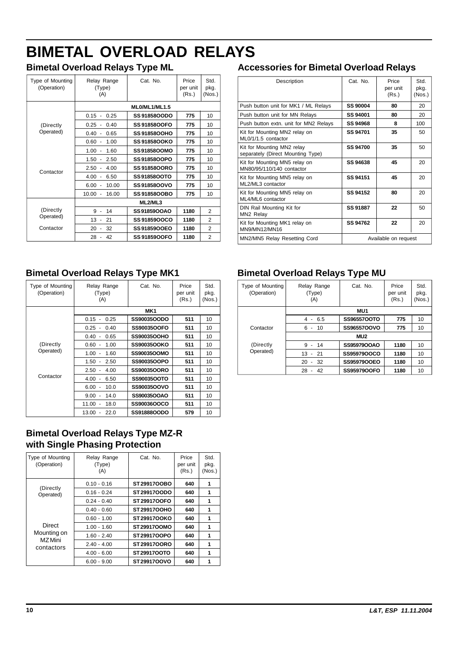# **BIMETAL OVERLOAD RELAYS**

# **Bimetal Overload Relays Type ML**

| Type of Mounting<br>(Operation) | Relay Range<br>(Type)<br>(A)             | Cat. No.            | Price<br>per unit<br>(Rs.) | Std.<br>pkg.<br>(Nos.) |
|---------------------------------|------------------------------------------|---------------------|----------------------------|------------------------|
|                                 |                                          | ML0/ML1/ML1.5       |                            |                        |
|                                 | 0.15<br>0.25<br>$\overline{\phantom{a}}$ | <b>SS 9185800DO</b> | 775                        | 10                     |
| (Directly                       | 0.25<br>0.40                             | <b>SS 9185800FO</b> | 775                        | 10                     |
| Operated)                       | 0.40<br>0.65<br>$\overline{\phantom{a}}$ | <b>SS 9185800HO</b> | 775                        | 10                     |
|                                 | 0.60<br>1.00<br>$\overline{\phantom{a}}$ | <b>SS 9185800KO</b> | 775                        | 10                     |
|                                 | 1.00<br>1.60                             | SS9185800MO         | 775                        | 10                     |
|                                 | 1.50<br>2.50<br>$\blacksquare$           | SS91858OOPO         | 775                        | 10                     |
| Contactor                       | 2.50<br>4.00<br>$\overline{\phantom{a}}$ | <b>SS 9185800RO</b> | 775                        | 10                     |
|                                 | 4.00<br>6.50                             | SS9185800TO         | 775                        | 10                     |
|                                 | $6.00 -$<br>10.00                        | SS91858OOVO         | 775                        | 10                     |
|                                 | $10.00 -$<br>16.00                       | <b>SS 9185800BO</b> | 775                        | 10                     |
|                                 |                                          | ML2/ML3             |                            |                        |
| (Directly                       | 9<br>14                                  | <b>SS91859OOAO</b>  | 1180                       | $\overline{2}$         |
| Operated)                       | 13<br>21                                 | SS 9185900CO        | 1180                       | 2                      |
| Contactor                       | 20<br>32                                 | <b>SS91859OOEO</b>  | 1180                       | $\overline{2}$         |
|                                 | 28<br>42                                 | <b>SS 9185900FO</b> | 1180                       | $\overline{2}$         |

# **Accessories for Bimetal Overload Relays**

| Description                                                     | Cat. No.             | Price<br>per unit<br>(Rs.) | Std.<br>pkg.<br>(Nos.) |
|-----------------------------------------------------------------|----------------------|----------------------------|------------------------|
| Push button unit for MK1 / ML Relays                            | SS 90004             | 80                         | 20                     |
| Push button unit for MN Relays                                  | SS 94001             | 80                         | 20                     |
| Push button extn. unit for MN2 Relays                           | SS 94968             | 8                          | 100                    |
| Kit for Mounting MN2 relay on<br>ML0/1/1.5 contactor            | SS 94701             | 35                         | 50                     |
| Kit for Mounting MN2 relay<br>separately (Direct Mounting Type) | SS 94700             | 35                         | 50                     |
| Kit for Mounting MN5 relay on<br>MN80/95/110/140 contactor      | SS 94638             | 45                         | 20                     |
| Kit for Mounting MN5 relay on<br>ML2/ML3 contactor              | SS 94151             | 45                         | 20                     |
| Kit for Mounting MN5 relay on<br>ML4/ML6 contactor              | SS 94152             | 80                         | 20                     |
| DIN Rail Mounting Kit for<br>MN <sub>2</sub> Relay              | <b>SS 91887</b>      | 22                         | 50                     |
| Kit for Mounting MK1 relay on<br>MN9/MN12/MN16                  | SS 94762             | 22                         | 20                     |
| MN2/MN5 Relay Resetting Cord                                    | Available on request |                            |                        |

# **Bimetal Overload Relays Type MK1**

| <b>Type of Mounting</b><br>(Operation) | Relay Range<br>(Type)<br>(A) | Cat. No.        | Price<br>per unit<br>(Rs.) | Std.<br>pkg.<br>(Nos.) |
|----------------------------------------|------------------------------|-----------------|----------------------------|------------------------|
|                                        |                              | MK <sub>1</sub> |                            |                        |
|                                        | $0.15 -$<br>0.25             | SS90035OODO     | 511                        | 10                     |
|                                        | 0.25<br>0.40<br>$\sim$       | SS90035OOFO     | 511                        | 10                     |
|                                        | 0.40<br>0.65                 | SS90035OOHO     | 511                        | 10                     |
| (Directly                              | 0.60<br>1.00                 | SS90035OOKO     | 511                        | 10                     |
| Operated)                              | 1.00<br>1.60                 | SS90035OOMO     | 511                        | 10                     |
|                                        | 1.50<br>2.50                 | SS90035OOPO     | 511                        | 10                     |
|                                        | 2.50<br>4.00                 | SS90035OORO     | 511                        | 10                     |
| Contactor                              | 4.00<br>6.50                 | SS90035OOTO     | 511                        | 10                     |
|                                        | 6.00<br>10.0<br>٠            | SS90035OOVO     | 511                        | 10                     |
|                                        | 9.00<br>14.0                 | SS90035OOAO     | 511                        | 10                     |
|                                        | 11.00<br>18.0                | SS90036OOCO     | 511                        | 10                     |
|                                        | 13.00<br>22.0                | SS91888OODO     | 579                        | 10                     |

# **Bimetal Overload Relays Type MZ-R with Single Phasing Protection**

| Type of Mounting<br>(Operation) | Relay Range<br>(Type)<br>(A) | Cat. No.           | Price<br>per unit<br>(Rs.) | Std.<br>pkg.<br>(Nos.) |
|---------------------------------|------------------------------|--------------------|----------------------------|------------------------|
|                                 | $0.10 - 0.16$                | ST 2991700BO       | 640                        | 1                      |
| (Directly<br>Operated)          | $0.16 - 0.24$                | ST 2991700DO       | 640                        | 1                      |
|                                 | $0.24 - 0.40$                | ST 2991700FO       | 640                        | 1                      |
|                                 | $0.40 - 0.60$                | ST 2991700HO       | 640                        | 1                      |
|                                 | $0.60 - 1.00$                | ST 2991700KO       | 640                        | 1                      |
| Direct                          | $1.00 - 1.60$                | ST29917OOMO        | 640                        | 1                      |
| Mounting on<br>M7 Mini          | $1.60 - 2.40$                | ST29917OOPO        | 640                        | 1                      |
| contactors                      | $2.40 - 4.00$                | <b>ST29917OORO</b> | 640                        | 1                      |
|                                 | $4.00 - 6.00$                | ST29917OOTO        | 640                        | 1                      |
|                                 | $6.00 - 9.00$                | ST2991700VO        | 640                        |                        |

# **Bimetal Overload Relays Type MU**

| Type of Mounting<br>(Operation) | Relay Range<br>(Type)<br>(A)          | Cat. No.        | Price<br>per unit<br>(Rs.) | Std.<br>pkg.<br>(Nos.) |
|---------------------------------|---------------------------------------|-----------------|----------------------------|------------------------|
|                                 |                                       | MU <sub>1</sub> |                            |                        |
|                                 | $4 - 6.5$                             | SS96557OOTO     | 775                        | 10                     |
| Contactor                       | 6<br>10<br>$\blacksquare$             | SS96557OOVO     | 775                        | 10                     |
|                                 |                                       | MU <sub>2</sub> |                            |                        |
| (Directly                       | 9<br>$-14$                            | SS95979OOAO     | 1180                       | 10                     |
| Operated)                       | $13 - 21$                             | SS95979OOCO     | 1180                       | 10                     |
|                                 | 20<br>-32<br>$\overline{\phantom{a}}$ | SS95979OOEO     | 1180                       | 10                     |
|                                 | 28<br>42                              | SS95979OOFO     | 1180                       | 10                     |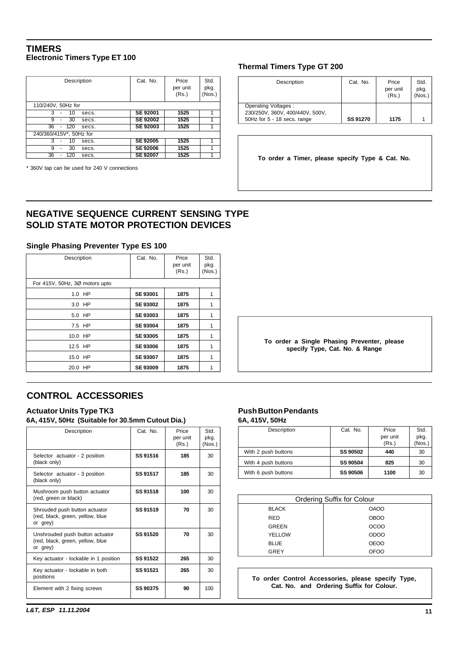#### <span id="page-11-0"></span>**TIMERS Electronic Timers Type ET 100**

| Description             | Cat. No.        | Price<br>per unit<br>(Rs.) | Std.<br>pkg.<br>(Nos.) |
|-------------------------|-----------------|----------------------------|------------------------|
| 110/240V, 50Hz for      |                 |                            |                        |
| 3<br>10<br>secs.        | <b>SE 92001</b> | 1525                       |                        |
| 9<br>30<br>secs.        | <b>SE 92002</b> | 1525                       |                        |
| 36<br>120<br>secs.      | <b>SE 92003</b> | 1525                       |                        |
| 240/360/415V*, 50Hz for |                 |                            |                        |
| 3<br>10<br>secs.        | <b>SE 92005</b> | 1525                       |                        |
| 9<br>30<br>secs.        | <b>SE 92006</b> | 1525                       |                        |
| 36<br>120<br>secs.      | <b>SE 92007</b> | 1525                       |                        |

\* 360V tap can be used for 240 V connections

#### **Thermal Timers Type GT 200**

| Description                                                                           | Cat. No. | Price<br>per unit<br>(Rs.) | Std.<br>pkg.<br>(Nos.) |
|---------------------------------------------------------------------------------------|----------|----------------------------|------------------------|
| Operating Voltages:<br>230/250V, 360V, 400/440V, 500V,<br>50Hz for 5 - 18 secs. range | SS 91270 | 1175                       |                        |

**To order a Timer, please specify Type & Cat. No.**

### **NEGATIVE SEQUENCE CURRENT SENSING TYPE SOLID STATE MOTOR PROTECTION DEVICES**

#### **Single Phasing Preventer Type ES 100**

| Description                    | Cat. No.        | Price<br>per unit<br>(Rs.) | Std.<br>pkg.<br>(Nos.) |
|--------------------------------|-----------------|----------------------------|------------------------|
| For 415V, 50Hz, 3Ø motors upto |                 |                            |                        |
| 1.0 HP                         | <b>SE 93001</b> | 1875                       | 1                      |
| 3.0 HP                         | <b>SE 93002</b> | 1875                       | 1                      |
| 5.0 HP                         | <b>SE 93003</b> | 1875                       | 1                      |
| 7.5 HP                         | <b>SE 93004</b> | 1875                       | 1                      |
| 10.0 HP                        | <b>SE 93005</b> | 1875                       | 1                      |
| 12.5 HP                        | <b>SE 93006</b> | 1875                       | 1                      |
| 15.0 HP                        | <b>SE 93007</b> | 1875                       | 1                      |
| HP<br>20.0                     | <b>SE 93009</b> | 1875                       |                        |

**To order a Single Phasing Preventer, please specify Type, Cat. No. & Range**

### **CONTROL ACCESSORIES**

#### **Actuator Units Type TK3 6A, 415V, 50Hz (Suitable for 30.5mm Cutout Dia.)**

| Description                                                                     | Cat. No.        | Price<br>per unit<br>(Rs.) | Std.<br>pkg.<br>(Nos.) |
|---------------------------------------------------------------------------------|-----------------|----------------------------|------------------------|
| Selector actuator - 2 position<br>(black only)                                  | SS 91516        | 185                        | 30                     |
| Selector actuator - 3 position<br>(black only)                                  | SS 91517        | 185                        | 30                     |
| Mushroom push button actuator<br>(red, green or black)                          | SS 91518        | 100                        | 30                     |
| Shrouded push button actuator<br>(red, black, green, yellow, blue<br>or grey)   | SS 91519        | 70                         | 30                     |
| Unshrouded push button actuator<br>(red, black, green, yellow, blue<br>or grey) | SS 91520        | 70                         | 30                     |
| Key actuator - lockable in 1 position                                           | SS 91522        | 265                        | 30                     |
| Key actuator - lockable in both<br>positions                                    | SS 91521        | 265                        | 30                     |
| Element with 2 fixing screws                                                    | <b>SS 90375</b> | 90                         | 100                    |

#### **Push Button Pendants 6A, 415V, 50Hz**

| Description         | Cat. No.        | Price             | Std.           |
|---------------------|-----------------|-------------------|----------------|
|                     |                 | per unit<br>(Rs.) | pkg.<br>(Nos.) |
| With 2 push buttons | <b>SS 90502</b> | 440               | 30             |
| With 4 push buttons | <b>SS 90504</b> | 825               | 30             |
| With 6 push buttons | <b>SS 90506</b> | 1100              | 30             |

| Ordering Suffix for Colour |             |  |  |  |  |
|----------------------------|-------------|--|--|--|--|
| <b>BLACK</b>               | <b>OAOO</b> |  |  |  |  |
| <b>RED</b>                 | <b>OBOO</b> |  |  |  |  |
| <b>GREEN</b>               | <b>OCOO</b> |  |  |  |  |
| YELLOW                     | <b>ODOO</b> |  |  |  |  |
| <b>BLUE</b>                | <b>OEOO</b> |  |  |  |  |
| GREY                       | OFOO        |  |  |  |  |

**To order Control Accessories, please specify Type, Cat. No. and Ordering Suffix for Colour.**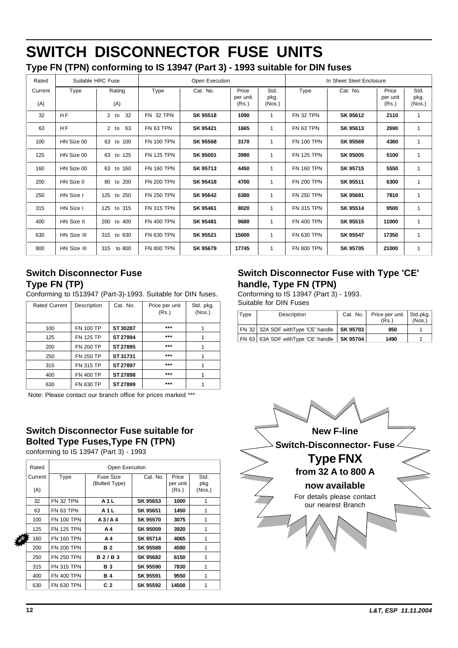# <span id="page-12-0"></span>**SWITCH DISCONNECTOR FUSE UNITS**

|  | Type FN (TPN) conforming to IS 13947 (Part 3) - 1993 suitable for DIN fuses |
|--|-----------------------------------------------------------------------------|
|--|-----------------------------------------------------------------------------|

| Rated          |             | Suitable HRC Fuse     | Open Execution    |          | In Sheet Steel Enclosure   |                        |                   |                 |                            |                        |
|----------------|-------------|-----------------------|-------------------|----------|----------------------------|------------------------|-------------------|-----------------|----------------------------|------------------------|
| Current<br>(A) | Type        | Rating<br>(A)         | Type              | Cat. No. | Price<br>per unit<br>(Rs.) | Std.<br>pkg.<br>(Nos.) | Type              | Cat. No.        | Price<br>per unit<br>(Rs.) | Std.<br>pkg.<br>(Nos.) |
| 32             | <b>HF</b>   | 32<br>2 <sub>to</sub> | FN 32 TPN         | SK 95518 | 1090                       | $\mathbf{1}$           | FN 32 TPN         | SK 95612        | 2110                       | 1                      |
| 63             | <b>HF</b>   | 2 to 63               | FN 63 TPN         | SK 95421 | 1665                       | 1                      | FN 63 TPN         | SK 95613        | 2690                       | $\mathbf{1}$           |
| 100            | HN Size 00  | 63 to 100             | <b>FN 100 TPN</b> | SK 95568 | 3170                       | 1                      | <b>FN 100 TPN</b> | SK 95569        | 4360                       | 1                      |
| 125            | HN Size 00  | 63 to 125             | <b>FN 125 TPN</b> | SK 95001 | 3990                       | $\mathbf{1}$           | <b>FN 125 TPN</b> | <b>SK 95005</b> | 5100                       | $\mathbf{1}$           |
| 160            | HN Size 00  | 63 to 160             | <b>FN 160 TPN</b> | SK 95713 | 4450                       | 1                      | <b>FN 160 TPN</b> | SK 95715        | 5550                       | $\mathbf{1}$           |
| 200            | HN Size 0   | 80 to 200             | <b>FN 200 TPN</b> | SK 95418 | 4700                       | 1                      | <b>FN 200 TPN</b> | SK 95511        | 6300                       | $\mathbf{1}$           |
| 250            | HN Size I   | 125 to 250            | <b>FN 250 TPN</b> | SK 95642 | 6380                       | $\mathbf{1}$           | <b>FN 250 TPN</b> | SK 95681        | 7810                       | $\mathbf{1}$           |
| 315            | HN Size I   | 125 to 315            | <b>FN 315 TPN</b> | SK 95461 | 8020                       | $\mathbf{1}$           | <b>FN 315 TPN</b> | SK 95514        | 9500                       | $\mathbf{1}$           |
| 400            | HN Size II  | 200 to 400            | <b>FN 400 TPN</b> | SK 95481 | 9680                       | 1                      | <b>FN 400 TPN</b> | SK 95515        | 11000                      | $\mathbf{1}$           |
| 630            | HN Size III | 315 to 630            | <b>FN 630 TPN</b> | SK 95521 | 15000                      | 1                      | <b>FN 630 TPN</b> | SK 95547        | 17350                      | $\mathbf{1}$           |
| 800            | HN Size III | 315<br>to 800         | <b>FN 800 TPN</b> | SK 95679 | 17745                      | 1                      | <b>FN 800 TPN</b> | SK 95705        | 21000                      | $\mathbf{1}$           |

# **Switch Disconnector Fuse Type FN (TP)**

Conforming to IS13947 (Part-3)-1993. Suitable for DIN fuses.

| <b>Rated Current</b> | Description      | Cat. No. | Price per unit<br>(Rs.) | Std. pkg.<br>(Nos.) |
|----------------------|------------------|----------|-------------------------|---------------------|
| 100                  | <b>FN 100 TP</b> | ST 30287 | $***$                   |                     |
| 125                  | <b>FN 125 TP</b> | ST 27894 | $***$                   |                     |
| 200                  | <b>FN 200 TP</b> | ST 27895 | $***$                   |                     |
| 250                  | <b>FN 250 TP</b> | ST 31731 | $***$                   |                     |
| 315                  | <b>FN 315 TP</b> | ST 27897 | $***$                   |                     |
| 400                  | <b>FN 400 TP</b> | ST 27898 | $***$                   |                     |
| 630                  | <b>FN 630 TP</b> | ST 27899 | $***$                   |                     |

Note: Please contact our branch office for prices marked \*\*\*

# **Switch Disconnector Fuse suitable for Bolted Type Fuses,Type FN (TPN)**

conforming to IS 13947 (Part 3) - 1993

|   | Rated   |                   | Open Execution |          |                   |               |  |  |
|---|---------|-------------------|----------------|----------|-------------------|---------------|--|--|
|   | Current | Type              | Fuse Size      | Cat. No. | Price             | Std.          |  |  |
|   | (A)     |                   | (Bolted Type)  |          | per unit<br>(Rs.) | pkg<br>(Nos.) |  |  |
|   | 32      | <b>FN 32 TPN</b>  | <b>A1L</b>     | SK 95653 | 1000              | 1             |  |  |
|   | 63      | <b>FN 63 TPN</b>  | <b>A1L</b>     | SK 95651 | 1450              | 1             |  |  |
|   | 100     | <b>FN 100 TPN</b> | A3/AA          | SK 95570 | 3075              | 1             |  |  |
|   | 125     | <b>FN 125 TPN</b> | A4             | SK 95009 | 3920              | 1             |  |  |
| Þ | 160     | <b>FN 160 TPN</b> | A4             | SK 95714 | 4065              | 1             |  |  |
|   | 200     | <b>FN 200 TPN</b> | <b>B2</b>      | SK 95588 | 4580              | 1             |  |  |
|   | 250     | <b>FN 250 TPN</b> | <b>B2/B3</b>   | SK 95682 | 6150              | 1             |  |  |
|   | 315     | <b>FN 315 TPN</b> | <b>B</b> 3     | SK 95590 | 7830              | 1             |  |  |
|   | 400     | <b>FN 400 TPN</b> | <b>B4</b>      | SK 95591 | 9550              | 1             |  |  |
|   | 630     | <b>FN 630 TPN</b> | C <sub>2</sub> | SK 95592 | 14500             | 1             |  |  |

# **Switch Disconnector Fuse with Type 'CE' handle, Type FN (TPN)**

Conforming to IS 13947 (Part 3) - 1993. Suitable for DIN Fuses

| Type | Description                         | Cat. No.        | Price per unit Std.pkg.<br>(Rs.) | (Nos.) |
|------|-------------------------------------|-----------------|----------------------------------|--------|
|      | FN 32 32A SDF with Type 'CE' handle | SK 95703        | 950                              |        |
|      | FN 63 63A SDF with Type 'CE' handle | <b>SK 95704</b> | 1490                             |        |

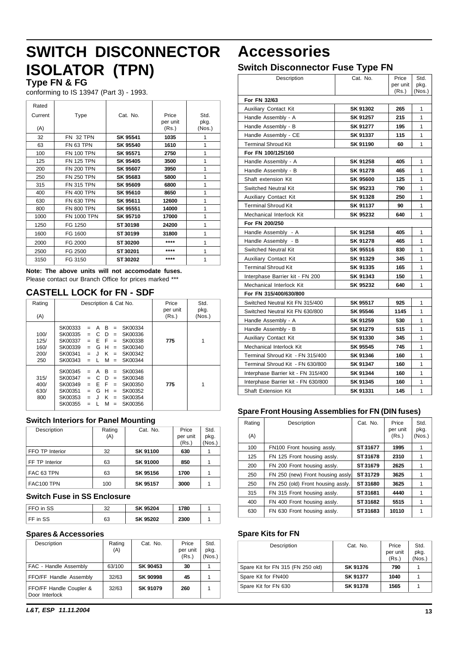# **SWITCH DISCONNECTOR Accessories ISOLATOR (TPN)**

#### **Type FN & FG**

conforming to IS 13947 (Part 3) - 1993.

| Rated   |                    |          |          |        |
|---------|--------------------|----------|----------|--------|
| Current | Type               | Cat. No. | Price    | Std.   |
|         |                    |          | per unit | pkg.   |
| (A)     |                    |          | (Rs.)    | (Nos.) |
| 32      | <b>FN 32 TPN</b>   | SK 95541 | 1035     | 1      |
| 63      | FN 63 TPN          | SK 95540 | 1610     | 1      |
| 100     | <b>FN 100 TPN</b>  | SK 95571 | 2750     | 1      |
| 125     | <b>FN 125 TPN</b>  | SK 95405 | 3500     | 1      |
| 200     | <b>FN 200 TPN</b>  | SK 95607 | 3950     | 1      |
| 250     | <b>FN 250 TPN</b>  | SK 95683 | 5800     | 1      |
| 315     | <b>FN 315 TPN</b>  | SK 95609 | 6800     | 1      |
| 400     | <b>FN 400 TPN</b>  | SK 95610 | 8650     | 1      |
| 630     | <b>FN 630 TPN</b>  | SK 95611 | 12600    | 1      |
| 800     | <b>FN 800 TPN</b>  | SK 95551 | 14000    | 1      |
| 1000    | <b>FN 1000 TPN</b> | SK 95710 | 17000    | 1      |
| 1250    | FG 1250            | ST 30198 | 24200    | 1      |
| 1600    | FG 1600            | ST 30199 | 31800    | 1      |
| 2000    | FG 2000            | ST 30200 | ****     | 1      |
| 2500    | FG 2500            | ST 30201 | ****     | 1      |
| 3150    | FG 3150            | ST 30202 | ****     | 1      |

**Note: The above units will not accomodate fuses.** Please contact our Branch Office for prices marked \*\*\*

### **CASTELL LOCK for FN - SDF**

| Rating<br>(A)                       | Description & Cat No.                                                                                                                                                                                                                                                         | Price<br>per unit<br>(Rs.) | Std.<br>pkg.<br>(Nos.) |
|-------------------------------------|-------------------------------------------------------------------------------------------------------------------------------------------------------------------------------------------------------------------------------------------------------------------------------|----------------------------|------------------------|
| 100/<br>125/<br>160/<br>200/<br>250 | SK00333<br>B<br>SK00334<br>A<br>$=$<br>$=$<br>SK00335<br>SK00336<br>C<br>D<br>$=$<br>$=$<br>F<br>SK00337<br>F<br>SK00338<br>$=$<br>$=$<br>SK00339<br>н<br>SK00340<br>G<br>$=$<br>$=$<br>SK00341<br>ĸ<br>SK00342<br>۱.<br>$=$<br>$=$<br>SK00343<br>SK00344<br>м<br>$=$<br>$=$  | 775                        | 1                      |
| 315/<br>400/<br>630/<br>800         | SK00345<br>SK00346<br>B<br>А<br>$=$<br>$=$<br>SK00347<br>SK00348<br>D<br>c<br>$=$<br>$=$<br>SK00349<br>SK00350<br>F<br>F<br>$=$<br>$=$<br>н<br>SK00351<br>G<br>SK00352<br>$=$<br>$=$<br>ĸ<br>SK00354<br>SK00353<br>. I<br>$=$<br>$=$<br>SK00355<br>SK00356<br>м<br>$=$<br>$=$ | 775                        | 1                      |

#### **Switch Interiors for Panel Mounting**

| Description     | Rating | Cat. No.        | Price    | Std.   |
|-----------------|--------|-----------------|----------|--------|
|                 | (A)    |                 | per unit | pkg.   |
|                 |        |                 | (Rs.)    | (Nos.) |
| FFO TP Interior | 32     | <b>SK 91100</b> | 630      |        |
| FF TP Interior  | 63     | <b>SK 91000</b> | 850      |        |
| FAC 63 TPN      | 63     | SK 95156        | 1700     |        |
| FAC100 TPN      | 100    | SK 95157        | 3000     |        |

#### **Switch Fuse in SS Enclosure**

| FFO in SS           | nn | SK 95204 | '780 |  |
|---------------------|----|----------|------|--|
| $\mathsf{FF}$ in SS | 63 | SK 95202 | 2300 |  |

#### **Spares & Accessories**

| Description                               | Rating<br>(A) | Cat. No.        | Price<br>per unit<br>(Rs.) | Std.<br>pkg.<br>(Nos.) |
|-------------------------------------------|---------------|-----------------|----------------------------|------------------------|
| FAC - Handle Assembly                     | 63/100        | SK 90453        | 30                         |                        |
| FFO/FF Handle Assembly                    | 32/63         | <b>SK 90998</b> | 45                         |                        |
| FFO/FF Handle Coupler &<br>Door Interlock | 32/63         | <b>SK 91079</b> | 260                        |                        |

### **Switch Disconnector Fuse Type FN**

| Description                         | Cat. No.        | Price    | Std.   |
|-------------------------------------|-----------------|----------|--------|
|                                     |                 | per unit | pkg.   |
|                                     |                 | (Rs.)    | (Nos.) |
| For FN 32/63                        |                 |          |        |
| Auxiliary Contact Kit               | SK 91302        | 265      | 1      |
| Handle Assembly - A                 | SK 91257        | 215      | 1      |
| Handle Assembly - B                 | SK 91277        | 195      | 1      |
| Handle Assembly - CE                | SK 91337        | 115      | 1      |
| <b>Terminal Shroud Kit</b>          | SK 91190        | 60       | 1      |
| For FN 100/125/160                  |                 |          |        |
| Handle Assembly - A                 | SK 91258        | 405      | 1      |
| Handle Assembly - B                 | SK 91278        | 465      | 1      |
| Shaft extension Kit                 | SK 95600        | 125      | 1      |
| <b>Switched Neutral Kit</b>         | SK 95233        | 790      | 1      |
| <b>Auxiliary Contact Kit</b>        | SK 91328        | 250      | 1      |
| <b>Terminal Shroud Kit</b>          | <b>SK 91137</b> | 90       | 1      |
| <b>Mechanical Interlock Kit</b>     | SK 95232        | 640      | 1      |
| For FN 200/250                      |                 |          |        |
| Handle Assembly - A                 | SK 91258        | 405      | 1      |
| Handle Assembly - B                 | SK 91278        | 465      | 1      |
| <b>Switched Neutral Kit</b>         | SK 95516        | 830      | 1      |
| <b>Auxiliary Contact Kit</b>        | SK 91329        | 345      | 1      |
| <b>Terminal Shroud Kit</b>          | SK 91335        | 165      | 1      |
| Interphase Barrier kit - FN 200     | SK 91343        | 150      | 1      |
| Mechanical Interlock Kit            | SK 95232        | 640      | 1      |
| For FN 315/400/630/800              |                 |          |        |
| Switched Neutral Kit FN 315/400     | SK 95517        | 925      | 1      |
| Switched Neutral Kit FN 630/800     | SK 95546        | 1145     | 1      |
| Handle Assembly - A                 | SK 91259        | 530      | 1      |
| Handle Assembly - B                 | SK 91279        | 515      | 1      |
| <b>Auxiliary Contact Kit</b>        | SK 91330        | 345      | 1      |
| Mechanical Interlock Kit            | SK 95545        | 745      | 1      |
| Terminal Shroud Kit - FN 315/400    | SK 91346        | 160      | 1      |
| Terminal Shroud Kit - FN 630/800    | SK 91347        | 160      | 1      |
| Interphase Barrier kit - FN 315/400 | SK 91344        | 160      | 1      |
| Interphase Barrier kit - FN 630/800 | SK 91345        | 160      | 1      |
| <b>Shaft Extension Kit</b>          | SK 91331        | 145      | 1      |

#### **Spare Front Housing Assemblies for FN (DIN fuses)**

| Rating<br>(A) | Description                       | Cat. No. | Price<br>per unit<br>(Rs.) | Std.<br>pkg.<br>(Nos.) |
|---------------|-----------------------------------|----------|----------------------------|------------------------|
| 100           | FN100 Front housing assly.        | ST 31677 | 1995                       |                        |
| 125           | FN 125 Front housing assly.       | ST 31678 | 2310                       |                        |
| 200           | FN 200 Front housing assly.       | ST 31679 | 2625                       | 1                      |
| 250           | FN 250 (new) Front housing assly. | ST 31729 | 3625                       |                        |
| 250           | FN 250 (old) Front housing assly. | ST31680  | 3625                       |                        |
| 315           | FN 315 Front housing assly.       | ST31681  | 4440                       |                        |
| 400           | FN 400 Front housing assly.       | ST 31682 | 5515                       | 1                      |
| 630           | FN 630 Front housing assly.       | ST 31683 | 10110                      | 1                      |

#### **Spare Kits for FN**

| Description                       | Cat. No.        | Price<br>per unit<br>(Rs.) | Std.<br>pkg.<br>(Nos.) |
|-----------------------------------|-----------------|----------------------------|------------------------|
| Spare Kit for FN 315 (FN 250 old) | SK 91376        | 790                        |                        |
| Spare Kit for FN400               | <b>SK 91377</b> | 1040                       |                        |
| Spare Kit for FN 630              | <b>SK 91378</b> | 1565                       |                        |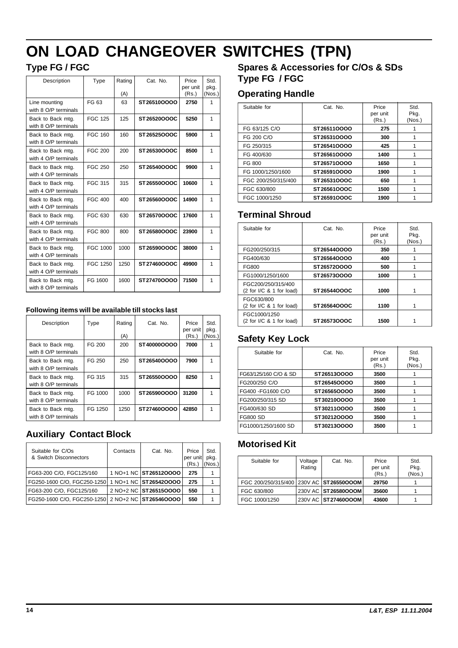# <span id="page-14-0"></span>**ON LOAD CHANGEOVER SWITCHES (TPN)**

# **Type FG / FGC**

| Description                               | Type           | Rating<br>Cat. No.<br>(A) |             | Price<br>per unit<br>(Rs.) | Std.<br>pkg.<br>(Nos.) |
|-------------------------------------------|----------------|---------------------------|-------------|----------------------------|------------------------|
| Line mounting<br>with 8 O/P terminals     | FG 63          | 63                        | ST26510OOOO | 2750                       | 1                      |
| Back to Back mtg.<br>with 8 O/P terminals | <b>FGC 125</b> | 125                       | ST26520OOOC | 5250                       | 1                      |
| Back to Back mtg.<br>with 8 O/P terminals | FGC 160        | 160                       | ST26525000C | 5900                       | $\mathbf{1}$           |
| Back to Back mtg.<br>with 4 O/P terminals | FGC 200        | 200                       | ST26530OOOC | 8500                       | 1                      |
| Back to Back mtg.<br>with 4 O/P terminals | FGC 250        | 250                       | ST26540OOOC | 9900                       | 1                      |
| Back to Back mtg.<br>with 4 O/P terminals | FGC 315        | 315                       | ST26550OOOC | 10600                      | $\mathbf{1}$           |
| Back to Back mtg.<br>with 4 O/P terminals | FGC 400        | 400                       | ST26560OOOC | 14900                      | $\overline{1}$         |
| Back to Back mtg.<br>with 4 O/P terminals | FGC 630        | 630                       | ST26570OOOC | 17600                      | 1                      |
| Back to Back mtg.<br>with 4 O/P terminals | FGC 800        | 800                       | ST26580OOOC | 23900                      | 1                      |
| Back to Back mtg.<br>with 4 O/P terminals | FGC 1000       | 1000                      | ST26590OOOC | 38000                      | $\overline{1}$         |
| Back to Back mtg.<br>with 4 O/P terminals | FGC 1250       | 1250                      | ST27460OOOC | 49900                      | 1                      |
| Back to Back mtg.<br>with 8 O/P terminals | FG 1600        | 1600                      | ST274700000 | 71500                      | $\overline{1}$         |

#### **Following items will be available till stocks last**

| Description                               | Type    | Rating<br>(A) | Cat. No.    | Price<br>per unit<br>(Rs.) | Std.<br>pkg.<br>(Nos.) |
|-------------------------------------------|---------|---------------|-------------|----------------------------|------------------------|
| Back to Back mtg.<br>with 8 O/P terminals | FG 200  | 200           | ST40000OOOO | 7000                       |                        |
| Back to Back mtg.<br>with 8 O/P terminals | FG 250  | 250           | ST26540OOOO | 7900                       |                        |
| Back to Back mtg.<br>with 8 O/P terminals | FG 315  | 315           | ST26550OOOO | 8250                       |                        |
| Back to Back mtg.<br>with 8 O/P terminals | FG 1000 | 1000          | ST26590OOOO | 31200                      |                        |
| Back to Back mtg.<br>with 8 O/P terminals | FG 1250 | 1250          | ST27460OOOO | 42850                      |                        |

# **Auxiliary Contact Block**

| Suitable for C/Os<br>& Switch Disconnectors | Contacts | Cat. No.              | Price<br>per unit<br>(Rs.) | Std.<br>pkg.<br>(Nos.) |
|---------------------------------------------|----------|-----------------------|----------------------------|------------------------|
| FG63-200 C/O, FGC125/160                    |          | 1 NO+1 NC ST265120000 | 275                        |                        |
| FG250-1600 C/O. FGC250-1250                 |          | 1 NO+1 NC ST265420000 | 275                        |                        |
| FG63-200 C/O, FGC125/160                    |          | 2 NO+2 NC ST265150000 | 550                        |                        |
| FG250-1600 C/O. FGC250-1250                 |          | 2 NO+2 NC ST265460000 | 550                        |                        |

# **Spares & Accessories for C/Os & SDs Type FG / FGC**

# **Operating Handle**

| Suitable for        | Cat. No.    | Price<br>per unit<br>(Rs.) | Std.<br>Pkg.<br>(Nos.) |
|---------------------|-------------|----------------------------|------------------------|
| FG 63/125 C/O       | ST265110000 | 275                        |                        |
| FG 200 C/O          | ST265310000 | 300                        |                        |
| FG 250/315          | ST265410000 | 425                        |                        |
| FG 400/630          | ST265610000 | 1400                       |                        |
| FG 800              | ST265710000 | 1650                       |                        |
| FG 1000/1250/1600   | ST26591OOOO | 1900                       |                        |
| FGC 200/250/315/400 | ST26531OOOC | 650                        |                        |
| FGC 630/800         | ST26561OOOC | 1500                       |                        |
| FGC 1000/1250       | ST26591OOOC | 1900                       |                        |

# **Terminal Shroud**

| Suitable for                                       | Cat. No.    | Price<br>per unit<br>(Rs.) | Std.<br>Pkg.<br>(Nos.) |
|----------------------------------------------------|-------------|----------------------------|------------------------|
| FG200/250/315                                      | ST265440000 | 350                        |                        |
| FG400/630                                          | ST26564OOOO | 400                        |                        |
| FG800                                              | ST265720000 | 500                        |                        |
| FG1000/1250/1600                                   | ST265730000 | 1000                       |                        |
| FGC200/250/315/400<br>$(2$ for $1/C$ & 1 for load) | ST26544000C | 1000                       |                        |
| FGC630/800<br>$(2$ for $1/C$ & 1 for load)         | ST26564OOOC | 1100                       | 1                      |
| FGC1000/1250<br>$(2$ for $1/C$ & 1 for load)       | ST26573000C | 1500                       |                        |

# **Safety Key Lock**

| Suitable for          | Cat. No.    | Price<br>per unit<br>(Rs.) | Std.<br>Pkg.<br>(Nos.) |
|-----------------------|-------------|----------------------------|------------------------|
| FG63/125/160 C/O & SD | ST265130000 | 3500                       |                        |
| FG200/250 C/O         | ST265450000 | 3500                       |                        |
| FG400 - FG1600 C/O    | ST265650000 | 3500                       |                        |
| FG200/250/315 SD      | ST30210OOOO | 3500                       |                        |
| FG400/630 SD          | ST30211OOOO | 3500                       |                        |
| <b>FG800 SD</b>       | ST30212OOOO | 3500                       |                        |
| FG1000/1250/1600 SD   | ST30213OOOO | 3500                       |                        |

# **Motorised Kit**

| Suitable for                            | Voltage<br>Rating | Cat. No.            | Price<br>per unit<br>(Rs.) | Std.<br>Pkg.<br>(Nos.) |
|-----------------------------------------|-------------------|---------------------|----------------------------|------------------------|
| FGC 200/250/315/400 230V AC ST26550000M |                   |                     | 29750                      |                        |
| FGC 630/800                             |                   | 230V AC ST26580000M | 35600                      |                        |
| FGC 1000/1250                           |                   | 230V AC ST27460000M | 43600                      |                        |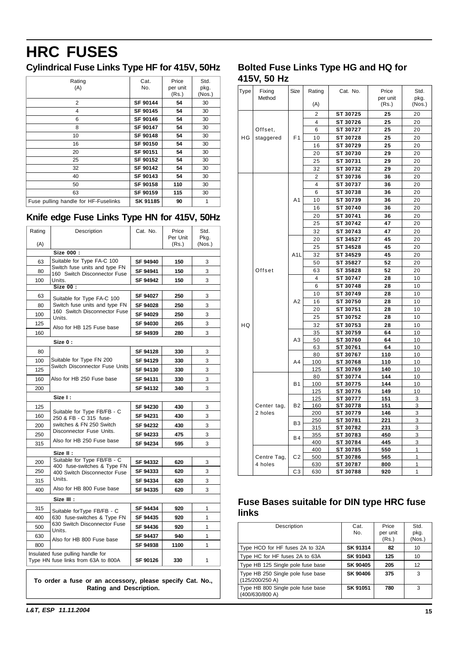# <span id="page-15-0"></span>**HRC FUSES**

# **Cylindrical Fuse Links Type HF for 415V, 50Hz**

| Rating<br>(A)                        | Cat.<br>No. | Price<br>per unit<br>(Rs.) | Std.<br>pkg.<br>(Nos.) |
|--------------------------------------|-------------|----------------------------|------------------------|
| 2                                    | SF 90144    | 54                         | 30                     |
| 4                                    | SF 90145    | 54                         | 30                     |
| 6                                    | SF 90146    | 54                         | 30                     |
| 8                                    | SF 90147    | 54                         | 30                     |
| 10                                   | SF 90148    | 54                         | 30                     |
| 16                                   | SF 90150    | 54                         | 30                     |
| 20                                   | SF 90151    | 54                         | 30                     |
| 25                                   | SF 90152    | 54                         | 30                     |
| 32                                   | SF 90142    | 54                         | 30                     |
| 40                                   | SF 90143    | 54                         | 30                     |
| 50                                   | SF 90158    | 110                        | 30                     |
| 63                                   | SF 90159    | 115                        | 30                     |
| Fuse pulling handle for HF-Fuselinks | SK 91185    | 90                         | 1                      |

# **Knife edge Fuse Links Type HN for 415V, 50Hz**

| Rating | Description                                                   | Cat. No. | Price<br>Per Unit | Std.<br>Pkg. |
|--------|---------------------------------------------------------------|----------|-------------------|--------------|
| (A)    |                                                               |          | (Rs.)             | (Nos.)       |
|        | Size 000:                                                     |          |                   |              |
| 63     | Suitable for Type FA-C 100                                    | SF 94940 | 150               | 3            |
| 80     | Switch fuse units and type FN<br>160 Switch Disconnector Fuse | SF 94941 | 150               | 3            |
| 100    | Units.                                                        | SF 94942 | 150               | 3            |
|        | Size 00:                                                      |          |                   |              |
| 63     | Suitable for Type FA-C 100                                    | SF 94027 | 250               | 3            |
| 80     | Switch fuse units and type FN                                 | SF 94028 | 250               | 3            |
| 100    | 160 Switch Disconnector Fuse<br>Units.                        | SF 94029 | 250               | 3            |
| 125    | Also for HB 125 Fuse base                                     | SF 94030 | 265               | 3            |
| 160    |                                                               | SF 94939 | 280               | 3            |
|        | Size 0:                                                       |          |                   |              |
| 80     |                                                               | SF 94128 | 330               | 3            |
| 100    | Suitable for Type FN 200                                      | SF 94129 | 330               | 3            |
| 125    | Switch Disconnector Fuse Units                                | SF 94130 | 330               | 3            |
| 160    | Also for HB 250 Fuse base                                     | SF 94131 | 330               | 3            |
| 200    |                                                               | SF 94132 | 340               | 3            |
|        | Size I:                                                       |          |                   |              |
| 125    |                                                               | SF 94230 | 430               | 3            |
| 160    | Suitable for Type FB/FB - C<br>250 & FB - C 315 fuse-         | SF 94231 | 430               | 3            |
| 200    | switches & FN 250 Switch                                      | SF 94232 | 430               | 3            |
| 250    | Disconnector Fuse Units.                                      | SF 94233 | 475               | 3            |
| 315    | Also for HB 250 Fuse base                                     | SF 94234 | 595               | 3            |
|        | Size II :                                                     |          |                   |              |
| 200    | Suitable for Type FB/FB - C                                   | SF 94332 | 620               | 3            |
| 250    | 400 fuse-switches & Type FN<br>400 Switch Disconnector Fuse   | SF 94333 | 620               | 3            |
| 315    | Units.                                                        | SF 94334 | 620               | 3            |
| 400    | Also for HB 800 Fuse base                                     | SF 94335 | 620               | 3            |
|        | Size III :                                                    |          |                   |              |
| 315    |                                                               | SF 94434 | 920               | 1            |
| 400    | Suitable for Type FB/FB - C<br>630 fuse-switches & Type FN    | SF 94435 | 920               | 1            |
| 500    | 630 Switch Disconnector Fuse                                  | SF 94436 | 920               | 1            |
| 630    | Units.                                                        | SF 94437 | 940               | 1            |
| 800    | Also for HB 800 Fuse base                                     | SF 94938 | 1100              | 1            |
|        | Insulated fuse pulling handle for                             |          |                   |              |
|        | Type HN fuse links from 63A to 800A                           | SF 90126 | 330               | 1            |

**To order a fuse or an accessory, please specify Cat. No., Rating and Description.**

### **Bolted Fuse Links Type HG and HQ for 415V, 50 Hz**

| Type            | Fixing                 | Size             | Rating         | Cat. No.             | Price             | Std.           |
|-----------------|------------------------|------------------|----------------|----------------------|-------------------|----------------|
|                 | Method                 |                  | (A)            |                      | per unit<br>(Rs.) | pkg.<br>(Nos.) |
|                 |                        |                  | 2              | ST 30725             | 25                | 20             |
|                 |                        |                  | 4              | ST 30726             | 25                | 20             |
|                 | Offset.                |                  | 6              | ST 30727             | 25                | 20             |
| ΗG<br>staggered | F <sub>1</sub>         | 10               | ST 30728       | 25                   | 20                |                |
|                 |                        | 16               | ST 30729       | 25                   | 20                |                |
|                 |                        | 20               | ST 30730       | 29                   | 20                |                |
|                 |                        |                  | 25             | ST 30731             | 29                | 20             |
|                 |                        |                  | 32             | ST 30732             | 29                | 20             |
|                 |                        |                  | 2              | ST 30736             | 36                | 20             |
|                 |                        |                  | $\overline{4}$ | ST 30737             | 36                | 20             |
|                 |                        |                  | 6              | ST 30738             | 36                | 20             |
|                 |                        | A <sub>1</sub>   | 10             | ST 30739             | 36                | 20             |
|                 |                        |                  | 16             | ST 30740             | 36                | 20             |
|                 |                        |                  | 20             | ST 30741             | 36                | 20             |
|                 |                        |                  | 25             | ST 30742             | 47                | 20             |
|                 |                        |                  | 32             | ST 30743             | 47                | 20             |
|                 |                        |                  | 20             | ST 34527             | 45                | 20             |
|                 |                        |                  | 25             | ST 34528             | 45                | 20             |
|                 |                        | A <sub>1</sub> L | 32             | ST 34529             | 45                | 20             |
|                 |                        |                  | 50             | ST 35827             | 52                | 20             |
|                 | Offset                 |                  | 63             | ST 35828             | 52                | 20             |
|                 |                        |                  | 4              | ST 30747             | 28                | 10             |
|                 |                        | A2               | 6              | ST 30748             | 28                | 10             |
|                 |                        |                  | 10             | ST 30749             | 28                | 10             |
|                 |                        |                  | 16             | ST 30750             | 28                | 10             |
|                 |                        |                  | 20             | ST 30751             | 28                | 10             |
|                 |                        |                  | 25             | ST 30752             | 28                | 10             |
| HQ              |                        |                  | 32             | ST 30753             | 28                | 10             |
|                 |                        |                  | 35             | ST 30759             | 64                | 10             |
|                 |                        | A <sub>3</sub>   | 50             | ST 30760             | 64                | 10             |
|                 |                        |                  | 63             | ST 30761             | 64                | 10             |
|                 |                        |                  | 80             | ST 30767             | 110               | 10             |
|                 |                        | A <sub>4</sub>   | 100            | ST 30768             | 110               | 10             |
|                 |                        |                  | 125            | ST 30769             | 140               | 10             |
|                 |                        |                  | 80             | ST 30774             | 144               | 10             |
|                 |                        | <b>B1</b>        | 100            | ST 30775             | 144               | 10             |
|                 |                        |                  | 125            | ST 30776             | 149               | 10             |
|                 |                        |                  | 125            | ST 30777             | 151               | 3              |
|                 | Center tag,            | <b>B2</b>        | 160            | ST 30778             | 151               | 3              |
|                 | 2 holes                |                  | 200            | ST 30779             | 146               | 3              |
|                 |                        | B <sub>3</sub>   | 250            | ST 30781             | 221               | 3              |
|                 |                        |                  | 315            | ST 30782             | 231               | 3              |
|                 |                        | <b>B4</b>        | 355            | ST 30783             | 450               | 3              |
|                 |                        |                  | 400            | ST 30784             | 445               | 3              |
|                 |                        |                  | 400            | ST 30785             | 550               | 1              |
|                 | Centre Tag,<br>4 holes | C <sub>2</sub>   | 500            | ST 30786             | 565               | 1<br>1         |
|                 |                        | C <sub>3</sub>   | 630<br>630     | ST 30787<br>ST 30788 | 800<br>920        | 1              |
|                 |                        |                  |                |                      |                   |                |

# **Fuse Bases suitable for DIN type HRC fuse links**

| Description                                          | Cat.<br>No.     | Price<br>per unit<br>(Rs.) | Std.<br>pkg.<br>(Nos.) |
|------------------------------------------------------|-----------------|----------------------------|------------------------|
| Type HCO for HF fuses 2A to 32A                      | SK 91314        | 82                         | 10                     |
| Type HC for HF fuses 2A to 63A                       | SK 91043        | 125                        | 10                     |
| Type HB 125 Single pole fuse base                    | <b>SK 90405</b> | 205                        | 12                     |
| Type HB 250 Single pole fuse base<br>(125/200/250 A) | SK 90406        | 375                        | 3                      |
| Type HB 800 Single pole fuse base<br>(400/630/800 A) | SK 91051        | 780                        | 3                      |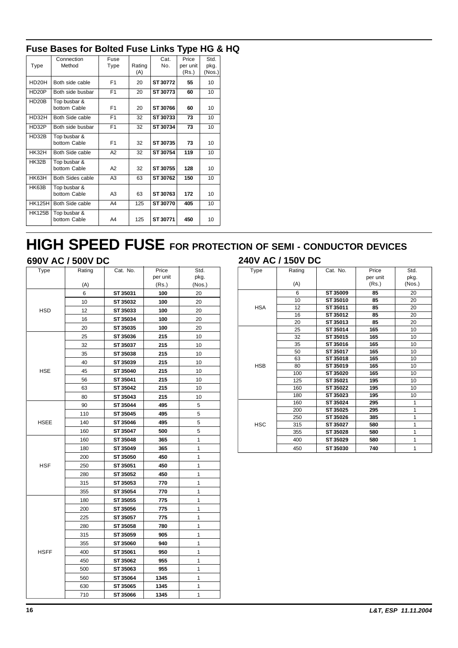# **Fuse Bases for Bolted Fuse Links Type HG & HQ**

|                    | Connection                   | Fuse           |        | Cat.     | Price    | Std.   |
|--------------------|------------------------------|----------------|--------|----------|----------|--------|
| Type               | Method                       | Type           | Rating | No.      | per unit | pkg.   |
|                    |                              |                | (A)    |          | (Rs.)    | (Nos.) |
| HD <sub>20</sub> H | Both side cable              | F <sub>1</sub> | 20     | ST 30772 | 55       | 10     |
| HD <sub>20</sub> P | Both side busbar             | F <sub>1</sub> | 20     | ST 30773 | 60       | 10     |
| HD20B              | Top busbar &<br>bottom Cable | F <sub>1</sub> | 20     | ST 30766 | 60       | 10     |
| HD32H              | Both Side cable              | F <sub>1</sub> | 32     | ST 30733 | 73       | 10     |
| HD32P              | Both side busbar             | F <sub>1</sub> | 32     | ST 30734 | 73       | 10     |
| HD32B              | Top busbar &                 |                |        |          |          |        |
|                    | bottom Cable                 | F <sub>1</sub> | 32     | ST 30735 | 73       | 10     |
| HK32H              | Both Side cable              | A2             | 32     | ST 30754 | 119      | 10     |
| HK32B              | Top busbar &<br>bottom Cable | A2             | 32     | ST 30755 | 128      | 10     |
| HK63H              | Both Sides cable             | A <sub>3</sub> | 63     | ST 30762 | 150      | 10     |
| HK63B              | Top busbar &<br>bottom Cable | A <sub>3</sub> | 63     | ST 30763 | 172      | 10     |
| <b>HK125H</b>      | Both Side cable              | A4             | 125    | ST 30770 | 405      | 10     |
| <b>HK125B</b>      | Top busbar &<br>bottom Cable | A4             | 125    | ST 30771 | 450      | 10     |

# **HIGH SPEED FUSE FOR PROTECTION OF SEMI - CONDUCTOR DEVICES**

# **690V AC / 500V DC 240V AC / 150V DC**

| Type        | Rating | Cat. No. | Price             | Std.           |
|-------------|--------|----------|-------------------|----------------|
|             | (A)    |          | per unit<br>(Rs.) | pkg.<br>(Nos.) |
|             | 6      | ST 35031 | 100               | 20             |
|             | 10     | ST 35032 | 100               | 20             |
| <b>HSD</b>  | 12     | ST 35033 | 100               | 20             |
|             | 16     | ST 35034 | 100               | 20             |
|             | 20     | ST 35035 | 100               | 20             |
|             | 25     | ST 35036 | 215               | 10             |
|             | 32     | ST 35037 | 215               | 10             |
|             | 35     | ST 35038 | 215               | 10             |
|             | 40     | ST 35039 | 215               | 10             |
| <b>HSE</b>  | 45     | ST 35040 | 215               | 10             |
|             | 56     | ST 35041 | 215               | 10             |
|             | 63     | ST 35042 | 215               | 10             |
|             | 80     | ST 35043 | 215               | 10             |
|             | 90     | ST 35044 | 495               | 5              |
|             | 110    | ST 35045 | 495               | 5              |
| <b>HSEE</b> | 140    | ST 35046 | 495               | 5              |
|             | 160    | ST 35047 | 500               | 5              |
|             | 160    | ST 35048 | 365               | 1              |
|             | 180    | ST 35049 | 365               | 1              |
|             | 200    | ST 35050 | 450               | 1              |
| <b>HSF</b>  | 250    | ST 35051 | 450               | 1              |
|             | 280    | ST 35052 | 450               | 1              |
|             | 315    | ST 35053 | 770               | 1              |
|             | 355    | ST 35054 | 770               | 1              |
|             | 180    | ST 35055 | 775               | 1              |
|             | 200    | ST 35056 | 775               | 1              |
|             | 225    | ST 35057 | 775               | 1              |
|             | 280    | ST 35058 | 780               | 1              |
|             | 315    | ST 35059 | 905               | 1              |
|             | 355    | ST 35060 | 940               | 1              |
| <b>HSFF</b> | 400    | ST 35061 | 950               | 1              |
|             | 450    | ST 35062 | 955               | 1              |
|             | 500    | ST 35063 | 955               | 1              |
|             | 560    | ST 35064 | 1345              | 1              |
|             | 630    | ST 35065 | 1345              | 1              |
|             | 710    | ST 35066 | 1345              | 1              |

|      | 2400 AC / 1300 DC |  |
|------|-------------------|--|
| Tvne | Rating            |  |

| Type       | Rating | Cat. No. | Price    | Std.   |
|------------|--------|----------|----------|--------|
|            |        |          | per unit | pkg.   |
|            | (A)    |          | (Rs.)    | (Nos.) |
|            | 6      | ST 35009 | 85       | 20     |
|            | 10     | ST 35010 | 85       | 20     |
| <b>HSA</b> | 12     | ST 35011 | 85       | 20     |
|            | 16     | ST 35012 | 85       | 20     |
|            | 20     | ST 35013 | 85       | 20     |
|            | 25     | ST 35014 | 165      | 10     |
|            | 32     | ST 35015 | 165      | 10     |
|            | 35     | ST 35016 | 165      | 10     |
|            | 50     | ST 35017 | 165      | 10     |
|            | 63     | ST 35018 | 165      | 10     |
| <b>HSB</b> | 80     | ST 35019 | 165      | 10     |
|            | 100    | ST 35020 | 165      | 10     |
|            | 125    | ST 35021 | 195      | 10     |
|            | 160    | ST 35022 | 195      | 10     |
|            | 180    | ST 35023 | 195      | 10     |
|            | 160    | ST 35024 | 295      | 1      |
|            | 200    | ST 35025 | 295      | 1      |
|            | 250    | ST 35026 | 385      | 1      |
| <b>HSC</b> | 315    | ST 35027 | 580      | 1      |
|            | 355    | ST 35028 | 580      | 1      |
|            | 400    | ST 35029 | 580      | 1      |
|            | 450    | ST 35030 | 740      | 1      |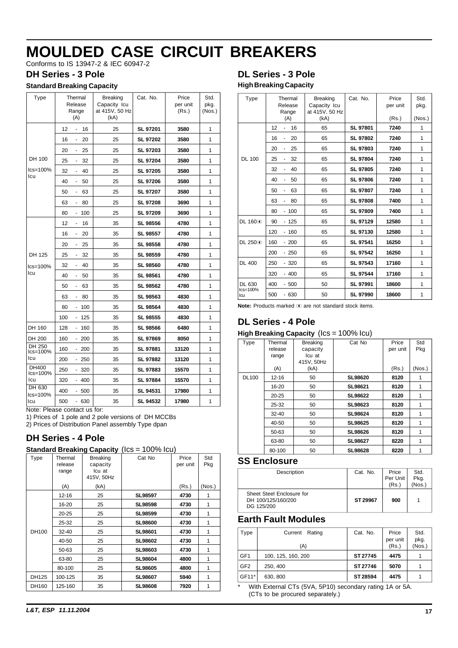<span id="page-17-0"></span>Conforms to IS 13947-2 & IEC 60947-2

#### **DH Series - 3 Pole**

#### **Standard Breaking Capacity**

| Type                   |     | Thermal<br>Release<br>Range<br>(A) | <b>Breaking</b><br>Capacity Icu<br>at 415V, 50 Hz<br>(kA) | Cat. No.        | Price<br>per unit<br>(Rs.) | Std.<br>pkg.<br>(Nos.) |
|------------------------|-----|------------------------------------|-----------------------------------------------------------|-----------------|----------------------------|------------------------|
|                        | 12  | 16<br>÷.                           | 25                                                        | SL 97201        | 3580                       | 1                      |
|                        | 16  | 20<br>ä,                           | 25                                                        | SL 97202        | 3580                       | 1                      |
|                        | 20  | 25<br>٠                            | 25                                                        | SL 97203        | 3580                       | 1                      |
| DH 100                 | 25  | 32<br>÷.                           | 25                                                        | <b>SL 97204</b> | 3580                       | 1                      |
| $lcs = 100%$           | 32  | 40<br>ä,                           | 25                                                        | SL 97205        | 3580                       | 1                      |
| Icu                    | 40  | 50<br>÷.                           | 25                                                        | <b>SL 97206</b> | 3580                       | 1                      |
|                        | 50  | 63<br>۰                            | 25                                                        | SL 97207        | 3580                       | 1                      |
|                        | 63  | 80<br>ä,                           | 25                                                        | <b>SL 97208</b> | 3690                       | 1                      |
|                        | 80  | 100<br>$\overline{\phantom{a}}$    | 25                                                        | SL 97209        | 3690                       | 1                      |
|                        | 12  | 16<br>ä,                           | 35                                                        | <b>SL 98556</b> | 4780                       | 1                      |
|                        | 16  | 20<br>٠                            | 35                                                        | SL 98557        | 4780                       | 1                      |
|                        | 20  | 25<br>ä,                           | 35                                                        | <b>SL 98558</b> | 4780                       | 1                      |
| DH 125                 | 25  | 32<br>٠                            | 35                                                        | <b>SL 98559</b> | 4780                       | 1                      |
| $lcs = 100%$           | 32  | 40<br>ä,                           | 35                                                        | SL 98560        | 4780                       | 1                      |
| Icu                    | 40  | 50                                 | 35                                                        | SL 98561        | 4780                       | 1                      |
|                        | 50  | 63<br>$\frac{1}{2}$                | 35                                                        | SL 98562        | 4780                       | 1                      |
|                        | 63  | 80<br>۰                            | 35                                                        | SL 98563        | 4830                       | 1                      |
|                        | 80  | 100<br>$\overline{\phantom{a}}$    | 35                                                        | SL 98564        | 4830                       | 1                      |
|                        | 100 | 125<br>-                           | 35                                                        | <b>SL 98555</b> | 4830                       | 1                      |
| DH 160                 | 128 | 160<br>$\overline{\phantom{a}}$    | 35                                                        | SL 98566        | 6480                       | 1                      |
| DH 200                 | 160 | 200                                | 35                                                        | <b>SL 97869</b> | 8050                       | 1                      |
| DH 250<br>$lcs = 100%$ | 160 | 200<br>۰.                          | 35                                                        | SL 97881        | 13120                      | 1                      |
| lcu                    | 200 | 250                                | 35                                                        | SL 97882        | 13120                      | 1                      |
| DH400<br>$lcs = 100%$  | 250 | 320                                | 35                                                        | SL 97883        | 15570                      | 1                      |
| lcu                    | 320 | $-400$                             | 35                                                        | <b>SL 97884</b> | 15570                      | 1                      |
| DH 630<br>$lcs = 100%$ | 400 | - 500                              | 35                                                        | SL 94531        | 17980                      | 1                      |
| lcu                    | 500 | - 630                              | 35                                                        | SL 94532        | 17980                      | 1                      |

Note: Please contact us for:

1) Prices of 1 pole and 2 pole versions of DH MCCBs

2) Prices of Distribution Panel assembly Type dpan

### **DH Series - 4 Pole**

| <b>Standard Breaking Capacity (Ics = 100% Icu)</b> |  |
|----------------------------------------------------|--|
|----------------------------------------------------|--|

| Type  | Thermal<br>release<br>range | <b>Breaking</b><br>capacity<br>Icu at<br>415V, 50Hz | Cat No         | Price<br>per unit | Std<br>Pkg |
|-------|-----------------------------|-----------------------------------------------------|----------------|-------------------|------------|
|       | (A)                         | (kA)                                                |                | (Rs.)             | (Nos.)     |
|       | $12 - 16$                   | 25                                                  | <b>SL98597</b> | 4730              | 1          |
|       | 16-20                       | 25                                                  | <b>SL98598</b> | 4730              | 1          |
|       | $20 - 25$                   | 25                                                  | SL98599        | 4730              | 1          |
|       | 25-32                       | 25                                                  | <b>SL98600</b> | 4730              | 1          |
| DH100 | $32 - 40$                   | 25                                                  | SL98601        | 4730              | 1          |
|       | 40-50                       | 25                                                  | SL98602        | 4730              | 1          |
|       | 50-63                       | 25                                                  | SL98603        | 4730              | 1          |
|       | 63-80                       | 25                                                  | SL98604        | 4800              | 1          |
|       | 80-100                      | 25                                                  | SL98605        | 4800              | 1          |
| DH125 | 100-125                     | 35                                                  | SL98607        | 5940              | 1          |
| DH160 | 125-160                     | 35                                                  | <b>SL98608</b> | 7920              | 1          |

### **DL Series - 3 Pole High Breaking Capacity**

|                     | Thermal                                  |                                | Cat. No.        | Price    | Std.   |
|---------------------|------------------------------------------|--------------------------------|-----------------|----------|--------|
| Type                | Release                                  | <b>Breaking</b>                |                 |          |        |
|                     | Range                                    | Capacity Icu<br>at 415V, 50 Hz |                 | per unit | pkg.   |
|                     | (A)                                      | (kA)                           |                 | (Rs.)    | (Nos.) |
|                     |                                          |                                |                 |          |        |
|                     | 12<br>16<br>٠                            | 65                             | SL 97801        | 7240     | 1      |
|                     | 16<br>20                                 | 65                             | <b>SL 97802</b> | 7240     | 1      |
|                     | 20<br>25                                 | 65                             | <b>SL 97803</b> | 7240     | 1      |
| <b>DL 100</b>       | 32<br>25<br>$\qquad \qquad \blacksquare$ | 65                             | <b>SL 97804</b> | 7240     | 1      |
|                     | 32<br>40<br>ä,                           | 65                             | <b>SL 97805</b> | 7240     | 1      |
|                     | 40<br>50                                 | 65                             | <b>SL 97806</b> | 7240     | 1      |
|                     | 50<br>63                                 | 65                             | <b>SL 97807</b> | 7240     | 1      |
|                     | 63<br>80                                 | 65                             | <b>SL 97808</b> | 7400     | 1      |
|                     | $-100$<br>80                             | 65                             | <b>SL 97809</b> | 7400     | 1      |
| DL 160 <sup>3</sup> | $-125$<br>90                             | 65                             | SL 97129        | 12580    | 1      |
|                     | 120<br>$-160$                            | 65                             | <b>SL 97130</b> | 12580    | 1      |
| DL 250 <sup>3</sup> | 160<br>$-200$                            | 65                             | SL 97541        | 16250    | 1      |
|                     | 200<br>$-250$                            | 65                             | <b>SL 97542</b> | 16250    | 1      |
| <b>DL 400</b>       | 250<br>$-320$                            | 65                             | <b>SL 97543</b> | 17160    | 1      |
|                     | 320<br>$-400$                            | 65                             | <b>SL 97544</b> | 17160    | 1      |
| DL 630              | 400<br>$-500$                            | 50                             | SL 97991        | 18600    | 1      |
| $lcs = 100%$<br>lcu | 500<br>$-630$                            | 50                             | <b>SL 97990</b> | 18600    | 1      |

Note: Products marked  $\Phi$  are not standard stock items.

### **DL Series - 4 Pole**

#### **High Breaking Capacity** (Ics = 100% Icu)

| Type         | Thermal<br>release | <b>Breaking</b><br>capacity | Cat No         | Price<br>per unit | Std<br>Pkg |
|--------------|--------------------|-----------------------------|----------------|-------------------|------------|
|              | range              | Icu at<br>415V, 50Hz        |                |                   |            |
|              | (A)                | (kA)                        |                | (Rs.)             | (Nos.)     |
| <b>DL100</b> | $12 - 16$          | 50                          | <b>SL98620</b> | 8120              | 1          |
|              | 16-20              | 50                          | <b>SL98621</b> | 8120              | 1          |
|              | $20 - 25$          | 50                          | <b>SL98622</b> | 8120              | 1          |
|              | 25-32              | 50                          | SL98623        | 8120              | 1          |
|              | 32-40              | 50                          | SL98624        | 8120              | 1          |
|              | 40-50              | 50                          | SL98625        | 8120              | 1          |
|              | 50-63              | 50                          | SL98626        | 8120              | 1          |
|              | 63-80              | 50                          | <b>SL98627</b> | 8220              | 1          |
|              | 80-100             | 50                          | <b>SL98628</b> | 8220              | 1          |

#### **SS Enclosure**

| Description                                                   | Cat. No. | Price<br>Per Unit<br>(Rs.) | Std.<br>Pkg.<br>(Nos.) |
|---------------------------------------------------------------|----------|----------------------------|------------------------|
| Sheet Steel Enclosure for<br>DH 100/125/160/200<br>DG 125/200 | ST 29967 | 900                        |                        |

### **Earth Fault Modules**

| Type            | Current<br>Rating  | Cat. No. | Price             | Std.           |
|-----------------|--------------------|----------|-------------------|----------------|
|                 | (A)                |          | per unit<br>(Rs.) | pkg.<br>(Nos.) |
| GF <sub>1</sub> | 100, 125, 160, 200 | ST 27745 | 4475              |                |
| GF <sub>2</sub> | 250, 400           | ST 27746 | 5070              |                |
| GF11*           | 630, 800           | ST 28594 | 4475              |                |

With External CTs (5VA, 5P10) secondary rating 1A or 5A. (CTs to be procured separately.)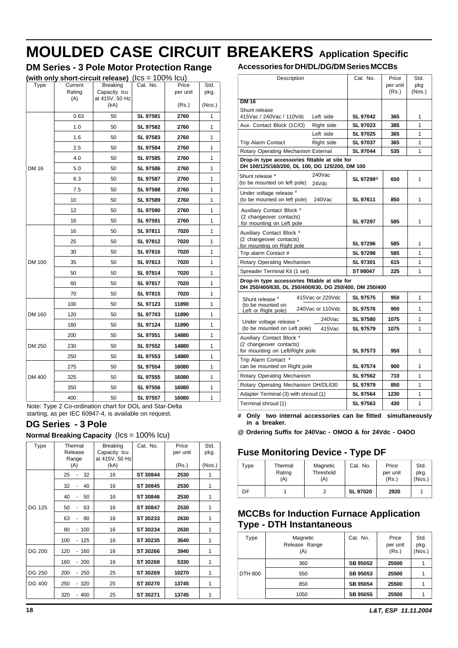# **MOULDED CASE CIRCUIT BREAKERS Application Specific**

 $(Nos.)$ 

# **DM Series - 3 Pole Motor Protection Range**

|               |                          | (with only short-circuit release) $($ lcs = 100% lcu)     |          |                            |                        |
|---------------|--------------------------|-----------------------------------------------------------|----------|----------------------------|------------------------|
| Type          | Current<br>Rating<br>(A) | <b>Breaking</b><br>Capacity Icu<br>at 415V, 50 Hz<br>(kA) | Cat. No. | Price<br>per unit<br>(Rs.) | Std.<br>pkg.<br>(Nos.) |
|               | 0.63                     | 50                                                        | SL 97581 | 2760                       | 1                      |
|               | 1.0                      | 50                                                        | SL 97582 | 2760                       | 1                      |
|               | 1.6                      | 50                                                        | SL 97583 | 2760                       | 1                      |
|               | 2.5                      | 50                                                        | SL 97584 | 2760                       | 1                      |
|               | 4.0                      | 50                                                        | SL 97585 | 2760                       | 1                      |
| <b>DM 16</b>  | 5.0                      | 50                                                        | SL 97586 | 2760                       | 1                      |
|               | 6.3                      | 50                                                        | SL 97587 | 2760                       | 1                      |
|               | 7.5                      | 50                                                        | SL 97588 | 2760                       | 1                      |
|               | 10                       | 50                                                        | SL 97589 | 2760                       | 1                      |
|               | 12                       | 50                                                        | SL 97590 | 2760                       | 1                      |
|               | 16                       | 50                                                        | SL 97591 | 2760                       | 1                      |
|               | 16                       | 50                                                        | SL 97811 | 7020                       | 1                      |
|               | 25                       | 50                                                        | SL 97812 | 7020                       | 1                      |
|               | 30                       | 50                                                        | SL 97816 | 7020                       | 1                      |
| <b>DM 100</b> | 35                       | 50                                                        | SL 97813 | 7020                       | 1                      |
|               | 50                       | 50                                                        | SL 97814 | 7020                       | 1                      |
|               | 60                       | 50                                                        | SL 97817 | 7020                       | 1                      |
|               | 70                       | 50                                                        | SL 97815 | 7020                       | 1                      |
|               | 100                      | 50                                                        | SL 97123 | 11890                      | 1                      |
| DM 160        | 120                      | 50                                                        | SL 97703 | 11890                      | 1                      |
|               | 160                      | 50                                                        | SL 97124 | 11890                      | 1                      |
|               | 200                      | 50                                                        | SL 97551 | 14880                      | 1                      |
| DM 250        | 230                      | 50                                                        | SL 97552 | 14880                      | 1                      |
|               | 250                      | 50                                                        | SL 97553 | 14880                      | 1                      |
|               | 275                      | 50                                                        | SL 97554 | 16080                      | 1                      |
| DM 400        | 325                      | 50                                                        | SL 97555 | 16080                      | 1                      |
|               | 350                      | 50                                                        | SL 97556 | 16080                      | 1                      |
|               | 400                      | 50                                                        | SL 97557 | 16080                      | 1                      |

Note: Type 2 Co-ordination chart for DOL and Star-Delta starting, as per IEC 60947-4, is available on request.

### **DG Series - 3 Pole**

|      |                  | Normal Breaking Capacity (Ics = 100% Icu) |          |          |       |
|------|------------------|-------------------------------------------|----------|----------|-------|
| Type | Thermal          | <b>Breaking</b>                           | Cat. No. | Price    | Std.  |
|      | Release<br>Range | Capacity Icu<br>at 415V, 50 Hz            |          | per unit | pkg.  |
|      | (A)              | (kA)                                      |          | (Rs.)    | (Nos. |
|      | 25<br>32         | 16                                        | ST 30844 | 2530     |       |
|      | 32<br>40         | 16                                        | ST 30845 | 2530     |       |
|      | 40<br>50         | 16                                        | ST 30846 | 2530     |       |
|      |                  |                                           |          |          |       |

40 - 50 16 **ST 30846 2530** 1 DG 125 50 - 63 16 **ST 30847 2530** 1 63 - 80 16 **ST 30233 2630** 1 80 - 100 16 **ST 30234 2630** 1 100 - 125 16 **ST 30235 3640** 1 DG 200 120 - 160 16 **ST 30266 3940** 1 160 - 200 16 **ST 30268 5330** 1 DG 250 200 - 250 25 **ST 30269 10270** 1 DG 400 250 - 320 25 **ST 30270 13745** 1 320 - 400 25 **ST 30271 13745** 1

#### **Accessories for DH/DL/DG/DM Series MCCBs**

| Description                                                                                     |                  | Cat. No.              | Price    | Std.   |
|-------------------------------------------------------------------------------------------------|------------------|-----------------------|----------|--------|
|                                                                                                 |                  |                       | per unit | pkg    |
|                                                                                                 |                  |                       | (Rs.)    | (Nos.) |
| <b>DM 16</b>                                                                                    |                  |                       |          |        |
| Shunt release                                                                                   |                  |                       |          |        |
| 415Vac / 240Vac / 110Vdc                                                                        | Left side        | <b>SL 97042</b>       | 365      | 1      |
| Aux. Contact Block (1C/O)                                                                       | Right side       | <b>SL 97023</b>       | 385      | 1      |
|                                                                                                 | Left side        | <b>SL 97025</b>       | 365      | 1      |
| Trip Alarm Contact                                                                              | Right side       | SL 97037              | 365      | 1      |
| Rotary Operating Mechanism External                                                             |                  | <b>SL 97044</b>       | 535      | 1      |
| Drop-in type accessories fittable at site for<br>DH 100/125/160/200, DL 100, DG 125/200, DM 100 |                  |                       |          |        |
| Shunt release #                                                                                 | $240$ Vac        |                       |          |        |
| (to be mounted on left pole)                                                                    | 24Vdc            | SL 97299 <sup>®</sup> | 650      | 1      |
| Under voltage release #                                                                         |                  |                       |          |        |
| (to be mounted on left pole)                                                                    | $240$ Vac        | SL 97611              | 850      | 1      |
| Auxiliary Contact Block #                                                                       |                  |                       |          |        |
| (2 changeover contacts)                                                                         |                  |                       | 585      | 1      |
| for mounting on Left pole                                                                       |                  | <b>SL 97297</b>       |          |        |
| Auxiliary Contact Block #                                                                       |                  |                       |          |        |
| (2 changeover contacts)<br>for mounting on Right pole                                           |                  | SL 97296              | 585      | 1      |
| Trip alarm Contact #                                                                            |                  | SL 97298              | 585      | 1      |
| Rotary Operating Mechanism                                                                      |                  | SL 97301              | 615      | 1      |
| Spreader Terminal Kit (1 set)                                                                   |                  | ST98047               | 225      | 1      |
| Drop-in type accessories fittable at site for                                                   |                  |                       |          |        |
| DH 250/400/630, DL 250/400/630, DG 250/400, DM 250/400                                          |                  |                       |          |        |
| Shunt release #                                                                                 | 415Vac or 220Vdc | <b>SL 97575</b>       | 950      | 1      |
| (to be mounted on<br>Left or Right pole)                                                        | 240Vac or 110Vdc | <b>SL 97576</b>       | 950      | 1      |
| Under voltage release #                                                                         | 240Vac           | <b>SL 97580</b>       | 1075     | 1      |
| (to be mounted on Left pole)                                                                    | 415Vac           | SL 97579              | 1075     | 1      |
| Auxiliary Contact Block #                                                                       |                  |                       |          |        |
| (2 changeover contacts)                                                                         |                  |                       |          |        |
| for mounting on Left/Right pole                                                                 |                  | SL 97573              | 950      | 1      |
| Trip Alarm Contact #<br>can be mounted on Right pole                                            |                  | SL 97574              | 900      | 1      |
| Rotary Operating Mechanism                                                                      |                  | SL 97562              | 710      | 1      |
| Rotary Operating Mechanism DH/DL630                                                             |                  | <b>SL 97979</b>       | 850      | 1      |
| Adapter Terminal (3) with shroud (1)                                                            |                  | SL 97564              | 1230     | 1      |
| Terminal shroud (1)                                                                             |                  | SL 97563              | 430      | 1      |
|                                                                                                 |                  |                       |          |        |

**# Only two internal accessories can be fitted simultaneously in a breaker.**

**@ Ordering Suffix for 240Vac - OMOO & for 24Vdc - O4OO**

# **Fuse Monitoring Device - Type DF**

| Type | Thermal<br>Rating<br>(A) | Magnetic<br>Threshold<br>(A) | Cat. No.        | Price<br>per unit<br>(Rs.) | Std.<br>pkg.<br>(Nos.) |
|------|--------------------------|------------------------------|-----------------|----------------------------|------------------------|
| DF   |                          |                              | <b>SL 97020</b> | 2920                       |                        |

### **MCCBs for Induction Furnace Application Type - DTH Instantaneous**

| <b>Type</b> | Magnetic<br>Release Range<br>(A) | Cat. No.        | Price<br>per unit<br>(Rs.) | Std.<br>pkg.<br>(Nos.) |
|-------------|----------------------------------|-----------------|----------------------------|------------------------|
|             | 360                              | <b>SB 95052</b> | 25500                      |                        |
| DTH 800     | 550                              | <b>SB 95053</b> | 25500                      |                        |
|             | 850                              | <b>SB 95054</b> | 25500                      |                        |
|             | 1050                             | <b>SB 95055</b> | 25500                      |                        |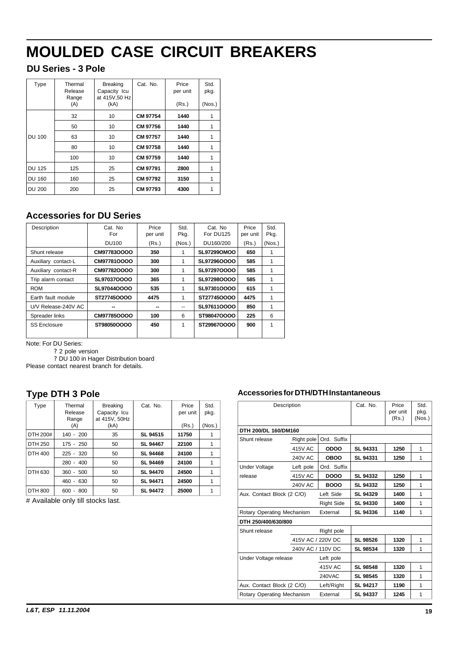# **DU Series - 3 Pole**

| Type          | Thermal<br>Release<br>Range<br>(A) | <b>Breaking</b><br>Capacity Icu<br>at 415V,50 Hz<br>(kA) | Cat. No. | Price<br>per unit<br>(Rs.) | Std.<br>pkg.<br>(Nos.) |
|---------------|------------------------------------|----------------------------------------------------------|----------|----------------------------|------------------------|
|               | 32                                 | 10                                                       | CM 97754 | 1440                       |                        |
|               | 50                                 | 10                                                       | CM 97756 | 1440                       |                        |
| DU 100        | 63                                 | 10                                                       | CM 97757 | 1440                       | 1                      |
|               | 80                                 | 10                                                       | CM 97758 | 1440                       |                        |
|               | 100                                | 10                                                       | CM 97759 | 1440                       |                        |
| <b>DU 125</b> | 125                                | 25                                                       | CM 97791 | 2800                       | 1                      |
| <b>DU 160</b> | 160                                | 25                                                       | CM 97792 | 3150                       |                        |
| <b>DU 200</b> | 200                                | 25                                                       | CM 97793 | 4300                       |                        |
|               |                                    |                                                          |          |                            |                        |

# **Accessories for DU Series**

| Description         | Cat. No<br>For | Price<br>per unit | Std.<br>Pkg. | Cat. No<br>For DU125 | Price<br>per unit | Std.<br>Pkg. |
|---------------------|----------------|-------------------|--------------|----------------------|-------------------|--------------|
|                     | DU100          | (Rs.)             | (Nos.)       | DU160/200            | (Rs.)             | (Nos.)       |
| Shunt release       | CM97783OOOO    | 350               |              | <b>SL97299OMOO</b>   | 650               |              |
| Auxiliary contact-L | CM97781OOOO    | 300               | 1            | SL97296OOOO          | 585               | 1            |
| Auxiliary contact-R | CM97782OOOO    | 300               | 1            | SL972970000          | 585               |              |
| Trip alarm contact  | SL97037OOOO    | 365               | 1            | SL97298OOOO          | 585               |              |
| <b>ROM</b>          | SL97044OOOO    | 535               | 1            | SL97301OOOO          | 615               | 1            |
| Earth fault module  | ST277450000    | 4475              | 1            | ST277450000          | 4475              |              |
| U/V Release-240V AC |                |                   | --           | SL976110000          | 850               | 1            |
| Spreader links      | CM97785OOOO    | 100               | 6            | ST98047OOOO          | 225               | 6            |
| <b>SS Enclosure</b> | ST98050OOOO    | 450               | 1            | ST29967OOOO          | 900               | 1            |
|                     |                |                   |              |                      |                   |              |

Note: For DU Series:

? 2 pole version

? DU 100 in Hager Distribution board

Please contact nearest branch for details.

# **Type DTH 3 Pole**

| Type     | Thermal<br>Release<br>Range            | <b>Breaking</b><br>Capacity Icu<br>at 415V, 50Hz | Cat. No.        | Price<br>per unit | Std.<br>pkg. |
|----------|----------------------------------------|--------------------------------------------------|-----------------|-------------------|--------------|
|          | (A)                                    | (kA)                                             |                 | (Rs.)             | (Nos.)       |
| DTH 200# | $140 - 200$                            | 35                                               | SL 94515        | 11750             |              |
| DTH 250  | 175 - 250                              | 50                                               | SL 94467        | 22100             | 1            |
| DTH 400  | $225 - 320$                            | 50                                               | SL 94468        | 24100             | 1            |
|          | $280 - 400$                            | 50                                               | SL 94469        | 24100             | 1            |
| DTH 630  | 500<br>360 -                           | 50                                               | <b>SL 94470</b> | 24500             | 1            |
|          | 460 -<br>630                           | 50                                               | SL 94471        | 24500             | 1            |
| DTH 800  | 800<br>600<br>$\overline{\phantom{a}}$ | 50                                               | SL 94472        | 25000             |              |

# Available only till stocks last.

#### **Accessories for DTH/DTH Instantaneous**

| Description                | Cat. No.          | Price<br>per unit<br>(Rs.) | Std.<br>pkg.<br>(Nos.) |      |   |
|----------------------------|-------------------|----------------------------|------------------------|------|---|
| DTH 200/DL 160/DM160       |                   |                            |                        |      |   |
| Shunt release              | Right pole        | Ord. Suffix                |                        |      |   |
|                            | 415V AC           | <b>ODOO</b>                | SL 94331               | 1250 | 1 |
|                            | <b>240V AC</b>    | <b>OBOO</b>                | <b>SL 94331</b>        | 1250 | 1 |
| <b>Under Voltage</b>       | Left pole         | Ord. Suffix                |                        |      |   |
| release                    | 415V AC           | DOOO                       | SL 94332               | 1250 | 1 |
|                            | <b>240V AC</b>    | <b>BOOO</b>                | <b>SL 94332</b>        | 1250 | 1 |
| Aux. Contact Block (2 C/O) |                   | Left Side                  | <b>SL 94329</b>        | 1400 | 1 |
|                            |                   | <b>Right Side</b>          | <b>SL 94330</b>        | 1400 | 1 |
| Rotary Operating Mechanism |                   | External                   | SL 94336               | 1140 | 1 |
| DTH 250/400/630/800        |                   |                            |                        |      |   |
| Shunt release              |                   | Right pole                 |                        |      |   |
|                            | 415V AC / 220V DC |                            | SL 98526               | 1320 | 1 |
|                            | 240V AC / 110V DC |                            | SL 98534               | 1320 | 1 |
| Under Voltage release      |                   | Left pole                  |                        |      |   |
|                            |                   | 415V AC                    | <b>SL 98548</b>        | 1320 | 1 |
|                            |                   | <b>240VAC</b>              | SL 98545               | 1320 | 1 |
| Aux. Contact Block (2 C/O) |                   | Left/Right                 | SL 94217               | 1190 | 1 |
| Rotary Operating Mechanism |                   | External                   | <b>SL 94337</b>        | 1245 | 1 |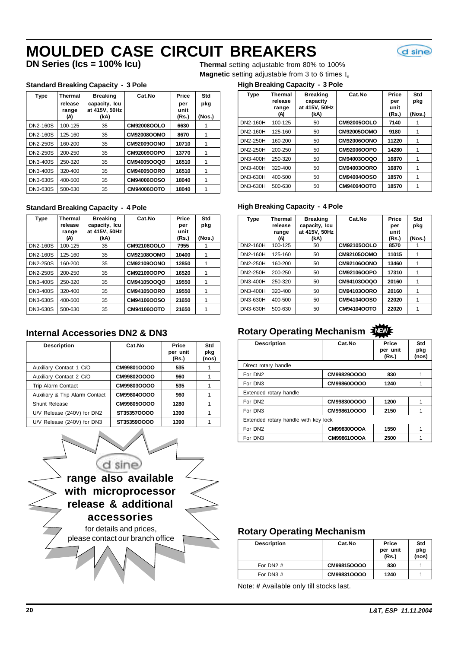d sine

**DN Series (Ics = 100% Icu)** Thermal setting adjustable from 80% to 100% **Magnetic** setting adjustable from 3 to 6 times I<sub>n</sub>

#### **Standard Breaking Capacity - 3 Pole**

| Type     | Thermal<br>release<br>range<br>(A) | <b>Breaking</b><br>capacity, Icu<br>at 415V, 50Hz<br>(kA) | Cat.No             | Price<br>per<br>unit<br>(Rs.) | Std<br>pkg<br>(Nos.) |
|----------|------------------------------------|-----------------------------------------------------------|--------------------|-------------------------------|----------------------|
| DN2-160S | 100-125                            | 35                                                        | CM92008OOLO        | 6630                          |                      |
| DN2-160S | 125-160                            | 35                                                        | <b>CM92008OOMO</b> | 8670                          |                      |
| DN2-250S | 160-200                            | 35                                                        | <b>CM92009OONO</b> | 10710                         |                      |
| DN2-250S | 200-250                            | 35                                                        | CM92009OOPO        | 13770                         | 1                    |
| DN3-400S | 250-320                            | 35                                                        | CM94005OOQO        | 16510                         |                      |
| DN3-400S | 320-400                            | 35                                                        | <b>CM94005OORO</b> | 16510                         |                      |
| DN3-630S | 400-500                            | 35                                                        | CM94006OOSO        | 18040                         |                      |
| DN3-630S | 500-630                            | 35                                                        | CM94006OOTO        | 18040                         |                      |

#### **Standard Breaking Capacity - 4 Pole High Breaking Capacity - 4 Pole**

| <b>Type</b>     | Thermal<br>release<br>range<br>(A) | <b>Breaking</b><br>capacity, Icu<br>at 415V, 50Hz<br>(kA) | Cat.No             | Price<br>per<br>unit<br>(Rs.) | Std<br>pkg<br>(Nos.) |
|-----------------|------------------------------------|-----------------------------------------------------------|--------------------|-------------------------------|----------------------|
| <b>DN2-160S</b> | 100-125                            | 35                                                        | <b>CM92108OOLO</b> | 7955                          |                      |
| DN2-160S        | 125-160                            | 35                                                        | CM92108OOMO        | 10400                         |                      |
| DN2-250S        | 160-200                            | 35                                                        | CM92109OONO        | 12850                         |                      |
| DN2-250S        | 200-250                            | 35                                                        | CM92109OOPO        | 16520                         | 1                    |
| <b>DN3-400S</b> | 250-320                            | 35                                                        | CM94105OOQO        | 19550                         | 1                    |
| DN3-400S        | 320-400                            | 35                                                        | CM94105OORO        | 19550                         | 1                    |
| DN3-630S        | 400-500                            | 35                                                        | CM94106OOSO        | 21650                         | 1                    |
| DN3-630S        | 500-630                            | 35                                                        | CM94106OOTO        | 21650                         | 1                    |

### **Internal Accessories DN2 & DN3**

| <b>Description</b>             | Cat.No      | Price<br>per unit<br>(Rs.) | Std<br>pkg<br>(nos) |
|--------------------------------|-------------|----------------------------|---------------------|
| Auxiliary Contact 1 C/O        | CM99801OOOO | 535                        |                     |
| Auxiliary Contact 2 C/O        | CM99802OOOO | 960                        |                     |
| <b>Trip Alarm Contact</b>      | CM99803OOOO | 535                        |                     |
| Auxiliary & Trip Alarm Contact | CM99804OOOO | 960                        |                     |
| Shunt Release                  | CM99805OOOO | 1280                       |                     |
| U/V Release (240V) for DN2     | ST353570000 | 1390                       |                     |
| U/V Release (240V) for DN3     | ST35359OOOO | 1390                       |                     |



#### **High Breaking Capacity - 3 Pole**

| <b>Type</b> | <b>Thermal</b><br>release<br>range | <b>Breaking</b><br>capacity<br>at 415V, 50Hz | Cat.No             | Price<br>per<br>unit | Std<br>pkg |
|-------------|------------------------------------|----------------------------------------------|--------------------|----------------------|------------|
|             | (A)                                | (kA)                                         |                    | (Rs.)                | (Nos.)     |
| DN2-160H    | 100-125                            | 50                                           | <b>CM92005OOLO</b> | 7140                 |            |
| DN2-160H    | 125-160                            | 50                                           | <b>CM92005OOMO</b> | 9180                 |            |
| DN2-250H    | 160-200                            | 50                                           | <b>CM92006OONO</b> | 11220                |            |
| DN2-250H    | 200-250                            | 50                                           | CM92006OOPO        | 14280                |            |
| DN3-400H    | 250-320                            | 50                                           | CM94003OOQO        | 16870                |            |
| DN3-400H    | 320-400                            | 50                                           | CM94003OORO        | 16870                |            |
| DN3-630H    | 400-500                            | 50                                           | CM94004OOSO        | 18570                |            |
| DN3-630H    | 500-630                            | 50                                           | CM94004OOTO        | 18570                |            |

| <b>Type</b> | Thermal<br>release<br>range<br>(A) | <b>Breaking</b><br>capacity, Icu<br>at 415V. 50Hz<br>(kA) | Cat.No      | Price<br>per<br>unit<br>(Rs.) | Std<br>pkg<br>(Nos.) |
|-------------|------------------------------------|-----------------------------------------------------------|-------------|-------------------------------|----------------------|
| DN2-160H    | 100-125                            | 50                                                        | CM92105OOLO | 8570                          |                      |
| DN2-160H    | 125-160                            | 50                                                        | CM92105OOMO | 11015                         |                      |
| DN2-250H    | 160-200                            | 50                                                        | CM92106OONO | 13460                         |                      |
| DN2-250H    | 200-250                            | 50                                                        | CM92106OOPO | 17310                         |                      |
| DN3-400H    | 250-320                            | 50                                                        | CM94103OOQO | 20160                         |                      |
| DN3-400H    | 320-400                            | 50                                                        | CM94103OORO | 20160                         |                      |
| DN3-630H    | 400-500                            | 50                                                        | CM94104OOSO | 22020                         |                      |
| DN3-630H    | 500-630                            | 50                                                        | CM94104OOTO | 22020                         |                      |

# **Rotary Operating Mechanism NEW**

| <b>Description</b>                   | Cat.No      | Price<br>per unit<br>(Rs.) | Std<br>pkg<br>(nos) |
|--------------------------------------|-------------|----------------------------|---------------------|
| Direct rotary handle                 |             |                            |                     |
| For DN2                              | CM99829OOOO | 830                        |                     |
| For DN3                              | CM99860OOOO | 1240                       |                     |
| Extended rotary handle               |             |                            |                     |
| For DN2                              | CM99830OOOO | 1200                       |                     |
| For DN3                              | CM99861OOOO | 2150                       |                     |
| Extended rotary handle with key lock |             |                            |                     |
| For DN <sub>2</sub>                  | CM99830OOOA | 1550                       |                     |
| For DN3                              | CM99861OOOA | 2500                       |                     |

### **Rotary Operating Mechanism**

| <b>Description</b> | Cat.No      | Price<br>per unit<br>(Rs.) | Std<br>pkg<br>(nos) |
|--------------------|-------------|----------------------------|---------------------|
| For DN2 $#$        | CM99815OOOO | 830                        |                     |
| For DN3 #          | CM99831OOOO | 1240                       |                     |

Note: **#** Available only till stocks last.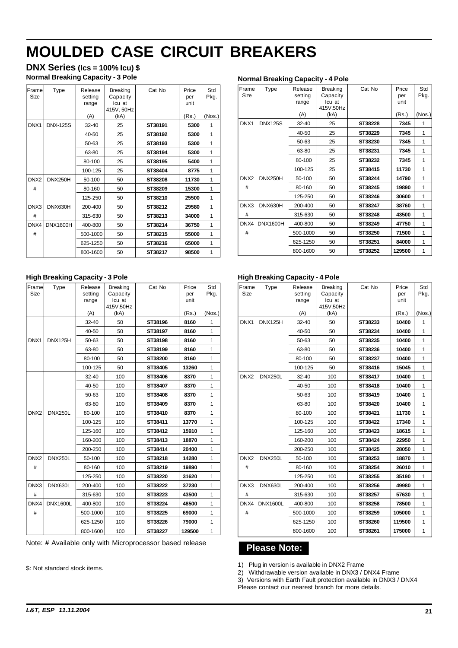**DNX Series (Ics = 100% Icu) \$ Normal Breaking Capacity - 3 Pole**

| Frame<br>Size    | Type            | Release<br>setting<br>range | <b>Breaking</b><br>Capacity<br>Icu at<br>415V, 50Hz | Cat No  | Price<br>per<br>unit | Std<br>Pkg. |
|------------------|-----------------|-----------------------------|-----------------------------------------------------|---------|----------------------|-------------|
|                  |                 | (A)                         | (kA)                                                |         | (Rs.)                | (Nos.)      |
| DNX1             | <b>DNX-125S</b> | 32-40                       | 25                                                  | ST38191 | 5300                 | 1           |
|                  |                 | $40 - 50$                   | 25                                                  | ST38192 | 5300                 | 1           |
|                  |                 | 50-63                       | 25                                                  | ST38193 | 5300                 | 1           |
|                  |                 | 63-80                       | 25                                                  | ST38194 | 5300                 | 1           |
|                  |                 | 80-100                      | 25                                                  | ST38195 | 5400                 | 1           |
|                  |                 | 100-125                     | 25                                                  | ST38404 | 8775                 | 1           |
| DNX <sub>2</sub> | <b>DNX250H</b>  | 50-100                      | 50                                                  | ST38208 | 11730                | 1           |
| #                |                 | 80-160                      | 50                                                  | ST38209 | 15300                | 1           |
|                  |                 | 125-250                     | 50                                                  | ST38210 | 25500                | 1           |
| DNX3             | DNX630H         | 200-400                     | 50                                                  | ST38212 | 29580                | 1           |
| #                |                 | 315-630                     | 50                                                  | ST38213 | 34000                | 1           |
| DNX4             | <b>DNX1600H</b> | 400-800                     | 50                                                  | ST38214 | 36750                | 1           |
| #                |                 | 500-1000                    | 50                                                  | ST38215 | 55000                | 1           |
|                  |                 | 625-1250                    | 50                                                  | ST38216 | 65000                | 1           |
|                  |                 | 800-1600                    | 50                                                  | ST38217 | 98500                | 1           |

#### **Normal Breaking Capacity - 4 Pole**

| Frame<br>Size    | Type            | Release<br>setting<br>range | <b>Breaking</b><br>Capacity<br>Icu at<br>415V.50Hz | Cat No  | Price<br>per<br>unit | Std<br>Pkg. |
|------------------|-----------------|-----------------------------|----------------------------------------------------|---------|----------------------|-------------|
|                  |                 | (A)                         | (kA)                                               |         | (Rs.)                | (Nos.)      |
| DNX1             | <b>DNX125S</b>  | 32-40                       | 25                                                 | ST38228 | 7345                 | 1           |
|                  |                 | 40-50                       | 25                                                 | ST38229 | 7345                 | 1           |
|                  |                 | 50-63                       | 25                                                 | ST38230 | 7345                 | 1           |
|                  |                 | 63-80                       | 25                                                 | ST38231 | 7345                 | 1           |
|                  |                 | 80-100                      | 25                                                 | ST38232 | 7345                 | 1           |
|                  |                 | 100-125                     | 25                                                 | ST38415 | 11730                | 1           |
| DNX <sub>2</sub> | DNX250H         | 50-100                      | 50                                                 | ST38244 | 14790                | 1           |
| #                |                 | 80-160                      | 50                                                 | ST38245 | 19890                | 1           |
|                  |                 | 125-250                     | 50                                                 | ST38246 | 30600                | 1           |
| DNX3             | DNX630H         | 200-400                     | 50                                                 | ST38247 | 38760                | 1           |
| #                |                 | 315-630                     | 50                                                 | ST38248 | 43500                | 1           |
| DNX4             | <b>DNX1600H</b> | 400-800                     | 50                                                 | ST38249 | 47750                | 1           |
| #                |                 | 500-1000                    | 50                                                 | ST38250 | 71500                | 1           |
|                  |                 | 625-1250                    | 50                                                 | ST38251 | 84000                | 1           |
|                  |                 | 800-1600                    | 50                                                 | ST38252 | 129500               | 1           |

#### **High Breaking Capacity - 3 Pole**

| Frame<br><b>Size</b> | Type            | Release<br>setting<br>range | <b>Breaking</b><br>Capacity<br>Icu at<br>415V.50Hz | Cat No  | Price<br>per<br>unit | Std<br>Pkg.  |
|----------------------|-----------------|-----------------------------|----------------------------------------------------|---------|----------------------|--------------|
|                      |                 | (A)                         | (kA)                                               |         | (Rs.)                | (Nos.)       |
|                      |                 | $32 - 40$                   | 50                                                 | ST38196 | 8160                 | 1            |
|                      |                 | 40-50                       | 50                                                 | ST38197 | 8160                 | 1            |
| DNX1                 | <b>DNX125H</b>  | 50-63                       | 50                                                 | ST38198 | 8160                 | 1            |
|                      |                 | 63-80                       | 50                                                 | ST38199 | 8160                 | 1            |
|                      |                 | 80-100                      | 50                                                 | ST38200 | 8160                 | $\mathbf{1}$ |
|                      |                 | 100-125                     | 50                                                 | ST38405 | 13260                | 1            |
|                      |                 | 32-40                       | 100                                                | ST38406 | 8370                 | 1            |
|                      |                 | 40-50                       | 100                                                | ST38407 | 8370                 | 1            |
|                      |                 | 50-63                       | 100                                                | ST38408 | 8370                 | 1            |
|                      |                 | 63-80                       | 100                                                | ST38409 | 8370                 | 1            |
| DNX <sub>2</sub>     | <b>DNX250L</b>  | 80-100                      | 100                                                | ST38410 | 8370                 | 1            |
|                      |                 | 100-125                     | 100                                                | ST38411 | 13770                | 1            |
|                      |                 | 125-160                     | 100                                                | ST38412 | 15910                | 1            |
|                      |                 | 160-200                     | 100                                                | ST38413 | 18870                | 1            |
|                      |                 | 200-250                     | 100                                                | ST38414 | 20400                | 1            |
| DNX <sub>2</sub>     | <b>DNX250L</b>  | 50-100                      | 100                                                | ST38218 | 14280                | 1            |
| #                    |                 | 80-160                      | 100                                                | ST38219 | 19890                | 1            |
|                      |                 | 125-250                     | 100                                                | ST38220 | 31620                | 1            |
| DNX3                 | DNX630L         | 200-400                     | 100                                                | ST38222 | 37230                | 1            |
| #                    |                 | 315-630                     | 100                                                | ST38223 | 43500                | 1            |
| DNX4                 | <b>DNX1600L</b> | 400-800                     | 100                                                | ST38224 | 48500                | 1            |
| #                    |                 | 500-1000                    | 100                                                | ST38225 | 69000                | 1            |
|                      |                 | 625-1250                    | 100                                                | ST38226 | 79000                | 1            |
|                      |                 | 800-1600                    | 100                                                | ST38227 | 129500               | $\mathbf{1}$ |

Note: **#** Available only with Microprocessor based release

\$: Not standard stock items.

#### **High Breaking Capacity - 4 Pole**

| Frame<br><b>Size</b> | Type            | Release<br>setting<br>range | <b>Breaking</b><br>Capacity<br>Icu at<br>415V.50Hz | Cat No  | Price<br>per<br>unit | Std<br>Pkg.    |
|----------------------|-----------------|-----------------------------|----------------------------------------------------|---------|----------------------|----------------|
|                      |                 | (A)                         | (kA)                                               |         | (Rs.)                | (Nos.)         |
| DNX1                 | DNX125H         | 32-40                       | 50                                                 | ST38233 | 10400                | 1              |
|                      |                 | 40-50                       | 50                                                 | ST38234 | 10400                | 1              |
|                      |                 | 50-63                       | 50                                                 | ST38235 | 10400                | 1              |
|                      |                 | 63-80                       | 50                                                 | ST38236 | 10400                | 1              |
|                      |                 | 80-100                      | 50                                                 | ST38237 | 10400                | 1              |
|                      |                 | 100-125                     | 50                                                 | ST38416 | 15045                | 1              |
| DNX <sub>2</sub>     | DNX250L         | 32-40                       | 100                                                | ST38417 | 10400                | 1              |
|                      |                 | 40-50                       | 100                                                | ST38418 | 10400                | 1              |
|                      |                 | 50-63                       | 100                                                | ST38419 | 10400                | 1              |
|                      |                 | 63-80                       | 100                                                | ST38420 | 10400                | 1              |
|                      |                 | 80-100                      | 100                                                | ST38421 | 11730                | 1              |
|                      |                 | 100-125                     | 100                                                | ST38422 | 17340                | 1              |
|                      |                 | 125-160                     | 100                                                | ST38423 | 18615                | 1              |
|                      |                 | 160-200                     | 100                                                | ST38424 | 22950                | $\overline{1}$ |
|                      |                 | 200-250                     | 100                                                | ST38425 | 28050                | 1              |
| DNX <sub>2</sub>     | DNX250L         | 50-100                      | 100                                                | ST38253 | 18870                | 1              |
| #                    |                 | 80-160                      | 100                                                | ST38254 | 26010                | 1              |
|                      |                 | 125-250                     | 100                                                | ST38255 | 35190                | 1              |
| DNX3                 | DNX630L         | 200-400                     | 100                                                | ST38256 | 49980                | 1              |
| #                    |                 | 315-630                     | 100                                                | ST38257 | 57630                | 1              |
| DNX4                 | <b>DNX1600L</b> | 400-800                     | 100                                                | ST38258 | 78500                | 1              |
| #                    |                 | 500-1000                    | 100                                                | ST38259 | 105000               | 1              |
|                      |                 | 625-1250                    | 100                                                | ST38260 | 119500               | $\mathbf{1}$   |
|                      |                 | 800-1600                    | 100                                                | ST38261 | 175000               | 1              |

### **Please Note:**

1) Plug in version is available in DNX2 Frame

2) Withdrawable version available in DNX3 / DNX4 Frame

3) Versions with Earth Fault protection available in DNX3 / DNX4

Please contact our nearest branch for more details.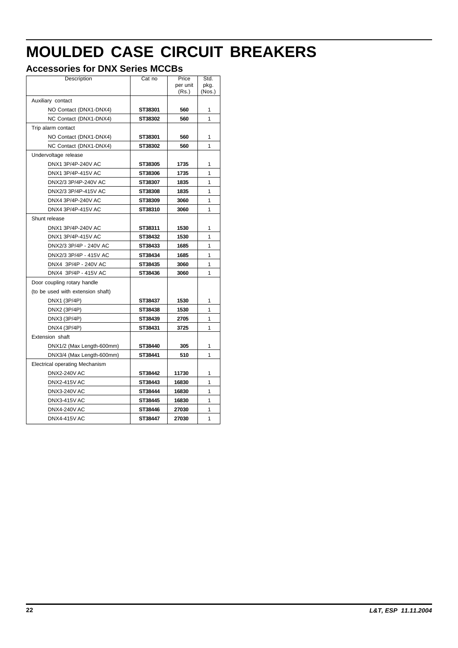# **Accessories for DNX Series MCCBs**

| Description                           | Cat no  | Price<br>per unit<br>(Rs.) | Std.<br>pkg.<br>(Nos.) |
|---------------------------------------|---------|----------------------------|------------------------|
| Auxiliary contact                     |         |                            |                        |
| NO Contact (DNX1-DNX4)                | ST38301 | 560                        | 1                      |
| NC Contact (DNX1-DNX4)                | ST38302 | 560                        | 1                      |
| Trip alarm contact                    |         |                            |                        |
| NO Contact (DNX1-DNX4)                | ST38301 | 560                        | 1                      |
| NC Contact (DNX1-DNX4)                | ST38302 | 560                        | 1                      |
| Undervoltage release                  |         |                            |                        |
| DNX1 3P/4P-240V AC                    | ST38305 | 1735                       | 1                      |
| DNX1 3P/4P-415V AC                    | ST38306 | 1735                       | 1                      |
| DNX2/3 3P/4P-240V AC                  | ST38307 | 1835                       | 1                      |
| DNX2/3 3P/4P-415V AC                  | ST38308 | 1835                       | 1                      |
| DNX4 3P/4P-240V AC                    | ST38309 | 3060                       | 1                      |
| DNX4 3P/4P-415V AC                    | ST38310 | 3060                       | 1                      |
| Shunt release                         |         |                            |                        |
| DNX1 3P/4P-240V AC                    | ST38311 | 1530                       | 1                      |
| DNX1 3P/4P-415V AC                    | ST38432 | 1530                       | 1                      |
| DNX2/3 3P/4P - 240V AC                | ST38433 | 1685                       | 1                      |
| DNX2/3 3P/4P - 415V AC                | ST38434 | 1685                       | 1                      |
| DNX4 3P/4P - 240V AC                  | ST38435 | 3060                       | 1                      |
| DNX4 3P/4P - 415V AC                  | ST38436 | 3060                       | 1                      |
| Door coupling rotary handle           |         |                            |                        |
| (to be used with extension shaft)     |         |                            |                        |
| DNX1 (3P/4P)                          | ST38437 | 1530                       | 1                      |
| DNX2 (3P/4P)                          | ST38438 | 1530                       | 1                      |
| DNX3 (3P/4P)                          | ST38439 | 2705                       | 1                      |
| DNX4 (3P/4P)                          | ST38431 | 3725                       | 1                      |
| Extension shaft                       |         |                            |                        |
| DNX1/2 (Max Length-600mm)             | ST38440 | 305                        | 1                      |
| DNX3/4 (Max Length-600mm)             | ST38441 | 510                        | 1                      |
| <b>Electrical operating Mechanism</b> |         |                            |                        |
| <b>DNX2-240V AC</b>                   | ST38442 | 11730                      | 1                      |
| <b>DNX2-415V AC</b>                   | ST38443 | 16830                      | 1                      |
| <b>DNX3-240V AC</b>                   | ST38444 | 16830                      | 1                      |
| <b>DNX3-415V AC</b>                   | ST38445 | 16830                      | 1                      |
| DNX4-240V AC                          | ST38446 | 27030                      | 1                      |
| <b>DNX4-415V AC</b>                   | ST38447 | 27030                      | 1                      |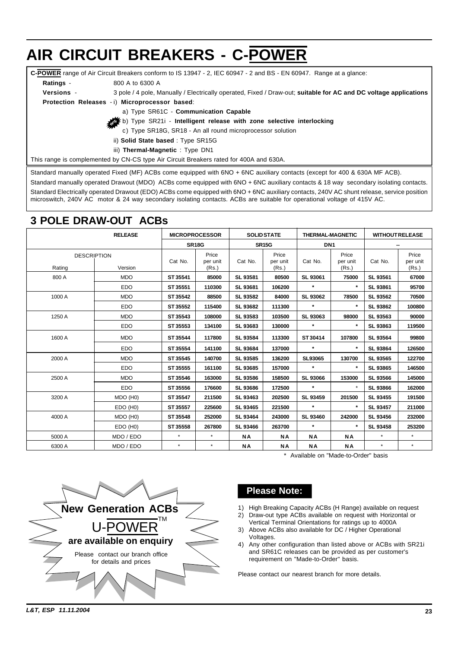### <span id="page-23-0"></span>**C-POWER** range of Air Circuit Breakers conform to IS 13947 - 2, IEC 60947 - 2 and BS - EN 60947. Range at a glance: **Ratings** - 800 A to 6300 A **Versions** - 3 pole / 4 pole, Manually / Electrically operated, Fixed / Draw-out; **suitable for AC and DC voltage applications Protection Releases** - i) **Microprocessor based**: a) Type SR61C - **Communication Capable** b) Type SR21i - **Intelligent release with zone selective interlocking** c) Type SR18G, SR18 - An all round microprocessor solution ii) **Solid State based** : Type SR15G iii) **Thermal-Magnetic** : Type DN1 **AIR CIRCUIT BREAKERS - C-POWER**

This range is complemented by CN-CS type Air Circuit Breakers rated for 400A and 630A.

Standard manually operated Fixed (MF) ACBs come equipped with 6NO + 6NC auxiliary contacts (except for 400 & 630A MF ACB).

Standard manually operated Drawout (MDO) ACBs come equipped with 6NO + 6NC auxiliary contacts & 18 way secondary isolating contacts. Standard Electrically operated Drawout (EDO) ACBs come equipped with 6NO + 6NC auxiliary contacts, 240V AC shunt release, service position microswitch, 240V AC motor & 24 way secondary isolating contacts. ACBs are suitable for operational voltage of 415V AC.

# **3 POLE DRAW-OUT ACBs**

|        | <b>RELEASE</b>     |          | <b>MICROPROCESSOR</b> |                 | <b>SOLID STATE</b> | <b>THERMAL-MAGNETIC</b> |                   |                 | <b>WITHOUT RELEASE</b> |
|--------|--------------------|----------|-----------------------|-----------------|--------------------|-------------------------|-------------------|-----------------|------------------------|
|        |                    |          | <b>SR18G</b>          |                 | <b>SR15G</b>       |                         | DN <sub>1</sub>   |                 |                        |
|        | <b>DESCRIPTION</b> | Cat No.  | Price<br>per unit     | Cat No.         | Price<br>per unit  | Cat No.                 | Price<br>per unit | Cat No.         | Price<br>per unit      |
| Rating | Version            |          | (Rs.)                 |                 | (Rs.)              |                         | (Rs.)             |                 | (Rs.)                  |
| 800 A  | <b>MDO</b>         | ST 35541 | 85000                 | SL 93581        | 80500              | SL 93061                | 75000             | SL 93561        | 67000                  |
|        | <b>EDO</b>         | ST 35551 | 110300                | SL 93681        | 106200             | $\star$                 | $\star$           | SL 93861        | 95700                  |
| 1000 A | <b>MDO</b>         | ST 35542 | 88500                 | SL 93582        | 84000              | SL 93062                | 78500             | SL 93562        | 70500                  |
|        | <b>EDO</b>         | ST 35552 | 115400                | SL 93682        | 111300             | $\star$                 | $\star$           | SL 93862        | 100800                 |
| 1250 A | <b>MDO</b>         | ST 35543 | 108000                | SL 93583        | 103500             | SL 93063                | 98000             | SL 93563        | 90000                  |
|        | <b>EDO</b>         | ST 35553 | 134100                | SL 93683        | 130000             | $\star$                 |                   | SL 93863        | 119500                 |
| 1600 A | <b>MDO</b>         | ST 35544 | 117800                | SL 93584        | 113300             | ST 30414                | 107800            | SL 93564        | 99800                  |
|        | <b>EDO</b>         | ST 35554 | 141100                | SL 93684        | 137000             | $\star$                 | $\star$           | <b>SL 93864</b> | 126500                 |
| 2000 A | <b>MDO</b>         | ST 35545 | 140700                | SL 93585        | 136200             | SL93065                 | 130700            | SL 93565        | 122700                 |
|        | <b>EDO</b>         | ST 35555 | 161100                | SL 93685        | 157000             | $\star$                 | $\star$           | SL 93865        | 146500                 |
| 2500 A | <b>MDO</b>         | ST 35546 | 163000                | SL 93586        | 158500             | <b>SL 93066</b>         | 153000            | SL 93566        | 145000                 |
|        | <b>EDO</b>         | ST 35556 | 176600                | <b>SL 93686</b> | 172500             | $\star$                 |                   | SL 93866        | 162000                 |
| 3200 A | MDO (H0)           | ST 35547 | 211500                | SL 93463        | 202500             | <b>SL 93459</b>         | 201500            | SL 93455        | 191500                 |
|        | $EDO$ (H0)         | ST 35557 | 225600                | SL 93465        | 221500             | $\star$                 | $\star$           | SL 93457        | 211000                 |
| 4000 A | MDO (H0)           | ST 35548 | 252000                | SL 93464        | 243000             | SL 93460                | 242000            | SL 93456        | 232000                 |
|        | EDO (H0)           | ST 35558 | 267800                | SL 93466        | 263700             | $\star$                 | $\star$           | SL 93458        | 253200                 |
| 5000 A | MDO / EDO          | $\star$  | $\star$               | ΝA              | ΝA                 | ΝA                      | <b>NA</b>         | $\star$         | $\star$                |
| 6300 A | MDO / EDO          | $\star$  | $\star$               | ΝA              | ΝA                 | ΝA                      | ΝA                | $\star$         | $\star$                |

\* Available on "Made-to-Order" basis



### **Please Note:**

1) High Breaking Capacity ACBs (H Range) available on request 2) Draw-out type ACBs available on request with Horizontal or

- Vertical Terminal Orientations for ratings up to 4000A
- 3) Above ACBs also available for DC / Higher Operational Voltages.
- 4) Any other configuration than listed above or ACBs with SR21i and SR61C releases can be provided as per customer's requirement on "Made-to-Order" basis.

Please contact our nearest branch for more details.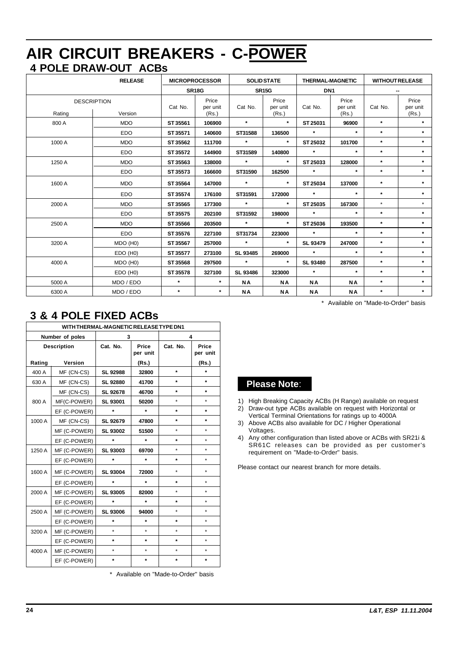# **4 POLE DRAW-OUT ACBs AIR CIRCUIT BREAKERS - C-POWER**

| <b>RELEASE</b> |                               | <b>MICROPROCESSOR</b> |                            | <b>SOLID STATE</b> |                            | <b>THERMAL-MAGNETIC</b> |                            | <b>WITHOUT RELEASE</b> |                            |
|----------------|-------------------------------|-----------------------|----------------------------|--------------------|----------------------------|-------------------------|----------------------------|------------------------|----------------------------|
|                |                               |                       | SR <sub>18G</sub>          |                    | <b>SR15G</b>               |                         | DN <sub>1</sub>            |                        |                            |
| Rating         | <b>DESCRIPTION</b><br>Version | Cat No.               | Price<br>per unit<br>(Rs.) | Cat No.            | Price<br>per unit<br>(Rs.) | Cat No.                 | Price<br>per unit<br>(Rs.) | Cat No.                | Price<br>per unit<br>(Rs.) |
| 800 A          | <b>MDO</b>                    | ST 35561              | 106900                     | $\star$            | $\star$                    | ST 25031                | 96900                      | $\star$                | $\star$                    |
|                | <b>EDO</b>                    | ST 35571              | 140600                     | ST31588            | 136500                     | $\star$                 | $\star$                    | $\star$                | $\star$                    |
| 1000 A         | <b>MDO</b>                    | ST 35562              | 111700                     | $\star$            | $\star$                    | ST 25032                | 101700                     | $\star$                | $\star$                    |
|                | <b>EDO</b>                    | ST 35572              | 144900                     | ST31589            | 140800                     | $\star$                 | $\star$                    | $\star$                | $\star$                    |
| 1250 A         | <b>MDO</b>                    | ST 35563              | 138000                     | $\star$            | $\star$                    | ST 25033                | 128000                     | $\star$                | $\star$                    |
|                | <b>EDO</b>                    | ST 35573              | 166600                     | ST31590            | 162500                     | $\star$                 | $\star$                    | $\star$                | $\star$                    |
| 1600 A         | <b>MDO</b>                    | ST 35564              | 147000                     | $\star$            | $\star$                    | ST 25034                | 137000                     | $\star$                | $\star$                    |
|                | <b>EDO</b>                    | ST 35574              | 176100                     | ST31591            | 172000                     | $\star$                 | $\star$                    | $\star$                | $\star$                    |
| 2000 A         | <b>MDO</b>                    | ST 35565              | 177300                     | $\star$            | $\star$                    | ST 25035                | 167300                     | $\star$                | $\star$                    |
|                | <b>EDO</b>                    | ST 35575              | 202100                     | ST31592            | 198000                     | $\star$                 | $\star$                    | $\star$                | $\star$                    |
| 2500 A         | <b>MDO</b>                    | ST 35566              | 203500                     | $\star$            | $\star$                    | ST 25036                | 193500                     | $\star$                | $\star$                    |
|                | EDO                           | ST 35576              | 227100                     | ST31734            | 223000                     | $\star$                 | $\star$                    | $\star$                | $\star$                    |
| 3200 A         | MDO (H0)                      | ST 35567              | 257000                     | $\star$            | $\star$                    | SL 93479                | 247000                     | $\star$                | $\star$                    |
|                | EDO (H0)                      | ST 35577              | 273100                     | SL 93485           | 269000                     | $\star$                 | $\star$                    | $\star$                | $\star$                    |
| 4000 A         | MDO (H0)                      | ST 35568              | 297500                     | $\star$            | $\star$                    | <b>SL 93480</b>         | 287500                     | $\star$                | $\star$                    |
|                | EDO (H0)                      | ST 35578              | 327100                     | SL 93486           | 323000                     | $\star$                 | $\star$                    | $\star$                | $\star$                    |
| 5000 A         | MDO / EDO                     | $\star$               | $\star$                    | <b>NA</b>          | <b>NA</b>                  | ΝA                      | <b>NA</b>                  | $\star$                | $\star$                    |
| 6300 A         | MDO / EDO                     | $\star$               | $\star$                    | <b>NA</b>          | <b>NA</b>                  | <b>NA</b>               | <b>NA</b>                  | $\star$                | $\star$                    |

\* Available on "Made-to-Order" basis

| 3 & 4 POLE FIXED ACBs |
|-----------------------|
|-----------------------|

| WITH THERMAL-MAGNETIC RELEASE TYPE DN1 |              |                 |                   |          |                   |
|----------------------------------------|--------------|-----------------|-------------------|----------|-------------------|
| Number of poles                        |              | 3               |                   | 4        |                   |
| <b>Description</b>                     |              | Cat. No.        | Price<br>per unit | Cat. No. | Price<br>per unit |
| Rating                                 | Version      |                 | (Rs.)             |          | (Rs.)             |
| 400 A                                  | MF (CN-CS)   | SL 92988        | 32800             | $\star$  | $\star$           |
| 630 A                                  | MF (CN-CS)   | <b>SL 92880</b> | 41700             | $\star$  | $\star$           |
|                                        | MF (CN-CS)   | SL 92678        | 46700             | $\star$  | $\star$           |
| 800 A                                  | MF(C-POWER)  | <b>SL 93001</b> | 50200             | $\star$  | $\star$           |
|                                        | EF (C-POWER) | $\star$         | $\star$           | $\star$  | ÷                 |
| 1000 A                                 | MF (CN-CS)   | SL 92679        | 47800             | $\star$  | $\star$           |
|                                        | MF (C-POWER) | <b>SL 93002</b> | 51500             | $\star$  | $\star$           |
|                                        | EF (C-POWER) | $\star$         | $\star$           | $\star$  | $\star$           |
| 1250 A                                 | MF (C-POWER) | SL 93003        | 69700             | $\star$  | $\star$           |
|                                        | EF (C-POWER) | $\star$         | $\star$           | $\star$  | $\star$           |
| 1600 A                                 | MF (C-POWER) | SL 93004        | 72000             | $\star$  | $\star$           |
|                                        | EF (C-POWER) | $\star$         | $\star$           | $\star$  | $\star$           |
| 2000 A                                 | MF (C-POWER) | SL 93005        | 82000             | $\star$  | $\star$           |
|                                        | EF (C-POWER) | $\star$         | $\star$           | $\star$  | $\star$           |
| 2500 A                                 | MF (C-POWER) | SL 93006        | 94000             | $\star$  | $\star$           |
|                                        | EF (C-POWER) | $\star$         | $\star$           | $\star$  | $\star$           |
| 3200 A                                 | MF (C-POWER) | $\star$         | $\star$           | $\star$  | $\star$           |
|                                        | EF (C-POWER) | $\star$         | $\star$           | $\star$  | $\star$           |
| 4000 A                                 | MF (C-POWER) | $\star$         | $\star$           | $\star$  | $\star$           |
|                                        | EF (C-POWER) | $\star$         | $\star$           | $\star$  | $\star$           |

\* Available on "Made-to-Order" basis

### **Please Note**:

- 1) High Breaking Capacity ACBs (H Range) available on request
- 2) Draw-out type ACBs available on request with Horizontal or Vertical Terminal Orientations for ratings up to 4000A
- 3) Above ACBs also available for DC / Higher Operational Voltages.
- 4) Any other configuration than listed above or ACBs with SR21i & SR61C releases can be provided as per customer's requirement on "Made-to-Order" basis.

Please contact our nearest branch for more details.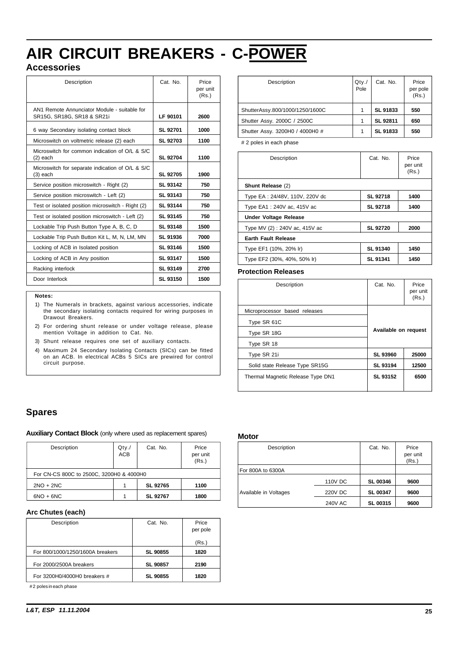# **AIR CIRCUIT BREAKERS - C-POWER**

### **Accessories**

| Description                                                                | Cat. No.        | Price<br>per unit<br>(Rs.) |
|----------------------------------------------------------------------------|-----------------|----------------------------|
| AN1 Remote Annunciator Module - suitable for<br>SR15G, SR18G, SR18 & SR21i | LF 90101        | 2600                       |
| 6 way Secondary isolating contact block                                    | SL 92701        | 1000                       |
| Microswitch on voltmetric release (2) each                                 | <b>SL 92703</b> | 1100                       |
| Microswitch for common indication of O/L & S/C<br>$(2)$ each               | SL 92704        | 1100                       |
| Microswitch for separate indication of O/L & S/C<br>$(3)$ each             | SL 92705        | 1900                       |
| Service position microswitch - Right (2)                                   | SL 93142        | 750                        |
| Service position microswitch - Left (2)                                    | SL 93143        | 750                        |
| Test or isolated position microswitch - Right (2)                          | SL 93144        | 750                        |
| Test or isolated position microswitch - Left (2)                           | SL 93145        | 750                        |
| Lockable Trip Push Button Type A, B, C, D                                  | SL 93148        | 1500                       |
| Lockable Trip Push Button Kit L, M, N, LM, MN                              | SL 91936        | 7000                       |
| Locking of ACB in Isolated position                                        | SL 93146        | 1500                       |
| Locking of ACB in Any position                                             | SL 93147        | 1500                       |
| Racking interlock                                                          | SL 93149        | 2700                       |
| Door Interlock                                                             | SL 93150        | 1500                       |

#### **Notes:**

- 1) The Numerals in brackets, against various accessories, indicate the secondary isolating contacts required for wiring purposes in Drawout Breakers.
- 2) For ordering shunt release or under voltage release, please mention Voltage in addition to Cat. No.
- 3) Shunt release requires one set of auxiliary contacts.
- 4) Maximum 24 Secondary Isolating Contacts (SICs) can be fitted on an ACB. In electrical ACBs 5 SICs are prewired for control circuit purpose.

| Description                     | Qty.<br>Pole | Cat. No. | Price<br>per pole<br>(Rs.) |
|---------------------------------|--------------|----------|----------------------------|
| ShutterAssy.800/1000/1250/1600C | 1            | SL 91833 | 550                        |
| Shutter Assy. 2000C / 2500C     | 1            | SL 92811 | 650                        |
| Shutter Assy. 3200H0 / 4000H0 # | 1            | SL 91833 | 550                        |
| # 2 noles in each phase         |              |          |                            |

s in each pha

| Description                    | Cat. No.        | Price<br>per unit<br>(Rs.) |
|--------------------------------|-----------------|----------------------------|
| Shunt Release (2)              |                 |                            |
| Type EA: 24/48V, 110V, 220V dc | <b>SL 92718</b> | 1400                       |
| Type EA1: 240V ac, 415V ac     | <b>SL 92718</b> | 1400                       |
| Under Voltage Release          |                 |                            |
| Type MV (2): 240V ac, 415V ac  | <b>SL 92720</b> | 2000                       |
| <b>Earth Fault Release</b>     |                 |                            |
| Type EF1 (10%, 20% lr)         | <b>SL 91340</b> | 1450                       |
| Type EF2 (30%, 40%, 50% lr)    | <b>SL 91341</b> | 1450                       |

#### **Protection Releases**

| Description                       | Cat. No.             | Price<br>per unit<br>(Rs.) |
|-----------------------------------|----------------------|----------------------------|
| Microprocessor based releases     |                      |                            |
| Type SR 61C                       |                      |                            |
| Type SR 18G                       | Available on request |                            |
| Type SR 18                        |                      |                            |
| Type SR 21i                       | <b>SL 93960</b>      | 25000                      |
| Solid state Release Type SR15G    | SL 93194             | 12500                      |
| Thermal Magnetic Release Type DN1 | SL 93152             | 6500                       |

#### **Spares**

**Auxiliary Contact Block** (only where used as replacement spares)

| Description                              | $Q$ ty./<br><b>ACB</b> | Cat. No. | Price<br>per unit<br>(Rs.) |  |
|------------------------------------------|------------------------|----------|----------------------------|--|
| For CN-CS 800C to 2500C, 3200H0 & 4000H0 |                        |          |                            |  |
| $2NO + 2NC$                              |                        | SL 92765 | 1100                       |  |
| $6NO + 6NC$                              |                        | SL 92767 | 1800                       |  |

#### **Arc Chutes (each)**

| Description                      | Cat. No.        | Price<br>per pole |
|----------------------------------|-----------------|-------------------|
|                                  |                 | (Rs.)             |
| For 800/1000/1250/1600A breakers | <b>SL 90855</b> | 1820              |
| For 2000/2500A breakers          | <b>SL 90857</b> | 2190              |
| For 3200H0/4000H0 breakers #     | <b>SL 90855</b> | 1820              |

#2 poles in each phase

#### **Motor**

| Description           |                | Cat. No.        | Price<br>per unit<br>(Rs.) |
|-----------------------|----------------|-----------------|----------------------------|
| For 800A to 6300A     |                |                 |                            |
|                       | 110V DC        | <b>SL 00346</b> | 9600                       |
| Available in Voltages | 220V DC        | <b>SL 00347</b> | 9600                       |
|                       | <b>240V AC</b> | SL 00315        | 9600                       |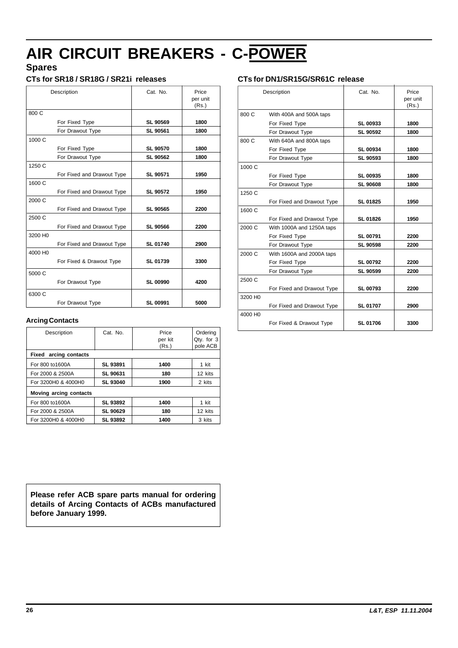# **AIR CIRCUIT BREAKERS - C-POWER**

# **Spares**

#### **CTs for SR18 / SR18G / SR21i releases**

|                     | Description                | Cat. No.        | Price<br>per unit<br>(Rs.) |
|---------------------|----------------------------|-----------------|----------------------------|
| 800 C               |                            |                 |                            |
|                     | For Fixed Type             | SL 90569        | 1800                       |
|                     | For Drawout Type           | SL 90561        | 1800                       |
| 1000 C              |                            |                 |                            |
|                     | For Fixed Type             | <b>SL 90570</b> | 1800                       |
|                     | For Drawout Type           | SL 90562        | 1800                       |
| 1250 C              |                            |                 |                            |
|                     | For Fixed and Drawout Type | SL 90571        | 1950                       |
| 1600 C              |                            |                 |                            |
|                     | For Fixed and Drawout Type | SL 90572        | 1950                       |
| 2000 C              |                            |                 |                            |
|                     | For Fixed and Drawout Type | SL 90565        | 2200                       |
| 2500 C              |                            |                 |                            |
|                     | For Fixed and Drawout Type | <b>SL 90566</b> | 2200                       |
| 3200 H <sub>0</sub> |                            |                 |                            |
|                     | For Fixed and Drawout Type | SL 01740        | 2900                       |
| 4000 H <sub>0</sub> |                            |                 |                            |
|                     | For Fixed & Drawout Type   | SL 01739        | 3300                       |
| 5000 C              |                            |                 |                            |
|                     | For Drawout Type           | <b>SL 00990</b> | 4200                       |
| 6300 C              |                            |                 |                            |
|                     | For Drawout Type           | SL 00991        | 5000                       |

#### **Arcing Contacts**

| Description                  | Cat. No.        | Price<br>per kit<br>(Rs.) | Orderina<br>Qty. for 3<br>pole ACB |
|------------------------------|-----------------|---------------------------|------------------------------------|
| <b>Fixed arcing contacts</b> |                 |                           |                                    |
| For 800 to 1600A             | SL 93891        | 1400                      | 1 kit                              |
| For 2000 & 2500A             | SL 90631        | 180                       | 12 kits                            |
| For 3200H0 & 4000H0          | <b>SL 93040</b> | 1900                      | 2 kits                             |
| Moving arcing contacts       |                 |                           |                                    |
| For 800 to 1600A             | SL 93892        | 1400                      | 1 kit                              |
| For 2000 & 2500A             | SL 90629        | 180                       | 12 kits                            |
| For 3200H0 & 4000H0          | SL 93892        | 1400                      | 3 kits                             |

#### **Please refer ACB spare parts manual for ordering details of Arcing Contacts of ACBs manufactured before January 1999.**

#### **CTs for DN1/SR15G/SR61C release**

|                     | Description                | Cat. No.        | Price<br>per unit<br>(Rs.) |
|---------------------|----------------------------|-----------------|----------------------------|
| 800 C               | With 400A and 500A taps    |                 |                            |
|                     | For Fixed Type             | <b>SL 00933</b> | 1800                       |
|                     | For Drawout Type           | SL 90592        | 1800                       |
| 800 C               | With 640A and 800A taps    |                 |                            |
|                     | For Fixed Type             | <b>SL 00934</b> | 1800                       |
|                     | For Drawout Type           | SL 90593        | 1800                       |
| 1000 C              |                            |                 |                            |
|                     | For Fixed Type             | <b>SL 00935</b> | 1800                       |
|                     | For Drawout Type           | <b>SL 90608</b> | 1800                       |
| 1250 C              |                            |                 |                            |
|                     | For Fixed and Drawout Type | SL 01825        | 1950                       |
| 1600 C              |                            |                 |                            |
|                     | For Fixed and Drawout Type | SL 01826        | 1950                       |
| 2000 C              | With 1000A and 1250A taps  |                 |                            |
|                     | For Fixed Type             | <b>SL 00791</b> | 2200                       |
|                     | For Drawout Type           | <b>SL 90598</b> | 2200                       |
| 2000 C              | With 1600A and 2000A taps  |                 |                            |
|                     | For Fixed Type             | <b>SL 00792</b> | 2200                       |
|                     | For Drawout Type           | <b>SL 90599</b> | 2200                       |
| 2500 C              |                            |                 |                            |
|                     | For Fixed and Drawout Type | <b>SL 00793</b> | 2200                       |
| 3200 H <sub>0</sub> |                            |                 |                            |
|                     | For Fixed and Drawout Type | <b>SL 01707</b> | 2900                       |
| 4000 H <sub>0</sub> |                            |                 |                            |
|                     | For Fixed & Drawout Type   | SL 01706        | 3300                       |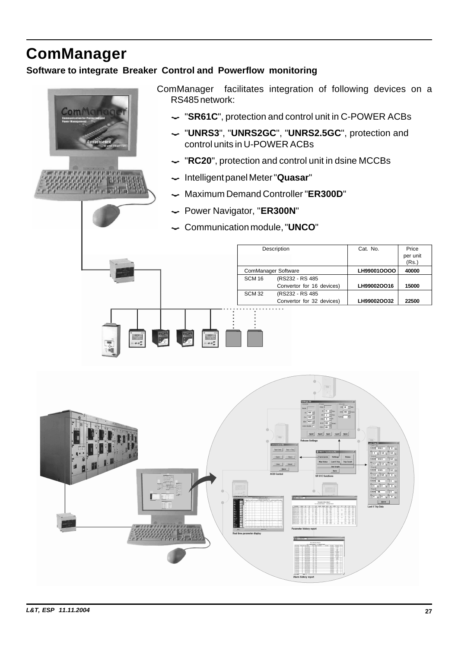# <span id="page-27-0"></span>**ComManager Software to integrate Breaker Control and Powerflow monitoring**





- ComManager facilitates integration of following devices on a RS485 network:
	- ? "**SR61C**", protection and control unit in C-POWER ACBs
	- ? "**UNRS3**", "**UNRS2GC**", "**UNRS2.5GC**", protection and control units in U-POWER ACBs
	- ? "**RC20**", protection and control unit in dsine MCCBs
	- ? Intelligent panel Meter "**Quasar**"
	- ? Maximum Demand Controller "**ER300D**"
	- ? Power Navigator, "**ER300N**"
	- ? Communication module, "**UNCO**"



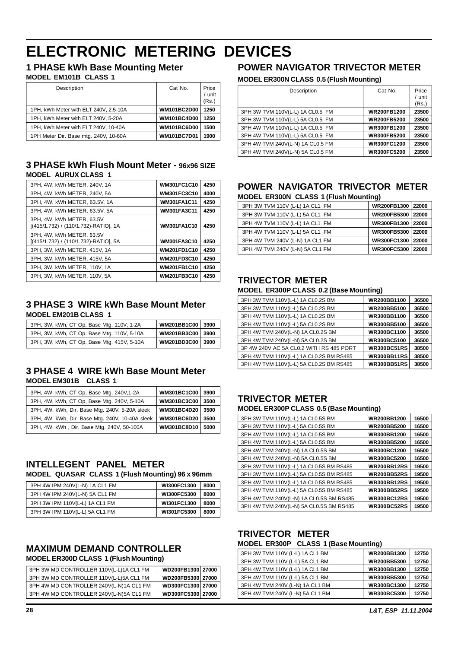# <span id="page-28-0"></span>**ELECTRONIC METERING DEVICES**

**1 PHASE kWh Base Mounting Meter**

#### **MODEL EM101B CLASS 1**

| Description                           | Cat No.            | Price<br>$/$ unit<br>(Rs.) |
|---------------------------------------|--------------------|----------------------------|
| 1PH, kWh Meter with ELT 240V, 2.5-10A | <b>WM101BC2D00</b> | 1250                       |
| 1PH, kWh Meter with ELT 240V, 5-20A   | <b>WM101BC4D00</b> | 1250                       |
| 1PH, kWh Meter with ELT 240V, 10-40A  | <b>WM101BC6D00</b> | 1500                       |
| 1PH Meter Dir. Base mtg. 240V, 10-60A | <b>WM101BC7D01</b> | 1900                       |

#### **3 PHASE kWh Flush Mount Meter - 96x96 SIZE MODEL AURUX CLASS 1**

| 3PH, 4W, kWh METER, 240V, 1A                                       | WM301FC1C10        | 4250 |
|--------------------------------------------------------------------|--------------------|------|
| 3PH, 4W, kWh METER, 240V, 5A                                       | WM301FC3C10        | 4000 |
| 3PH, 4W, kWh METER, 63.5V, 1A                                      | <b>WM301FA1C11</b> | 4250 |
| 3PH, 4W, kWh METER, 63.5V, 5A                                      | <b>WM301FA3C11</b> | 4250 |
| 3PH, 4W, kWh METER, 63.5V<br>[(415/1.732) / (110/1.732)-RATIO], 1A | <b>WM301FA1C10</b> | 4250 |
| 3PH, 4W, kWh METER, 63.5V<br>[(415/1.732) / (110/1.732)-RATIO], 5A | <b>WM301FA3C10</b> | 4250 |
| 3PH, 3W, kWh METER, 415V, 1A                                       | WM201FD1C10        | 4250 |
| 3PH. 3W. kWh METER, 415V, 5A                                       | <b>WM201FD3C10</b> | 4250 |
| 3PH, 3W, kWh METER, 110V, 1A                                       | <b>WM201FB1C10</b> | 4250 |
| 3PH. 3W. kWh METER. 110V. 5A                                       | <b>WM201FB3C10</b> | 4250 |

#### **3 PHASE 3 WIRE kWh Base Mount Meter MODEL EM201B CLASS 1**

| 3PH, 3W, kWh, CT Op. Base Mtg. 110V, 1-2A  | WM201BB1C00 3900 |  |
|--------------------------------------------|------------------|--|
| 3PH, 3W, kWh, CT Op. Base Mtg. 110V, 5-10A | WM201BB3C00 3900 |  |
| 3PH, 3W, kWh, CT Op. Base Mtg. 415V, 5-10A | WM201BD3C00 3900 |  |

#### **3 PHASE 4 WIRE kWh Base Mount Meter MODEL EM301B CLASS 1**

| 3PH, 4W, kWh, CT Op, Base Mtg. 240V,1-2A        | WM301BC1C00        | 3900 |
|-------------------------------------------------|--------------------|------|
| 3PH, 4W, kWh, CT Op, Base Mtg. 240V, 5-10A      | <b>WM301BC3C00</b> | 3500 |
| 3PH, 4W, kWh, Dir. Base Mtg. 240V, 5-20A sleek  | WM301BC4D20        | 3500 |
| 3PH, 4W, kWh, Dir. Base Mtg. 240V, 10-40A sleek | WM301BC6D20        | 3500 |
| 3PH, 4W, kWh, Dir. Base Mtg. 240V, 50-100A      | WM301BC8D10        | 5000 |

#### **INTELLEGENT PANEL METER MODEL QUASAR CLASS 1 (Flush Mounting) 96 x 96mm**

| 3PH 4W IPM 240V(L-N) 1A CL1 FM | WI300FC1300 | 8000 |
|--------------------------------|-------------|------|
| 3PH 4W IPM 240V(L-N) 5A CL1 FM | WI300FC5300 | 8000 |
| 3PH 3W IPM 110V(L-L) 1A CL1 FM | WI301FC1300 | 8000 |
| 3PH 3W IPM 110V(L-L) 5A CL1 FM | WI301FC5300 | 8000 |

#### **MAXIMUM DEMAND CONTROLLER MODEL ER300D CLASS 1 (Flush Mounting)**

| 3PH 3W MD CONTROLLER 110V(L-L)1A CL1 FM | WD200FB1300 27000 |  |
|-----------------------------------------|-------------------|--|
| 3PH 3W MD CONTROLLER 110V(L-L)5A CL1 FM | WD200FB5300 27000 |  |
| 3PH 4W MD CONTROLLER 240V(L-N)1A CL1 FM | WD300FC1300 27000 |  |
| 3PH 4W MD CONTROLLER 240V(L-N)5A CL1 FM | WD300FC5300 27000 |  |

# **POWER NAVIGATOR TRIVECTOR METER**

#### **MODEL ER300N CLASS 0.5 (Flush Mounting)**

| Description                      | Cat No.            | Price<br>/ unit<br>(Rs.) |
|----------------------------------|--------------------|--------------------------|
| 3PH 3W TVM 110V(L-L) 1A CL0.5 FM | <b>WR200FB1200</b> | 23500                    |
| 3PH 3W TVM 110V(L-L) 5A CL0.5 FM | <b>WR200FB5200</b> | 23500                    |
| 3PH 4W TVM 110V(L-L) 1A CL0.5 FM | <b>WR300FB1200</b> | 23500                    |
| 3PH 4W TVM 110V(L-L) 5A CL0.5 FM | <b>WR300FB5200</b> | 23500                    |
| 3PH 4W TVM 240V(L-N) 1A CL0.5 FM | <b>WR300FC1200</b> | 23500                    |
| 3PH 4W TVM 240V(L-N) 5A CL0.5 FM | <b>WR300FC5200</b> | 23500                    |

# **POWER NAVIGATOR TRIVECTOR METER**

| <b>MODEL ER300N CLASS 1 (Flush Mounting)</b> |                    |       |  |  |
|----------------------------------------------|--------------------|-------|--|--|
| 3PH 3W TVM 110V (L-L) 1A CL1 FM              | WR200FB1300 22000  |       |  |  |
| 3PH 3W TVM 110V (L-L) 5A CL1 FM              | WR200FB5300 22000  |       |  |  |
| 3PH 4W TVM 110V (L-L) 1A CL1 FM              | WR300FB1300 22000  |       |  |  |
| 3PH 4W TVM 110V (L-L) 5A CL1 FM              | WR300FB5300 22000  |       |  |  |
| 3PH 4W TVM 240V (L-N) 1A CL1 FM              | <b>WR300FC1300</b> | 22000 |  |  |
| 3PH 4W TVM 240V (L-N) 5A CL1 FM              | <b>WR300FC5300</b> | 22000 |  |  |

### **TRIVECTOR METER**

#### **MODEL ER300P CLASS 0.2 (Base Mounting)**

| 3PH 3W TVM 110V(L-L) 1A CL0.2S BM       | <b>WR200BB1100</b> | 36500 |
|-----------------------------------------|--------------------|-------|
| 3PH 3W TVM 110V(L-L) 5A CL0.2S BM       | WR200BB5100        | 36500 |
| 3PH 4W TVM 110V(L-L) 1A CL0.2S BM       | WR300BB1100        | 36500 |
| 3PH 4W TVM 110V(L-L) 5A CL0.2S BM       | <b>WR300BB5100</b> | 36500 |
| 3PH 4W TVM 240V(L-N) 1A CL0.2S BM       | WR300BC1100        | 36500 |
| 3PH 4W TVM 240V(L-N) 5A CL0.2S BM       | WR300BC5100        | 36500 |
| 3P 4W 240V AC 5A CL0.2 WITH RS 485 PORT | <b>WR300BC51RS</b> | 38500 |
| 3PH 4W TVM 110V(L-L) 1A CL0.2S BM RS485 | <b>WR300BB11RS</b> | 38500 |
| 3PH 4W TVM 110V(L-L) 5A CL0.2S BM RS485 | <b>WR300BB51RS</b> | 38500 |

# **TRIVECTOR METER**

#### **MODEL ER300P CLASS 0.5 (Base Mounting)**

| <b>WR200BB1200</b> | 16500 |  |  |
|--------------------|-------|--|--|
| <b>WR200BB5200</b> | 16500 |  |  |
| WR300BB1200        | 16500 |  |  |
| WR300BB5200        | 16500 |  |  |
| WR300BC1200        | 16500 |  |  |
| <b>WR300BC5200</b> | 16500 |  |  |
| <b>WR200BB12RS</b> | 19500 |  |  |
| <b>WR200BB52RS</b> | 19500 |  |  |
| <b>WR300BB12RS</b> | 19500 |  |  |
| <b>WR300BB52RS</b> | 19500 |  |  |
| <b>WR300BC12RS</b> | 19500 |  |  |
| <b>WR300BC52RS</b> | 19500 |  |  |
|                    |       |  |  |

### **TRIVECTOR METER**

#### **MODEL ER300P CLASS 1 (Base Mounting)**

| 3PH 3W TVM 110V (L-L) 1A CL1 BM | <b>WR200BB1300</b> | 12750 |
|---------------------------------|--------------------|-------|
| 3PH 3W TVM 110V (L-L) 5A CL1 BM | <b>WR200BB5300</b> | 12750 |
| 3PH 4W TVM 110V (L-L) 1A CL1 BM | <b>WR300BB1300</b> | 12750 |
| 3PH 4W TVM 110V (L-L) 5A CL1 BM | <b>WR300BB5300</b> | 12750 |
| 3PH 4W TVM 240V (L-N) 1A CL1 BM | WR300BC1300        | 12750 |
| 3PH 4W TVM 240V (L-N) 5A CL1 BM | <b>WR300BC5300</b> | 12750 |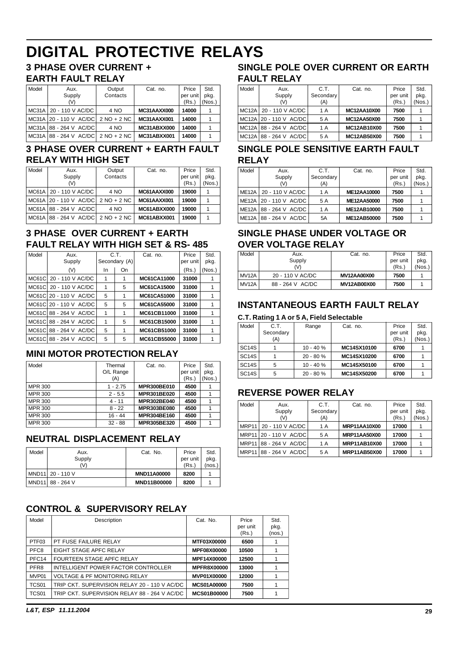# <span id="page-29-0"></span>**DIGITAL PROTECTIVE RELAYS**

# **3 PHASE OVER CURRENT +**

#### **EARTH FAULT RELAY**

| Model | Aux.<br>Supply<br>(V)                    | Output<br>Contacts | Cat. no.    | Price<br>per unit<br>(Rs.) | Std.<br>pkq.<br>(Nos.) |
|-------|------------------------------------------|--------------------|-------------|----------------------------|------------------------|
|       | MC31A 20 - 110 V AC/DC                   | 4 NO               | MC31AAXX000 | 14000                      |                        |
|       | MC31A 20 - 110 V AC/DC 2 NO + 2 NC       |                    | MC31AAXX001 | 14000                      |                        |
|       | MC31A 88 - 264 V AC/DC                   | 4 NO               | MC31ABXX000 | 14000                      |                        |
|       | $MC31A   88 - 264 V AC/DC   2 NO + 2 NC$ |                    | MC31ABXX001 | 14000                      |                        |

#### **3 PHASE OVER CURRENT + EARTH FAULT RELAY WITH HIGH SET**

| Model | Aux.                                   | Output   | Cat. no.    | Price    | Std.   |
|-------|----------------------------------------|----------|-------------|----------|--------|
|       | Supply                                 | Contacts |             | per unit | pkg.   |
|       | $(\vee)$                               |          |             | (Rs.)    | (Nos.) |
|       | MC61A 20 - 110 V AC/DC                 | 4 NO     | MC61AAXX000 | 19000    |        |
|       | $MCG1A$ 20 - 110 V $AC/DC$ 2 NO + 2 NC |          | MC61AAXX001 | 19000    |        |
|       | MC61A 88 - 264 V AC/DC                 | 4 NO     | MC61ABXX000 | 19000    |        |
|       | MC61A 88 - 264 V AC/DC 2 NO + 2 NC     |          | MC61ABXX001 | 19000    |        |

### **3 PHASE OVER CURRENT + EARTH FAULT RELAY WITH HIGH SET & RS- 485**

| Model        | Aux.<br>Supply         |     | C.T.<br>Secondary (A) | Cat. no.    | Price<br>per unit | Std.<br>pkg. |
|--------------|------------------------|-----|-----------------------|-------------|-------------------|--------------|
|              | (V)                    | In. | On                    |             | (Rs.)             | (Nos.)       |
| <b>MC61C</b> | 20 - 110 V AC/DC       | 1   | 1                     | MC61CA11000 | 31000             |              |
| <b>MC61C</b> | 20 - 110 V AC/DC       | 1   | 5                     | MC61CA15000 | 31000             |              |
| <b>MC61C</b> | 20 - 110 V AC/DC       | 5   | 1                     | MC61CA51000 | 31000             |              |
|              | MC61CL20 - 110 V AC/DC | 5   | 5                     | MC61CA55000 | 31000             |              |
| MC61C        | 88 - 264 V AC/DC       | 1   | 1                     | MC61CB11000 | 31000             | 1            |
| MC61C        | 88 - 264 V AC/DC       | 1   | 5                     | MC61CB15000 | 31000             |              |
| MC61C        | 88 - 264 V AC/DC       | 5   | 1                     | MC61CB51000 | 31000             | 1            |
| MC61C        | 88 - 264 V AC/DC       | 5   | 5                     | MC61CB55000 | 31000             |              |

### **MINI MOTOR PROTECTION RELAY**

| Model          | Thermal<br>O/L Range<br>(A) | Cat. no.    | Price<br>per unit<br>(Rs.) | Std.<br>pkg.<br>(Nos.) |
|----------------|-----------------------------|-------------|----------------------------|------------------------|
| <b>MPR 300</b> | $1 - 2.75$                  | MPR300BE010 | 4500                       |                        |
| MPR 300        | $2 - 5.5$                   | MPR301BE020 | 4500                       |                        |
| <b>MPR 300</b> | $4 - 11$                    | MPR302BE040 | 4500                       |                        |
| <b>MPR 300</b> | $8 - 22$                    | MPR303BE080 | 4500                       |                        |
| <b>MPR 300</b> | $16 - 44$                   | MPR304BE160 | 4500                       |                        |
| <b>MPR 300</b> | $32 - 88$                   | MPR305BE320 | 4500                       |                        |

### **NEUTRAL DISPLACEMENT RELAY**

| Model | Aux.<br>Supply<br>(V) | Cat. No.    | Price<br>per unit<br>(Rs.) | Std.<br>pkg.<br>(nos.) |
|-------|-----------------------|-------------|----------------------------|------------------------|
|       | MND11 20 - 110 V      | MND11A00000 | 8200                       |                        |
|       | MND11 88 - 264 V      | MND11B00000 | 8200                       |                        |

# **CONTROL & SUPERVISORY RELAY**

| Model            | Description                                  | Cat. No.           | Price<br>per unit<br>(Rs.) | Std.<br>pkg.<br>(nos.) |
|------------------|----------------------------------------------|--------------------|----------------------------|------------------------|
| PTF03            | PT FUSE FAILURE RELAY                        | <b>MTF03X00000</b> | 6500                       |                        |
| PFC8             | EIGHT STAGE APFC RELAY                       | MPF08X00000        | 10500                      |                        |
| PFC14            | <b>FOURTEEN STAGE APFC RELAY</b>             | MPF14X00000        | 12500                      |                        |
| PFR <sub>8</sub> | INTELLIGENT POWER FACTOR CONTROLLER          | <b>MPFR8X00000</b> | 13000                      |                        |
| MVP01            | <b>VOLTAGE &amp; PF MONITORING RELAY</b>     | MVP01X00000        | 12000                      |                        |
| TCS01            | TRIP CKT. SUPERVISION RELAY 20 - 110 V AC/DC | <b>MCS01A00000</b> | 7500                       |                        |
| TCS01            | TRIP CKT. SUPERVISION RELAY 88 - 264 V AC/DC | <b>MCS01B00000</b> | 7500                       |                        |

### **SINGLE POLE OVER CURRENT OR EARTH FAULT RELAY**

| Model | Aux.<br>Supply<br>(V)  | C.T.<br>Secondary<br>(A) | Cat. no.           | Price<br>per unit<br>(Rs.) | Std.<br>pkg.<br>(Nos.) |
|-------|------------------------|--------------------------|--------------------|----------------------------|------------------------|
|       | MC12A 20 - 110 V AC/DC | 1 A                      | MC12AA10X00        | 7500                       |                        |
|       | MC12A 20 - 110 V AC/DC | 5 A                      | MC12AA50X00        | 7500                       |                        |
|       | MC12A 88 - 264 V AC/DC | 1 A                      | <b>MC12AB10X00</b> | 7500                       |                        |
|       | MC12A 88 - 264 V AC/DC | 5 A                      | MC12AB50X00        | 7500                       |                        |

#### **SINGLE POLE SENSITIVE EARTH FAULT RELAY**

| Model | Aux.                   | C.T.      | Cat. no.    | Price    | Std.   |
|-------|------------------------|-----------|-------------|----------|--------|
|       | Supply                 | Secondary |             | per unit | pkg.   |
|       | (V)                    | (A)       |             | (Rs.)    | (Nos.) |
|       | ME12A 20 - 110 V AC/DC | 1 A       | ME12AA10000 | 7500     |        |
|       | ME12A 20 - 110 V AC/DC | 5 A       | ME12AA50000 | 7500     |        |
|       | ME12A 88 - 264 V AC/DC | 1 A       | ME12AB10000 | 7500     |        |
|       | ME12A 88 - 264 V AC/DC | 5A        | ME12AB50000 | 7500     |        |

### **SINGLE PHASE UNDER VOLTAGE OR OVER VOLTAGE RELAY**

| Model | Aux.<br>Supply   | Cat. no.           | Price<br>per unit<br>(Rs.) | Std.<br>pkg.<br>(Nos. |
|-------|------------------|--------------------|----------------------------|-----------------------|
| MV12A | 20 - 110 V AC/DC | MV12AA00X00        | 7500                       |                       |
| MV12A | 88 - 264 V AC/DC | <b>MV12AB00X00</b> | 7500                       |                       |

# **INSTANTANEOUS EARTH FAULT RELAY**

### **C.T. Rating 1 A or 5 A, Field Selectable**

| Model              | C.T.      | Range      | Cat. no.    | Price    | Std.   |
|--------------------|-----------|------------|-------------|----------|--------|
|                    | Secondary |            |             | per unit | pkg.   |
|                    | (A)       |            |             | (Rs.)    | (Nos.) |
| <b>SC14S</b>       |           | $10 - 40%$ | MC14SX10100 | 6700     |        |
| SC <sub>14</sub> S |           | $20 - 80%$ | MC14SX10200 | 6700     |        |
| <b>SC14S</b>       | 5         | $10 - 40%$ | MC14SX50100 | 6700     |        |
| <b>SC14S</b>       | 5         | $20 - 80%$ | MC14SX50200 | 6700     |        |

### **REVERSE POWER RELAY**

| Model | Aux.<br>Supply<br>(V)  | C.T.<br>Secondary<br>(A) | Cat. no.            | Price<br>per unit<br>(Rs.) | Std.<br>pkg.<br>(Nos.) |
|-------|------------------------|--------------------------|---------------------|----------------------------|------------------------|
|       | MRP11 20 - 110 V AC/DC | 1 A                      | <b>MRP11AA10X00</b> | 17000                      |                        |
|       | MRP11 20 - 110 V AC/DC | 5 A                      | <b>MRP11AA50X00</b> | 17000                      |                        |
|       | MRP11 88 - 264 V AC/DC | 1 A                      | <b>MRP11AB10X00</b> | 17000                      |                        |
| MRP11 | 88 - 264 V AC/DC       | 5 A                      | MRP11AB50X00        | 17000                      |                        |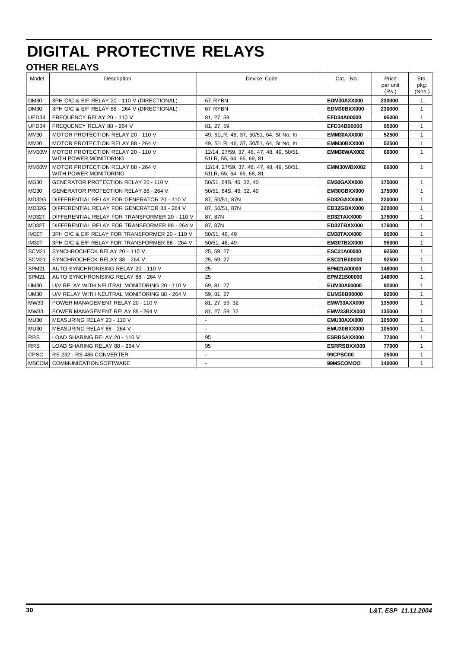# **DIGITAL PROTECTIVE RELAYS**

# **OTHER RELAYS**

| Model             | Description                                                | Device Code                                                           | Cat. No.        | Price<br>per unit<br>(Rs.) | Std.<br>pkg.<br>(Nos.) |
|-------------------|------------------------------------------------------------|-----------------------------------------------------------------------|-----------------|----------------------------|------------------------|
| DM30              | 3PH O/C & E/F RELAY 20 - 110 V (DIRECTIONAL)               | 67 RYBN                                                               | EDM30AXX000     | 230000                     | $\mathbf{1}$           |
| <b>DM30</b>       | 3PH O/C & E/F RELAY 88 - 264 V (DIRECTIONAL)               | 67 RYBN                                                               | EDM30BXX000     | 230000                     | $\mathbf{1}$           |
| UFD34             | FREQUENCY RELAY 20 - 110 V                                 | 81, 27, 59                                                            | EFD34A00000     | 95000                      | $\mathbf{1}$           |
| UFD34             | FREQUENCY RELAY 88 - 264 V                                 | 81, 27, 59                                                            | EFD34B00000     | 95000                      | $\mathbf{1}$           |
| <b>MM30</b>       | <b>MOTOR PROTECTION RELAY 20 - 110 V</b>                   | 49, 51LR, 46, 37, 50/51, 64, St No, Itr                               | EMM30AXX000     | 52500                      | $\mathbf{1}$           |
| <b>MM30</b>       | MOTOR PROTECTION RELAY 88 - 264 V                          | 49, 51LR, 46, 37, 50/51, 64, St No, Itr                               | EMM30BXX000     | 52500                      | $\mathbf{1}$           |
| MM30W             | MOTOR PROTECTION RELAY 20 - 110 V<br>WITH POWER MONITORING | 12/14, 27/59, 37, 46, 47, 48, 49, 50/51,<br>51LR, 55, 64, 66, 68, 81  | EMM30WAX002     | 66000                      | $\mathbf{1}$           |
| MM30W             | MOTOR PROTECTION RELAY 88 - 264 V<br>WITH POWER MONITORING | 12/14, 27/59, 37, 46, 47, 48, 49, 50/51,<br>51 LR, 55, 64, 66, 68, 81 | EMM30WBX002     | 66000                      | $\mathbf{1}$           |
| MG30              | <b>GENERATOR PROTECTION RELAY 20 - 110 V</b>               | 50/51, 64S, 46, 32, 40                                                | EM30GAXX000     | 175000                     | $\mathbf{1}$           |
| MG30              | <b>GENERATOR PROTECTION RELAY 88 - 264 V</b>               | 50/51, 64S, 46, 32, 40                                                | EM30GBXX000     | 175000                     | $\mathbf{1}$           |
| MD32G             | DIFFERENTIAL RELAY FOR GENERATOR 20 - 110 V                | 87, 50/51, 87N                                                        | ED32GAXX000     | 220000                     | $\mathbf{1}$           |
| MD32G             | DIFFERENTIAL RELAY FOR GENERATOR 88 - 264 V                | 87, 50/51, 87N                                                        | ED32GBXX000     | 220000                     | $\mathbf{1}$           |
| MD32T             | DIFFERENTIAL RELAY FOR TRANSFORMER 20 - 110 V              | 87, 87N                                                               | ED32TAXX000     | 176000                     | $\mathbf{1}$           |
| MD32T             | DIFFERENTIAL RELAY FOR TRANSFORMER 88 - 264 V              | 87, 87N                                                               | ED32TBXX000     | 176000                     | $\mathbf{1}$           |
| IM30T             | 3PH O/C & E/F RELAY FOR TRANSFORMER 20 - 110 V             | 50/51, 46, 49                                                         | EM30TAXX000     | 95000                      | $\mathbf{1}$           |
| IM30T             | 3PH O/C & E/F RELAY FOR TRANSFORMER 88 - 264 V             | 50/51, 46, 49                                                         | EM30TBXX000     | 95000                      | $\mathbf{1}$           |
| SCM <sub>21</sub> | SYNCHROCHECK RELAY 20 - 110 V                              | 25, 59, 27                                                            | ESC21A00000     | 92500                      | $\mathbf{1}$           |
| SCM <sub>21</sub> | SYNCHROCHECK RELAY 88 - 264 V                              | 25, 59, 27                                                            | ESC21B00000     | 92500                      | $\mathbf{1}$           |
| SPM <sub>21</sub> | AUTO SYNCHRONISING RELAY 20 - 110 V                        | 25                                                                    | EPM21A00000     | 148000                     | $\mathbf{1}$           |
| SPM <sub>21</sub> | AUTO SYNCHRONISING RELAY 88 - 264 V                        | 25                                                                    | EPM21B00000     | 148000                     | $\mathbf{1}$           |
| <b>UM30</b>       | U/V RELAY WITH NEUTRAL MONITORING 20 - 110 V               | 59, 81, 27                                                            | EUM30A00000     | 92000                      | $\mathbf{1}$           |
| <b>UM30</b>       | U/V RELAY WITH NEUTRAL MONITORING 88 - 264 V               | 59, 81, 27                                                            | EUM30B00000     | 92000                      | $\mathbf{1}$           |
| MW33              | POWER MANAGEMENT RELAY 20 - 110 V                          | 81, 27, 59, 32                                                        | EMW33AXX000     | 135000                     | $\mathbf{1}$           |
| MW33              | POWER MANAGEMENT RELAY 88 - 264 V                          | 81, 27, 59, 32                                                        | EMW33BXX000     | 135000                     | $\mathbf{1}$           |
| <b>MU30</b>       | MEASURING RELAY 20 - 110 V                                 | $\blacksquare$                                                        | EMU30AXX000     | 105000                     | $\mathbf{1}$           |
| <b>MU30</b>       | MEASURING RELAY 88 - 264 V                                 | $\sim$                                                                | EMU30BXX000     | 105000                     | $\mathbf{1}$           |
| <b>RRS</b>        | LOAD SHARING RELAY 20 - 110 V                              | 95                                                                    | ESRRSAXX000     | 77000                      | $\mathbf{1}$           |
| <b>RRS</b>        | LOAD SHARING RELAY 88 - 264 V                              | 95                                                                    | ESRRSBXX000     | 77000                      | $\mathbf{1}$           |
| <b>CPSC</b>       | RS 232 - RS 485 CONVERTER                                  |                                                                       | <b>99CPSC00</b> | 25000                      | $\mathbf{1}$           |
| <b>MSCOM</b>      | <b>COMMUNICATION SOFTWARE</b>                              |                                                                       | 99MSCOMOO       | 140000                     | $\mathbf{1}$           |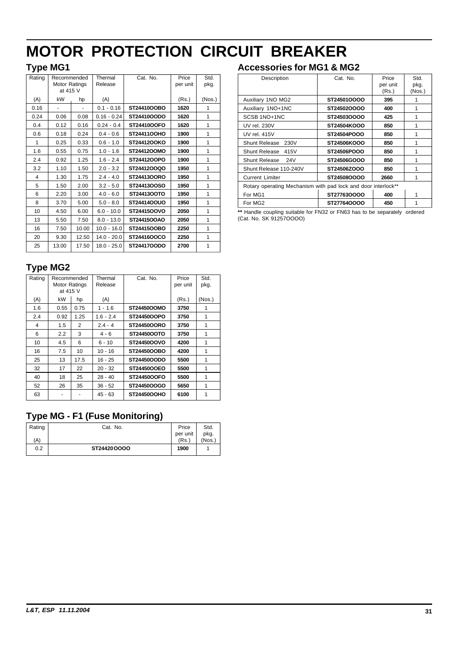# <span id="page-31-0"></span>**MOTOR PROTECTION CIRCUIT BREAKER**

# **Type MG1**

| Rating | Recommended   |       | Thermal       | Cat. No.    | Price    | Std.   |
|--------|---------------|-------|---------------|-------------|----------|--------|
|        | Motor Ratings |       | Release       |             | per unit | pkg.   |
|        | at 415 V      |       |               |             |          |        |
| (A)    | kW            | hp    | (A)           |             | (Rs.)    | (Nos.) |
| 0.16   | ۰             |       | $0.1 - 0.16$  | ST24410OOBO | 1620     | 1      |
| 0.24   | 0.06          | 0.08  | $0.16 - 0.24$ | ST24410OODO | 1620     | 1      |
| 0.4    | 0.12          | 0.16  | $0.24 - 0.4$  | ST24410OOFO | 1620     | 1      |
| 0.6    | 0.18          | 0.24  | $0.4 - 0.6$   | ST2441100HO | 1900     | 1      |
| 1      | 0.25          | 0.33  | $0.6 - 1.0$   | ST24412OOKO | 1900     | 1      |
| 1.6    | 0.55          | 0.75  | $1.0 - 1.6$   | ST24412OOMO | 1900     | 1      |
| 2.4    | 0.92          | 1.25  | $1.6 - 2.4$   | ST2441200PO | 1900     | 1      |
| 3.2    | 1.10          | 1.50  | $2.0 - 3.2$   | ST24412OOQO | 1950     | 1      |
| 4      | 1.30          | 1.75  | $2.4 - 4.0$   | ST24413OORO | 1950     | 1      |
| 5      | 1.50          | 2.00  | $3.2 - 5.0$   | ST24413OOSO | 1950     | 1      |
| 6      | 2.20          | 3.00  | $4.0 - 6.0$   | ST24413OOTO | 1950     | 1      |
| 8      | 3.70          | 5.00  | $5.0 - 8.0$   | ST24414OOUO | 1950     | 1      |
| 10     | 4.50          | 6.00  | $6.0 - 10.0$  | ST24415OOVO | 2050     | 1      |
| 13     | 5.50          | 7.50  | $8.0 - 13.0$  | ST24415OOAO | 2050     | 1      |
| 16     | 7.50          | 10.00 | $10.0 - 16.0$ | ST24415OOBO | 2250     | 1      |
| 20     | 9.30          | 12.50 | $14.0 - 20.0$ | ST24416OOCO | 2250     | 1      |
| 25     | 13.00         | 17.50 | $18.0 - 25.0$ | ST2441700DO | 2700     | 1      |

# **Type MG2**

| Rating | Recommended   |      | Thermal     | Cat. No.    | Price    | Std.   |
|--------|---------------|------|-------------|-------------|----------|--------|
|        | Motor Ratings |      | Release     |             | per unit | pkg.   |
|        | at 415 V      |      |             |             |          |        |
| (A)    | kW            | hp   | (A)         |             | (Rs.)    | (Nos.) |
| 1.6    | 0.55          | 0.75 | 1 - 1.6     | ST24450OOMO | 3750     | 1      |
| 2.4    | 0.92          | 1.25 | $1.6 - 2.4$ | ST24450OOPO | 3750     | 1      |
| 4      | 1.5           | 2    | $2.4 - 4$   | ST24450OORO | 3750     | 1      |
| 6      | 2.2           | 3    | $4 - 6$     | ST24450OOTO | 3750     | 1      |
| 10     | 4.5           | 6    | $6 - 10$    | ST24450OOVO | 4200     | 1      |
| 16     | 7.5           | 10   | $10 - 16$   | ST24450OOBO | 4200     | 1      |
| 25     | 13            | 17.5 | $16 - 25$   | ST24450OODO | 5500     | 1      |
| 32     | 17            | 22   | $20 - 32$   | ST24450OOEO | 5500     | 1      |
| 40     | 18            | 25   | $28 - 40$   | ST24450OOFO | 5500     | 1      |
| 52     | 26            | 35   | $36 - 52$   | ST24450OOGO | 5650     | 1      |
| 63     |               |      | 45 - 63     | ST24450OOHO | 6100     | 1      |
|        |               |      |             |             |          |        |

# **Type MG - F1 (Fuse Monitoring)**

| Rating | Cat. No.    | Price    | Std.   |
|--------|-------------|----------|--------|
|        |             | per unit | pkg.   |
| (A)    |             | (Rs)     | (Nos.) |
| 0.2    | ST24420OOOO | 1900     |        |
|        |             |          |        |

# **Accessories for MG1 & MG2**

| Description                                                   | Cat. No.    | Price<br>per unit<br>(Rs.) | Std.<br>pkg.<br>(Nos.) |
|---------------------------------------------------------------|-------------|----------------------------|------------------------|
| Auxiliary 1NO MG2                                             | ST24501OOOO | 395                        |                        |
| Auxiliary 1NO+1NC                                             | ST24502OOOO | 400                        | 1                      |
| SCSB 1NO+1NC                                                  | ST24503OOOO | 425                        | 1                      |
| UV rel. 230V                                                  | ST24504KOOO | 850                        | 1                      |
| UV rel. 415V                                                  | ST24504POOO | 850                        | 1                      |
| Shunt Release 230V                                            | ST24506KOOO | 850                        | 1                      |
| Shunt Release 415V                                            | ST24506POOO | 850                        | 1                      |
| Shunt Release<br><b>24V</b>                                   | ST24506GOOO | 850                        | 1                      |
| Shunt Release 110-240V                                        | ST24506ZOOO | 850                        | 1                      |
| <b>Current Limiter</b>                                        | ST24508OOOO | 2660                       |                        |
| Rotary operating Mechanism with pad lock and door interlock** |             |                            |                        |
| For MG1                                                       | ST277630000 | 400                        | 1                      |
| For MG <sub>2</sub>                                           | ST277640000 | 450                        | 1                      |

**\*\*** Handle coupling suitable for FN32 or FN63 has to be separately ordered (Cat. No. SK 91257OOOO)